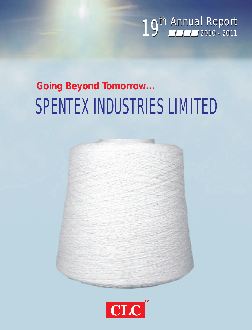

# SPENTEX INDUSTRIES LIMITED *Going Beyond Tomorrow...*



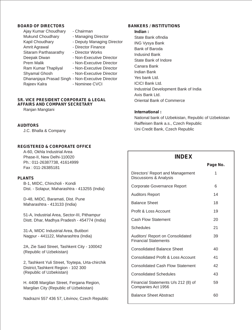#### **BOARD OF DIRECTORS**

- Ajay Kumar Choudhary Chairman Mukund Choudhary - Managing Director Kapil Choudhary - Deputy Managing Director Amrit Agrawal - Director Finance Sitaram Parthasarathy - Director Works Deepak Diwan - Non-Executive Director Prem Malik - Non-Executive Director Ram Kumar Thapliyal - Non-Executive Director Shyamal Ghosh - Non-Executive Director Dhananjaya Prasad Singh - Non-Executive Director Rajeev Kalra - Nominee CVCI
	-
	-

#### **SR. VICE PRESIDENT CORPORATE & LEGAL AFFAIRS AND COMPANY SECRETARY**

Ranjan Mangtani

#### **AUDITORS**

J.C. Bhalla & Company

#### **REGISTERED & CORPORATE OFFICE**

A-60, Okhla Industrial Area Phase-II, New Delhi-110020 Ph.: 011-26387738, 41614999 Fax : 011-26385181

#### **PLANTS**

B-1, MIDC, Chincholi - Kondi Dist. - Solapur, Maharashtra - 413255 (India)

D-48, MIDC, Baramati, Dist. Pune Maharashtra - 413133 (India)

51-A, Industrial Area, Sector-III, Pithampur Distt. Dhar, Madhya Pradesh - 454774 (India)

31-A, MIDC Industrial Area, Butibori Nagpur - 441122, Maharashtra (India)

2A, Zie Said Street, Tashkent City - 100042 (Republic of Uzbekistan)

2, Tashkent Yuli Street, Toytepa, Urta-chirchik District,Tashkent Region - 102 300 (Republic of Uzbekistan)

H. 440B Margilan Street, Fergana Region, Margilan City (Republic of Uzbekistan)

Nadrazni 557 436 57, Litvinov, Czech Republic

#### **BANKERS / INSTITUTIONS**

#### **Indian :**

State Bank ofIndia ING Vysya Bank Bank of Baroda Indusind Bank State Bank of Indore Canara Bank Indian Bank Yes bank Ltd. ICICI Bank Ltd. Industrial Development Bank of India Axis Bank Ltd. Oriental Bank of Commerce

#### **International :**

National bank of Uzbekistan, Republic of Uzbekistan Raiffeisen Bank a.s., Czech Republic Uni Credit Bank, Czech Republic

### **INDEX**

|                                                                        | Page No. |
|------------------------------------------------------------------------|----------|
| Directors' Report and Management<br>Discussions & Analysis             | 1        |
| Corporate Governance Report                                            | 6        |
| <b>Auditors Report</b>                                                 | 14       |
| <b>Balance Sheet</b>                                                   | 18       |
| Profit & Loss Account                                                  | 19       |
| Cash Flow Statement                                                    | 20       |
| Schedules                                                              | 21       |
| <b>Auditors' Report on Consolidated</b><br><b>Financial Statements</b> | 39       |
| <b>Consolidated Balance Sheet</b>                                      | 40       |
| Consolidated Profit & Loss Account                                     | 41       |
| <b>Consolidated Cash Flow Statement</b>                                | 42       |
| <b>Consolidated Schedules</b>                                          | 43       |
| Financial Statements U/s 212 (8) of<br>Companies Act 1956              | 59       |
| <b>Balance Sheet Abstract</b>                                          | 60       |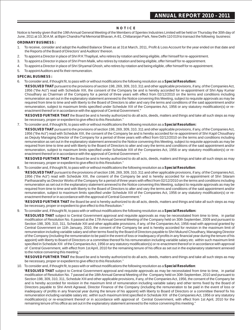#### **N O T I C E**

Notice is hereby given that the 19th Annual General Meeting of the Members of Spentex Industries Limited will be held on Thursday the 30th day of June, 2011 at 10.30 A.M. at Bipin Chandra Pal Memorial Bhavan, A-81, Chittaranjan Park, New Delhi 110 019 to transact the following business:

#### **ORDINARY BUSINESS :**

- 1. To receive, consider and adopt the Audited Balance Sheet as at 31st March, 2011, Profit & Loss Account for the year ended on that date and the Reports of the Board of Directors' and Auditors' thereon.
- 2. To appoint a Director in place of Shri R K Thapliyal, who retires by rotation and being eligible, offer himself for re-appointment.
- 3. To appoint a Director in place of Shri Prem Malik, who retires by rotation and being eligible, offer himself for re-appointment.
- 4. To appoint a Director in place of Shri Shyamal Ghosh, who retires by rotation and being eligible, offer himself for re-appointment.
- 5. To appoint Auditors and fix their remuneration.

#### **SPECIAL BUSINESS :**

6. To consider and, if thought fit, to pass with or without modifications the following resolution as a **Special Resolution:**

"**RESOLVED THAT** pursuant to the provisions of section 198, 269, 309, 310, 311 and other applicable provisions, if any, of the Companies Act, 1956 ("the Act") read with Schedule XIII, the consent of the Company be and is hereby accorded for re-appointment of Shri Ajay Kumar Choudhary as Chairman of the Company for a period of three years with effect from 02/12/2010 on the terms and conditions including remuneration as set out in the explanatory statement annexed to the Notice convening this Meeting, subject to requisite approvals as may be required from time to time and with liberty to the Board of Directors to alter and vary the terms and conditions of the said appointment and/or remuneration, subject to maximum limits specified under Schedule XIII of the Companies Act, 1956 or any statutory modification(s) or reenactment thereof or in accordance with the approval of Central Government."

"**RESOVED FURTHER THAT** the Board be and is hereby authorized to do all acts, deeds, matters and things and take all such steps as may be necessary, proper or expedient to give effect to this Resolution."

7. To consider and, if thought fit, to pass with or without modifications the following resolution as a **Special Resolution:**

"**RESOLVED THAT** pursuant to the provisions of section 198, 269, 309, 310, 311 and other applicable provisions, if any, of the Companies Act, 1956 ("the Act") read with Schedule XIII, the consent of the Company be and is hereby accorded for re-appointment of Shri Kapil Choudhary as Deputy Managing Director of the Company for a period of three years with effect from 02/12/2010 on the terms and conditions including remuneration as set out in the explanatory statement annexed to the Notice convening this Meeting, subject to requisite approvals as may be required from time to time and with liberty to the Board of Directors to alter and vary the terms and conditions of the said appointment and/or remuneration, subject to maximum limits specified under Schedule XIII of the Companies Act, 1956 or any statutory modification(s) or reenactment thereof or in accordance with the approval of Central Government."

"**RESOVED FURTHER THAT** the Board be and is hereby authorized to do all acts, deeds, matters and things and take all such steps as may be necessary, proper or expedient to give effect to this Resolution."

8. To consider and, if thought fit, to pass with or without modifications the following resolution as a **Special Resolution**:

"**RESOLVED THAT** pursuant to the provisions of section 198, 269, 309, 310, 311 and other applicable provisions, if any, of the Companies Act, 1956 ("the Act") read with Schedule XIII, the consent of the Company be and is hereby accorded for re-appointment of Shri Sitaram Parthasarathy as Director Works of the Company for a period of three years with effect from 02/12/2010 on the terms and conditions including remuneration as set out in the explanatory statement annexed to the Notice convening this Meeting, subject to requisite approvals as may be required from time to time and with liberty to the Board of Directors to alter and vary the terms and conditions of the said appointment and/or remuneration, subject to maximum limits specified under Schedule XIII of the Companies Act, 1956 or any statutory modification(s) or reenactment thereof or in accordance with the approval of Central Government."

"**RESOVED FURTHER THAT** the Board be and is hereby authorized to do all acts, deeds, matters and things and take all such steps as may be necessary, proper or expedient to give effect to this Resolution."

9. To consider and, if thought fit, to pass with or without modifications the following resolution as a **Special Resolution:**

"**RESOLVED THAT** subject to Central Government approval and requisite approvals as may be necessitated from time to time, in partial modification of Resolution No. 6 passed at the 17th Annual General Meeting of the Company held on 30th September, 2009 and pursuant to Section 198, 309, 310, 311, Schedule XIII and other applicable provisions, if any, of the Companies Act, 1956 read with approval granted by Central Government on 11th January, 2010, the consent of the Company be and is hereby accorded for revision in the maximum limit of remuneration including variable salary and other terms fixed by the Board of Directors payable to Shri Mukund Choudhary, Managing Director of the Company (including the remuneration to be paid in the event of loss or inadequacy of profits in any financial year during the tenure of his appoint) with liberty to Board of Directors or a committee thereof fix his remuneration including variable salary etc. within such maximum limit specified in Schedule XIII of the Companies Act, 1956 or any statutory modification(s) or re-enactment thereof or in accordance with approval of Central Government, with effect from 1st April, 2010 for the remaining tenure of his office as set out in the explanatory statement annexed to the notice convening this meeting."

"**RESOVED FURTHER THAT** the Board be and is hereby authorized to do all acts, deeds, matters and things and take all such steps as may be necessary, proper or expedient to give effect to this Resolution."

10. To consider and, if thought fit, to pass with or without modifications the following resolution as a **Special Resolution**:

"**RESOLVED THAT** subject to Central Government approval and requisite approvals as may be necessitated from time to time, in partial modification of Resolution No. 7 passed at the 18th Annual General Meeting of the Company held on 30th September, 2010 and pursuant to Section 198, 309, 310, 311, Schedule XIII and other applicable provisions, if any, of the Companies Act, 1956, the consent of the Company be and is hereby accorded for revision in the maximum limit of remuneration including variable salary and other terms fixed by the Board of Directors payable to Shri Amrit Agrawal, Director Finance of the Company (including the remuneration to be paid in the event of loss or inadequacy of profits in any financial year during the tenure of his appoint) with liberty to Board of Directors or a committee thereof fix his remuneration including variable salary etc. within such maximum limit specified in Schedule XIII of the Companies Act, 1956 or any statutory modification(s) or re-enactment thereof or in accordance with approval of Central Government, with effect from 1st April, 2010 for the remaining tenure of his office as set out in the explanatory statement annexed to the notice convening this meeting."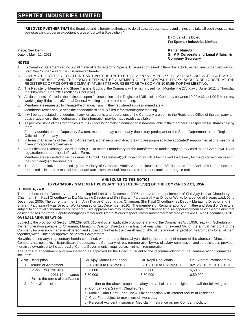"**RESOVED FURTHER THAT** the Board be and is hereby authorized to do all acts, deeds, matters and things and take all such steps as may be necessary, proper or expedient to give effect to this Resolution."

> By Order of the Board For **Spentex Industries Limited**

Place: New Delhi **Ranjan Mangtani**

**Sr. V P Corporate and Legal Affairs & Company Secretary**

#### **NOTES:**

- A. Explanatory Statement setting out all material facts regarding Special Business contained in Item Nos. 6 to 10 as required under Section 173 (2) of the Companies Act, 1956, is annexed hereto.
- A MEMBER ENTITLED TO ATTEND AND VOTE IS ENTITLED TO APPOINT A PROXY TO ATTEND AND VOTE INSTEAD OF HIMSELF/HERSELF AND THE PROXY NEED NOT BE A MEMBER OF THE COMPANY. PROXY SHOULD BE LODGED AT THE REGISTERED OFFICE OF THE COMPANYATLEAST48 HOURS BEFORE THE COMMENCEMENTOF THE MEETING.
- C. The Register of Members and Share Transfer Books of the Company will remain closed from Monday the 27th day of June, 2011 to Thursday the 30th day of June, 2011 (both days inclusive).
- D. All documents referred in the notice are open for inspection at the Registered Office of the Company between 10.00 A.M. to 1.00 P.M. on any working day till the date of Annual General Meeting and also at the meeting.
- E. Members are requested to intimate the change, if any, in their registered address immediately.
- F. Members/Proxies should bring the attendance slips duly filled in for attending the meeting.
- G. It will be appreciated that queries, if any, on accounts and operations of the Company are sent to the Registered Office of the company ten days in advance of the meeting so that the information may be made readily available.
- H. As per provisions of the Companies Act, 1956, facility for making nomination is now available to the members in respect of the shares held by them.
- I. For any queries on the Depository System, members may contact any depository participant or the Share Department at the Registered Office of the Company.
- J. In terms of Clause 49 of the Listing Agreement, a brief resume of directors who are proposed to be appointed/re-appointed at this meeting is given in Corporate Governance.
- K. Securities and Exchange Board of India (SEBI) made it mandatory for the transferees to furnish copy of PAN card to the Company/RTA for registration of shares held in Physical Form.
- L. Members are requested to send queries to E-mail ID secretarial@clcindia.com which is being used exclusively for the purpose of redressing the complaint(s) of the investors.
- M The Green Initiative introduced by the Ministry of Corporate Affairs vide its circular No. 18/2011 dated 29th April, 2011, members are requested to intimate e-mail address to facilitate to send Annual Report and other reports/notices through e-mail.

#### **ANNEXURE TO THE NOTICE**

#### **EXPLANATORY STATEMENT PURSUANT TO SECTION 173(2) OF THE COMPANIES ACT, 1956**

#### **ITEM NO. 6, 7 & 8**

The members of the Company at their meeting held on 31st December, 2005 approved the appointment of Shri Ajay Kumar Choudhary as Chairman, Shri Kapil Choudhary as Dy. Managing Director and Shri Sitaram Parthasarathy as Director Works for a period of 5 years w.e.f. 02nd December, 2005. The current term of Shri Ajay Kumar Choudhary as Chairman, Shri Kapil Choudhary, as Deputy Managing Director and Shri Sitaram Parthasarathy as Director Works ceased on 1st December, 2010. The members of Remuneration Committee and Board of Directors, subject to approval of members and other requisite approvals as may be necessitate from time to time, re-appointed them as whole time directors designated as Chairman, Deputy Managing Director and Director Works respectively for another term of three years w.e.f. 02nd December, 2010.

#### **OVERALL REMUNERATION**

Subject to the provision of Section 198,269, 309, 310 and other applicable provisions, if any, of the Companies Act, 1956, read with Schedule XIII, the remuneration payable to Chairman, Managing Director, Directors in a financial year shall not exceed 5% of the annual net profit of the Company for one such managerial person and subject to further to the overall limit of 10% of the annual net profit of the Company for all of them together, without the prior approval of Central Government.

Notwithstanding anything contrary herein contained, where in any financial year during the currency of tenure of the aforesaid Directors, the Company has no profits or its profits are inadequate, the Company will pay remuneration by way of salary, commission and perquisites as provided herein below subject to the approval of Central Government, if required, as minimum remuneration.

The terms of appointment and remuneration as approved by the Board pursuant to the recommendation of the Remuneration Committee includes:

|      | SI.No Description               | Sh. Ajay Kumar Choudhary                                                                             | Sh. Kapil Choudhary      | Sh. Sitaram Parthasarathy |  |  |
|------|---------------------------------|------------------------------------------------------------------------------------------------------|--------------------------|---------------------------|--|--|
|      | Tenure of Agreement             | 02/12/2010 to 01/12/2013                                                                             | 02/12/2010 to 01/12/2013 | 02/12/2010 to 01/12/2013  |  |  |
| 2. I | Salary (Rs.) 2010-11            | 5,50,000                                                                                             | 5,50,000                 | 5,50,000                  |  |  |
|      | 2011-12 on wards                | 6,50,000                                                                                             | 6,50,000                 | 6,50,000                  |  |  |
|      | Unless the terms altered/varied |                                                                                                      |                          |                           |  |  |
| 3.1  | Perks/Perquisites               | In addition to the above proposed salary, they shall also be eligible to avail the following perks : |                          |                           |  |  |
|      |                                 | a) Company Car(s) with Chauffeur(s),                                                                 |                          |                           |  |  |
|      |                                 | b) Mobile, Data Card, Land line & Fax connection with Internet facility at residence.                |                          |                           |  |  |
|      |                                 | c) Club Fee subject to maximum of two clubs.                                                         |                          |                           |  |  |
|      |                                 | d) Personal Accident Insurance, Mediclaim Insurance as per Company policy.                           |                          |                           |  |  |
|      |                                 |                                                                                                      |                          |                           |  |  |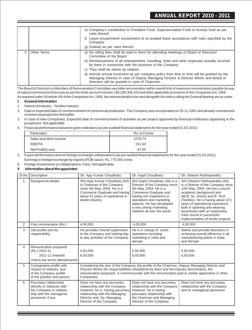|   |             | e) Company's contribution to Provident Fund, Superannuation Fund or Annuity fund as per<br>rules thereof.<br>Leave encashment/ encashment of un-availed leave accordance with rules specified by the<br>Company.<br>g) Gratuity as per rules thereof.                                                                                                                                                                                                                                                                                                        |
|---|-------------|--------------------------------------------------------------------------------------------------------------------------------------------------------------------------------------------------------------------------------------------------------------------------------------------------------------------------------------------------------------------------------------------------------------------------------------------------------------------------------------------------------------------------------------------------------------|
| 4 | Other Terms | a) No sitting fees shall be paid to them for attending meetings of Board of Directors/<br>Committee of the Board.<br>b) Reimbursement of all entertainment, travelling, hotel and other expenses actually incurred<br>by them in connection with the business of the Company.<br>c) They shall be retires by rotation.<br>d) Normal annual Increment as per company policy from time to time will be granted by the<br>Managing Director in case of Deputy Managing Director & Director Works and Board of<br>Directors will be granted in case of Chairman. |

The Board of Directors or Members of Remuneration Committee vary/alter remuneration within overall limit of maximum remuneration payable by way of salary/commission/choice pay as per the limits set out in section 198,269,309,310 and other applicable provisions of the Companies Act, 1956.

As required under Schedule XIII of the Companies Act, 1956, the relevant details to be sent alongwith the notice calling the General Meeting are as under :

#### **I. General Information**

- 1. Nature of Industry Textiles Industry
- 2. Date or expected date of commencement of commercial production: The Company was incorporated on 25.11.1991 and already commenced commercial production thereafter.

#### 4. Financial performance based on given indicators (as per audited financial statements for the year ended 31.03.2011)

| <b>Particulars</b>     | Rs. In Crores |
|------------------------|---------------|
| Sales and other Income | 1078.74       |
| <b>FRIDTA</b>          | 151.63        |
| Net Profit/(Loss)      | 37.50         |

5. Export performance and net foreign exchange collaborations (as per audited financial statements for the year ended 31.03.2011) Earnings in foreign exchange by exports (FOB value): Rs. 775.59 Crores.

6. Foreign investments or collaborations, if any: Not applicable

#### **II Information about the appointee:**

| SI.No.           | Description                                                                                                                        | Sh. Ajay Kumar Choudhary                                                                                                                                                                    | Sh. Kapil Choudhary                                                                                                                                                                                                                                                                          | Sh. Sitaram Parthasarathy                                                                                                                                                                                                                                                                                                                                                           |
|------------------|------------------------------------------------------------------------------------------------------------------------------------|---------------------------------------------------------------------------------------------------------------------------------------------------------------------------------------------|----------------------------------------------------------------------------------------------------------------------------------------------------------------------------------------------------------------------------------------------------------------------------------------------|-------------------------------------------------------------------------------------------------------------------------------------------------------------------------------------------------------------------------------------------------------------------------------------------------------------------------------------------------------------------------------------|
| 1.               | Background details                                                                                                                 | Shri Ajay Kumar Choudhary (63)<br>is Chairman of the Company<br>since 5th May, 2004. He is a<br>Commerce Graduate and having<br>about 41 years of experience in<br>textile industry.        | Shri Kapil Choudhary (38) is a<br>Director of the Company since<br>5th May, 2004. He is a<br>Commerce Graduate and<br>having rich experience in<br>operations and marketing<br>aspects. He has developed<br>a very strong marketing<br>network all over the world.                           | Shri Sitaram Parthasarathy (50)<br>is a Director of the Company since<br>12th May, 2004. He has a sound<br>academic background and<br>did B. Sc. (Hons) and B. Tech<br>(Textiles). He is having about (27)<br>years of operational experience<br>both in spinning and weaving<br>businesses with an impressive<br>track record in successful<br>implementation of textile projects. |
| 2.               | Past remuneration (Rs.)                                                                                                            | 4,00,000                                                                                                                                                                                    | 4,00,000                                                                                                                                                                                                                                                                                     | 4.00.000                                                                                                                                                                                                                                                                                                                                                                            |
| 3.               | Job profile and his<br>responsibility                                                                                              | He provides Overall supervision<br>to the Company and looking day<br>to day activities of the Company.                                                                                      | He is in charge of entire<br>operations including<br>marketing in India and<br>abroad                                                                                                                                                                                                        | Define and provide directions in<br>achieving overall efficiency in all<br>manufacturing plants in India<br>and Abroad.                                                                                                                                                                                                                                                             |
| $\overline{4}$ . | Remuneration proposed<br>(Rs.) 2010-11<br>2011-12 onwards<br>Unless the terms altered/varied                                       | 5,50,000<br>6.50.000                                                                                                                                                                        | 5,50,000<br>6,50,000                                                                                                                                                                                                                                                                         | 5,50,000<br>6.50.000                                                                                                                                                                                                                                                                                                                                                                |
| 5.               | Comparative profile with<br>respect to industry, size<br>of the Company, profile<br>of the position and person.                    | Companies.                                                                                                                                                                                  | Considering the size of the Company, the profile of the Chairman, Deputy Managing Director and<br>Director Works the responsibilities shouldered by them and the industry benchmarks, the<br>remuneration proposed is commensurate with the remuneration paid to similar appointees in other |                                                                                                                                                                                                                                                                                                                                                                                     |
| 6.               | Pecuniary relationship<br>directly or indirectly with<br>the Company or relation-<br>ship with the managerial<br>personnel, if any | Does not have any pecuniary<br>relationship with the Company.<br>However, he is having pecuniary<br>relationship with the Managing<br>Director and Dy. Managing<br>Director of the Company. | Does not have any pecuniary<br>relationship with the Company.<br>However, he is having<br>pecuniary relationship with<br>the Chairman and Managing<br>Director of the Company.                                                                                                               | Does not have any pecuniary<br>relationship with the Company<br>and its managerial personnel.                                                                                                                                                                                                                                                                                       |

<sup>3.</sup> In case of new Companies, Expected date of commencement of activities as per project approved by financial institutions appearing in the prospectus: Not applicable.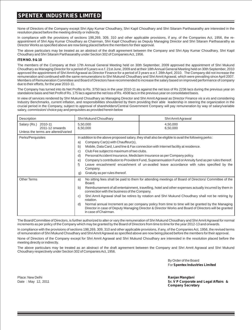None of Directors of the Company except Shri Ajay Kumar Choudhary, Shri Kapil Choudhary and Shri Sitaram Parthasarathy are interested in the resolution placed before the meeting directly or indirectly.

In compliance with the provisions of sections 198,269, 309, 310 and other applicable provisions, if any, of the Companies Act, 1956, the reappointment of Shri Ajay Kumar Choudhary as Chairman, Shri Kapil Choudhary as Deputy Managing Director and Shri Sitaram Parthasarathy as Director Works as specified above are now being placed before the members for their approval.

The above particulars may be treated as an abstract of the draft agreement between the Company and Shri Ajay Kumar Choudhary, Shri Kapil Choudhary and Shri Sitaram Parthasarathy under Section 302 of Companies Act, 1956.

#### **ITEM NO. 9 & 10**

The members of the Company at their 17th Annual General Meeting held on 30th September, 2009 approved the appointment of Shri Mukund Choudhary as Managing Director for a period of 5 years w.e.f. 21st June, 2009 and at their 18th Annual General Meeting held on 30th September, 2010 approved the appointment of Shri Amrit Agrawal as Director Finance for a period of 3 years w.e.f. 28th April, 2010. The Company did not increase the remuneration and continued with the same remunerations to Shri Mukund Choudhary and Shri Amrit Agrawal, which were prevailing since April 2007. Members of Remuneration Committee and Board of Directors have recommended to increase the salary based on improved performance of company due to their efforts, for the year 2010-11.

The Company has turned into its Net Profits to Rs. 3750 lacs in the year 2010-11 as against the net loss of Rs 2236 lacs during the previous year on standalone basis and Net Profit of Rs. 175 lacs against the net loss of Rs. 4508 lacs in the previous year on consolidated basis.

In view of services rendered by Shri Mukund Choudhary as Managing Director and Shri Amrit Agrawal as Director Finance vis a vis and considering Industry Benchmarks, current inflation, and responsibilities shouldered by them providing their able leadership in steering the organization in the crucial period in the Company, subject to approval of shareholders/Central Government Company will pay remuneration by way of salary/variable salary, commission/ choice pay and perquisites as provided herein below

| Description                                                                    | Shri Mukund Choudhary                                                                                                                                                    | Shri Amrit Agrawal                                                                                                                                                                                                                                                                                                                                                                                                                                                                                                             |  |
|--------------------------------------------------------------------------------|--------------------------------------------------------------------------------------------------------------------------------------------------------------------------|--------------------------------------------------------------------------------------------------------------------------------------------------------------------------------------------------------------------------------------------------------------------------------------------------------------------------------------------------------------------------------------------------------------------------------------------------------------------------------------------------------------------------------|--|
| Salary (Rs.) 2010-11<br>2011-12 onwards<br>Unless the terms are altered/varied | 5.50.000<br>4,50,000<br>6,50,000<br>6,50,000                                                                                                                             |                                                                                                                                                                                                                                                                                                                                                                                                                                                                                                                                |  |
| Perks/Perquisites                                                              | Company Car(s) with Chauffeur(s),<br>a)<br>b)<br>Club Fee subject to maximum of two clubs.<br>C)<br>d)<br>$\epsilon$<br>Company.<br>Gratuity as per rules thereof.<br>g) | In addition to the above proposed salary, they shall also be eligible to avail the following perks:<br>Mobile, Data Card, Land line & Fax connection with Internet facility at residence.<br>Personal Accident Insurance, Mediclaim Insurance as per Company policy.<br>Company's contribution to Provident Fund, Superannuation Fund or Annuity fund as per rules thereof.<br>Leave encashment/ encashment of un-availed leave accordance with rules specified by the                                                         |  |
| <b>Other Terms</b>                                                             | a)<br>Board.<br>b)<br>connection with the business of the Company.<br>C)<br>rotation.<br>d)<br>in case of Chairman.                                                      | No sitting fees shall be paid to them for attending meetings of Board of Directors/ Committee of the<br>Reimbursement of all entertainment, travelling, hotel and other expenses actually incurred by them in<br>Shri Amrit Agrawal shall be retires by rotation and Shri Mukund Choudhary shall not be retiring by<br>Normal annual Increment as per company policy from time to time will be granted by the Managing<br>Director in case of Deputy Managing Director & Director Works and Board of Directors will be granted |  |

The Board/Committee of Directors, is further authorized to alter or vary the remuneration of Shri Mukund Choudhary and Shri Amrit Agrawal for normal increments as per policy of the Company which may be granted by the Board of Directors from time to time for the year 2012-13 and onwards.

In compliance with the provisions of sections 198,269, 309, 310 and other applicable provisions, if any, of the Companies Act, 1956, the revised terms of remuneration of Shri Mukund Choudhary and Shri Amrit Agrawal as specified above are now being placed before the members for their approval.

None of Directors of the Company except for Shri Amrit Agrawal and Shri Mukund Choudhary are interested in the resolution placed before the meeting directly or indirectly.

The above particulars may be treated as an abstract of the draft agreement between the Company and Shri Amrit Agrawal and Shri Mukund Choudhary respectively under Section 302 of Companies Act, 1956.

> By Order of the Board For **Spentex Industries Limited**

Place: New Delhi **Ranjan Mangtani**

Date : May 12, 2011 **Sr. V P Corporate and Legal Affairs & Company Secretary**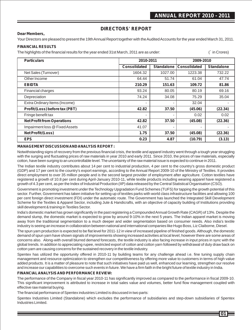### **DIRECTORS' REPORT**

#### **Dear Members,**

Your Directors are pleased to present the 19th Annual Report together with the Audited Accounts for the year ended March 31, 2011.

#### **FINANCIAL RESULTS**

The highlights of the financial results for the year ended 31st March, 2011 are as under: (` in Crores)

| <b>Particulars</b>                | 2010-2011                |                   |                     | 2009-2010         |  |
|-----------------------------------|--------------------------|-------------------|---------------------|-------------------|--|
|                                   | Consolidated             | <b>Standalone</b> | <b>Consolidated</b> | <b>Standalone</b> |  |
| Net Sales (Turnover)              | 1604.32                  | 1027.00           | 1223.38             | 732.22            |  |
| Other Income                      | 64.44                    | 51.74             | 61.04               | 47.74             |  |
| <b>EBIDTA</b>                     | 210.29                   | 151.63            | 109.72              | 81.86             |  |
| <b>Financial charges</b>          | 93.24                    | 80.05             | 80.19               | 69.16             |  |
| Depreciation                      | 74.24                    | 34.08             | 75.29               | 35.04             |  |
| Extra Ordinary Items (Income)     | $\overline{\phantom{a}}$ |                   | 32.04               | ٠                 |  |
| Profit/(Loss) before tax (PBT)    | 42.82                    | 37.50             | (45.06)             | (22.34)           |  |
| Fringe benefit tax                | $\overline{\phantom{a}}$ |                   | 0.02                | 0.02              |  |
| <b>Net Profit from Operations</b> | 42.82                    | 37.50             | (45.08)             | (22.36)           |  |
| Impairment loss @ Fixed Assets    | 41.07                    |                   | ٠                   |                   |  |
| Net Profit/(Loss)                 | 1.75                     | 37.50             | (45.08)             | (22.36)           |  |
| <b>EPS</b>                        | 0.23                     | 4.87              | (10.79)             | (3.13)            |  |

#### **MANAGEMENT DISCUSSION AND ANALYSIS REPORT :**

Notwithstanding signs of recovery from the previous financial crisis, the textile and apparel industry went through a tough year struggling with the surging and fluctuating prices of raw materials in year 2010 and early 2011. Since 2010, the prices of raw materials, especially cotton, have been surging to an uncontrollable level. The uncertainty of the raw material issue is expected to continue in 2011.

The Indian textile industry contributes about 14 per cent to industrial production, 4 per cent to the country's gross domestic product (GDP) and 17 per cent to the country's export earnings, according to the Annual Report 2009-10 of the Ministry of Textiles. It provides direct employment to over 35 million people and is the second largest provider of employment after agriculture. Cotton textiles have registered a growth of 10.8 per cent during April-January 2010-11, while textile products including wearing apparel have registered a growth of 4.3 per cent, as per the Index of Industrial Production (IIP) data released by the Central Statistical Organisation (CSO).

Government is promoting investment under the Technology Upgradation Fund Schemes (TUFS) for tapping the growth potential of this sector. Further, Government has taken initiative for setting up of textiles parks with world class infrastructure facilities and allowing 100 per cent foreign direct investment (FDI) under the automatic route. The Government has launched the Integrated Skill Development Scheme for the Textiles & Apparel Sector, including Jute & Handicrafts, with an objective of capacity building of Institutions providing skill development & training in Textiles Sector.

India's domestic market has grown significantly in the past registering a Compounded Annual Growth Rate (CAGR) of 13%. Despite the demand slump, the domestic market is expected to grow by around 9-10% in the next 5 years. The Indian apparel market is moving away from the traditional segmentation to a much deeper and wider segmentation based on consumer needs. Also india's textile industry is seeing an increase in collaboration between national and international companies like Hugo Boss, Liz Claiborne, Diesel.

The spun yarn production is expected to be flat level for 2011-12 in view of increased pipeline of finished goods. Although, the domestic demand of spun yarn have shown signals of improvements showing increased activities at local level, however there are some areas of concerns also. Along-with overall blurred demand forecasts, the textile industry is also facing increase in input prices in sync with the global trends. In addition to appreciating rupee, restricted export of cotton and cotton yarn followed by withdrawal of duty draw back on cotton yarn are causing concerns for the sustained recovery in the textile industry.

Spentex has utilized the opportunity offered in 2010-11 by building teams for any challenge ahead i.e. fine tuning supply chain management and resource optimization to strengthen our competitiveness by offering more value to customers in terms of high value added products. It is a matter of pleasure to note that such initiatives have paid us well, enhanced our learning, strengthen our resolve and increase our capabilities to overcome such events in future. We have a firm faith in the bright future of textile industry in India.

#### **FINANCIALANALYSIS AND PERFORMANCE REVIEW:**

The performance of the Company in fiscal year 2010-11 has significantly improved as compared to the performance in fiscal 2009-10. This significant improvement is attributed to increase in total sales value and volumes, better fund flow management coupled with effective raw material buying.

The financial performance of Spentex industries Limited is discussed in two parts:

Spentex Industries Limited (Standalone) which excludes the performance of subsidiaries and step-down subsidiaries of Spentex Industries Limited.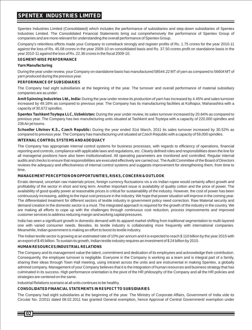Spentex Industries Limited (Consolidated) which includes the performance of subsidiaries and step-down subsidiaries of Spentex Industries Limited. The Consolidated Financial Statements bring out comprehensively the performance of Spentex Group of companies and are more relevant for understanding the overall performance of Spentex Group.

Company's relentless efforts made your Company to comeback strongly and register profits of Rs. 1.75 crores for the year 2010-11 against the loss of Rs. 45.08 crores in the year 2009-10 on consolidated basis and Rs. 37.50 crores profit on standalone basis in the year 2010-11 against the loss of Rs. 22.36 crores in the fiscal 2009-10.

#### **SEGMENT-WISE PERFORMANCE**

#### **Yarn Manufacturing**

During the year under review, your Company on standalone basis has manufactured 58544.22 MTof yarn as compared to 56604 MTof yarn produced during the previous year.

#### **PERFORMANCE OF SUBSIDIARIES**

The Company had eight subsidiaries at the beginning of the year. The turnover and overall performance of material subsidiary companies are as under:

**Amit Spinning Industries Ltd., India:** During the year under review its production of yarn has increased by 4.45% and sales turnover increased by 49.16% as compared to previous year. The Company has its manufacturing facilities at Kolhapur, Maharashtra with a capacity of 30,672 spindles.

**Spentex Tashkent Toytepa LLC, Uzbekistan:** During the year under review, its sales turnover increased by 20.84% as compared to previous year. The Company has two manufacturing units situated at Tashkent and Toytepa with a capacity of 220,000 spindles and 236 Air jet looms.

**Schoeller Litvinov K.S., Czech Republic:** During the year ended 31st March, 2011 its sales turnover increased by 30.52% as compared to previous year. The Company has manufacturing unit situated at Czech Republic with a capacity of 59,000 spindles.

#### **INTERNAL CONTROLSYSTEMS AND ADEQUACY**

The Company has appropriate internal control systems for business processes, with regards to efficiency of operations, financial reporting and controls, compliance with applicable laws and regulations, etc. Clearly defined roles and responsibilities down the line for all managerial positions have also been institutionalized. All operating parameters are monitored and controlled. Regular internal audits and checks to ensure that responsibilities are executed effectively are carried out. The Audit Committee of the Board of Directors reviews the adequacy and effectiveness of internal control systems and suggests improvement for strengthening them, from time to time.

#### **MANAGEMENT PERCEPTION ON OPPORTUNITIES, RISKS, CONCERN & OUTLOOK**

Erratic demand, uncertain raw materials prices, foreign currency fluctuations vis a vis Indian rupee would certainly affect growth and profitability of the sector in short and long term. Another important issue is availability of quality cotton and the price of power. The availability of good quality power at reasonable prices is critical for sustainability of the industry. However, the cost of power has been continuously increasing, adding to the input cost pressure in the industry. We hope that power situation will improve in the coming year. The differentiated treatment for different sectors of textile industry in government policy need correction. Raw Material security and demand creation in the domestic sector is a must. The integrated approach is required for the growth of the industry in the country. We are making all efforts to cope up with the challenges through continuous cost reduction, process improvements and improved customer services to address reducing margin and working capital pressures.

India has seen a significant growth in domestic demand with its apparel market shifting from traditional segmentation to multi-layered one with varied consumer needs. Besides, its textile industry is collaborating more frequently with international companies. Meanwhile, Indian government is making an effort to boost its textile industry.

The Indian textile sector is growing at an estimated rate of 10% per annum and it is expected to reach \$ 110 billion by the year 2015 with an export of \$ 45 billion. To sustain its growth, Indian textile industry requires an investment of \$ 24 billion by 2015.

#### **HUMAN RESOURCES/INDUSTRIAL RELATIONS**

The Company and its management value the talent, commitment and dedication of its employees and acknowledge their contribution. Consequently, the employee turnover is negligible. Everyone in the Company is working as a team and is integral part of a family, sharing their ideas through Town Hall meeting, using intranet across the units and are instrumental in making Spentex, a globally admired company. Management of your Company believes that it is the integration of human resources and business strategy that has culminated in its success. High performance orientation is the pivot of the HR philosophy of the Company and all the HR policies and strategies are centered on the same.

Industrial Relations scenario at all units continues to be healthy.

#### **CONSOLIDATED FINANCIALSTATEMENTS IN RESPECT TO SUBSIDIARIES**

The Company had eight subsidiaries at the beginning of the year. The Ministry of Corporate Affairs, Government of India vide its Circular No. 2/2011 dated 08.02.2011 has granted General exemption, hence Approval of Central Government/ exemption under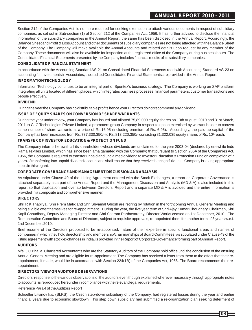Section 212 of the Companies Act, is no more required for seeking exemption to attach various documents in respect of subsidiary companies, as set out in Sub-section (1) of Section 212 of the Companies Act, 1956. It has further advised to disclose the financial information of the subsidiary companies in the Annual Report, the same has been disclosed in the Annual Report. Accordingly, the Balance Sheet and Profit & Loss Account and other documents of subsidiary companies are not being attached with the Balance Sheet of the Company. The Company will make available the Annual Accounts and related details upon request by any member of the Company. These documents will also be available for inspection at the registered office of the Company during business hours. The Consolidated Financial Statements presented by the Company includes financial results of its subsidiary companies.

#### **CONSOLIDATED FINANCIALSTATEMENT**

In accordance with the Accounting Standard AS-21 on Consolidated Financial Statements read with Accounting Standard AS-23 on accounting for Investments in Associates, the audited Consolidated Financial Statements are provided in the Annual Report.

#### **INFORMATION TECHNOLOGY**

Information Technology continues to be an integral part of Spentex's business strategy. The Company is working on SAP platform integrating all units located at different places, which integrates business processes, financial parameters, customer transactions and people effectively.

#### **DIVIDEND**

During the year the Company has no distributable profits hence your Directors do not recommend any dividend.

#### **ISSUE OF EQUITYSHARES ON CONVERSION OF SHARE WARRANTS**

During the year under review, your Company has issued and allotted 75,89,000 equity shares on 13th August, 2010 and 31st March, 2011 to CLC Technologies Private Limited, a promoters group Company in respect to option exercised by warrant holder to convert same number of share warrants at a price of Rs.16.95 (including premium of Rs. 6.95). Accordingly, the paid-up capital of the Company has been increased from Rs. 737,330,350/- to Rs. 813,220,350/- consisting 81,322,035 equity shares of Rs. 10/- each.

#### **TRANSFER OF INVESTOR EDUCATION & PROTECTION FUND**

The Company informs herewith all its shareholders whose dividends are unclaimed for the year 2003-04 (declared by erstwhile Indo Rama Textiles Limited, which has since been amalgamated with the Company) that pursuant to Section 205A of the Companies Act, 1956, the Company is required to transfer unpaid and unclaimed dividend to Investor Education & Protection Fund on completion of 7 years of transferring into unpaid dividend account and shall ensure that they receive their rightful dues. Company is taking appropriate steps in this regard.

#### **CORPORATE GOVERNANCE AND MANAGEMENT DISCUSSION AND ANALYSIS**

As stipulated under Clause 49 of the Listing Agreement entered with the Stock Exchanges, a report on Corporate Governance is attached separately as a part of the Annual Report and the Management Discussion and Analysis (MD & A) is also included in this report so that duplication and overlap between Directors' Report and a separate MD & A is avoided and the entire information is provided in a composite and comprehensive manner.

#### **DIRECTORS**

Shri R K Thapliyal, Shri Prem Malik and Shri Shyamal Ghosh are retiring by rotation in the forthcoming Annual General Meeting and being eligible offer themselves for re-appointment. During the year, the five year term of Shri Ajay Kumar Choudhary, Chairman, Shri Kapil Choudhary, Deputy Managing Director and Shri Sitaram Parthasarathy, Director Works ceased on 1st December, 2010. The Remuneration Committee and Board of Directors, subject to requisite approvals, re-appointed them for another term of 3 years w.e.f. 2nd December, 2010.

Brief resume of the Directors proposed to be re-appointed, nature of their expertise in specific functional areas and names of companies in which they hold directorship and membership/chairmanships of Board Committees, as stipulated under Clause 49 of the listing agreement with stock exchanges in India, is provided in the Report of Corporate Governance forming part of Annual Report.

#### **AUDITORS**

M/s. J C Bhalla, Chartered Accountants who are the Statutory Auditors of the Company hold office until the conclusion of the ensuing Annual General Meeting and are eligible for re-appointment. The Company has received a letter from them to the effect that their reappointment, if made, would be in accordance with Section 224(1B) of the Companies Act, 1956. The Board recommends their reappointment.

#### **DIRECTORS' VIEW ON AUDITORS OBSERVATIONS**

Directors' response to the various observations of the auditors even though explained wherever necessary through appropriate notes to accounts, is reproduced hereunder in compliance with the relevant legal requirements.

#### Reference Para 4 of the Auditors Report

Schoeller Litvinov k.s. (SLKS), the Czech step-down subsidiary of the Company, had registered losses during the year and earlier financial years due to economic slowdown. This step down subsidiary had submitted a re-organization plan seeking deferment of

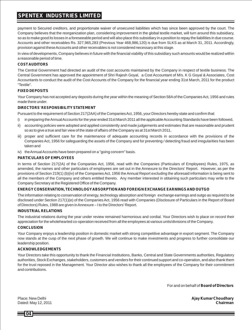payment to Secured creditors, and proportionate waiver of unsecured liabilities which has since been approved by the court. The Company believes that the reorganization plan, considering improvement in the global textile market, will turn around this subsidiary, so as to make good its losses in a foreseeable period and will also place this subsidiary in a position to repay the liabilities in due course. Accounts and other receivables Rs. 327,965,283 (Previous Year 468,986,120) is due from SLKS as at March 31, 2011. Accordingly, provision against these Accounts and other receivables is not considered necessary at this stage.

In view of developments, Company believes in future with the financial viability of this subsidiary such amounts would be realized within a reasonable period of time.

#### **COST AUDITORS**

The Central Government had directed an audit of the cost accounts maintained by the Company in respect of textile business. The Central Government has approved the appointment of Shri Rajesh Goyal, a Cost Accountant of M/s. K G Goyal & Associates, Cost Accountants to conduct the audit of the Cost Accounts of the Company for the financial year ending 31st March, 2011 for the product "Textile".

#### **FIXED DEPOSITS**

Your Company has not accepted any deposits during the year within the meaning of Section 58Aof the Companies Act, 1956 and rules made there under.

#### **DIRECTORS' RESPONSIBILITYSTATEMENT**

Pursuant to the requirement of Section 217(2AA) of the Companies Act, 1956, your Directors hereby state and confirm that:

- i) in preparing the Annual Accounts for the year ended 31st March 2011 all the applicable Accounting Standards have been followed,
- ii) accounting policies were adopted and applied consistently and made judgements and estimates that are reasonable and prudent so as to give a true and fair view of the state of affairs of the Company as at 31st March 2011,
- iii) proper and sufficient care for the maintenance of adequate accounting records in accordance with the provisions of the Companies Act, 1956 for safeguarding the assets of the Company and for preventing / detecting fraud and irregularities has been taken and
- iv) the Annual Accounts have been prepared on a "going concern" basis.

#### **PARTICULARS OF EMPLOYEES**

In terms of Section 217(2A) of the Companies Act, 1956, read with the Companies (Particulars of Employees) Rules, 1975, as amended, the names and other particulars of employees are set out in the Annexure to the Directors' Report. However, as per the provisions of Section 219(1) (b)(iv) of the Companies Act, 1956 the Annual Report excluding the aforesaid information is being sent to all the members of the Company and others entitled thereto. Any member interested in obtaining such particulars may write to the Company Secretary at the Registered Office of the Company.

#### **ENERGY CONSERVATION, TECHNOLOGYABSORPTION AND FOREIGN EXCHANGE EARNINGS AND OUTGO**

The information relating to conservation of energy, technology absorption and foreign exchange earnings and outgo as required to be disclosed under Section 217(1)(e) of the Companies Act, 1956 read with Companies (Disclosure of Particulars in the Report of Board of Directors) Rules, 1988 are given in Annexure – I to the Directors' Report.

#### **INDUSTRIAL RELATIONS**

The industrial relations during the year under review remained harmonious and cordial. Your Directors wish to place on record their appreciation for the wholehearted co-operation received from all the employees at various units/divisions of the Company.

#### **CONCLUSION**

Your Company enjoys a leadership position in domestic market with strong competitive advantage in export segment. The Company now stands at the cusp of the next phase of growth. We will continue to make investments and progress to further consolidate our leadership position.

#### **ACKNOWLEDGEMENTS**

Your Directors take this opportunity to thank the Financial Institutions, Banks, Central and State Governments authorities, Regulatory authorities, Stock Exchanges, stakeholders, customers and venders for their continued support and co-operation, and also thank them for the trust reposed in the Management. Your Director also wishes to thank all the employees of the Company for their commitment and contributions.

For and on behalf of **Board of Directors**

Place: New Delhi **Ajay Kumar Choudhary**

Dated: May 12, 2011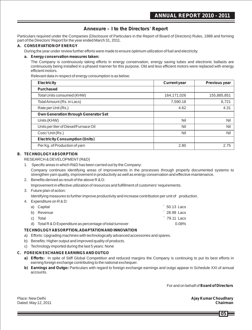### **Annexure – I to the Directors' Report**

Particulars required under the Companies (Disclosure of Particulars in the Report of Board of Directors) Rules, 1988 and forming part of the Directors' Report for the year ended March 31, 2011.

#### **A. CONSERVATION OF ENERGY**

During the year under review further efforts were made to ensure optimum utilization of fuel and electricity.

#### **a. Energy conservation measures taken:**

The Company is continuously taking efforts in energy conservation, energy saving tubes and electronic ballasts are continuously being installed in a phased manner for this purpose. Old and less efficient motors were replaced with energy efficient motors.

Relevant data in respect of energy consumption is as below:

| <b>Electricity</b>                     | <b>Current year</b> | Previous year |
|----------------------------------------|---------------------|---------------|
| <b>Purchased</b>                       |                     |               |
| Total Units consumed (KHW)             | 164,171,026         | 155,885,851   |
| Total Amount (Rs. in Lacs)             | 7,590.18            | 6,721         |
| Rate per Unit (Rs.)                    | 4.62                | 4.31          |
| Own Generation through Generator Set   |                     |               |
| Units (KHW)                            | Nil                 | Nil           |
| Units per liter of Diesel/Furnace Oil  | Nil                 | Nil           |
| Cost/Unit (Rs.)                        | Nil                 | Nil           |
| <b>Electricity Consumption (Units)</b> |                     |               |
| Per Kg. of Production of yarn          | 2.80                | 2.75          |

#### **B. TECHNOLOGYABSORPTION**

RESEARCH & DEVELOPMENT(R&D)

1. Specific areas in which R&D has been carried out by the Company:

Company continues identifying areas of improvements in the processes through properly documented systems to strengthen yarn quality, improvement in productivity as well as energy conservation and effective maintenance.

- 2. Benefits derived as result of the above R & D: Improvement in effective utilization of resources and fulfillment of customers' requirements.
- 3. Future plan of action:

Identifying measures to further improve productivity and increase contribution per unit of production.

4. Expenditure on R & D:

| a) Capital                                                 | $\degree$ 50.13 Lacs |
|------------------------------------------------------------|----------------------|
| b) Revenue                                                 | $\degree$ 28.98 Lacs |
| c) Total                                                   | $\degree$ 79.11 Lacs |
| d) Total R & D Expenditure as percentage of total turnover | $0.08\%$             |

#### **TECHNOLOGYABSORPTION, ADAPTATION AND INNOVATION**

- a) Efforts: Upgrading machines with technologically advanced accessories and spares.
- b) Benefits: Higher output and improved quality of products.
- c) Technology imported during the last 5 years: None

#### **C. FOREIGN EXCHANGE EARNINGS AND OUTGO**

- **a) Efforts:** In spite of Stiff Global Competition and reduced margins the Company is continuing to put its best efforts in earning foreign exchange contributing to the national exchequer.
- **b) Earnings and Outgo:** Particulars with regard to foreign exchange earnings and outgo appear in Schedule XXI of annual accounts.

For and on behalf of **Board of Directors**

Dated: May 12, 2011

Place: New Delhi **Ajay Kumar Choudhary**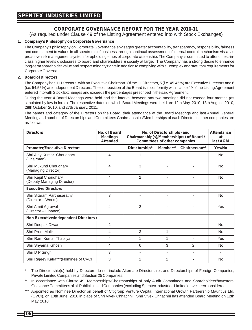### **CORPORATE GOVERNANCE REPORT FOR THE YEAR 2010-11**

(As required under Clause 49 of the Listing Agreement entered into with Stock Exchanges)

#### **1. Company's Philosophy on Corporate Governance**

The Company's philosophy on Corporate Governance envisages greater accountability, transparency, responsibility, fairness and commitment to values in all spectrums of business through continual assessment of internal control mechanism vis-à-vis proactive risk management system for upholding ethos of corporate citizenship. The Company is committed to attend best-inclass higher levels disclosures to board and shareholders & society at large. The Company has a strong desire to enhance long-term shareholder value and respect minority rights in addition to complying with all complex and statutory requirements for Corporate Governance.

#### **2. Board of Directors**

The Company has 11 Directors, with an Executive Chairman. Of the 11 Directors, 5 (i.e. 45.45%) are Executive Directors and 6 (i.e. 54.55%) are Independent Directors. The composition of the Board is in conformity with clause 49 of the Listing Agreement entered into with Stock Exchanges and exceeds the percentages prescribed in the said Agreement.

During the year 4 Board Meetings were held and the interval between any two meetings did not exceed four months (as stipulated by law in force). The respective dates on which Board Meetings were held are 12th May, 2010, 13th August, 2010, 28th October, 2010, and 27th January, 2011.

The names and category of the Directors on the Board, their attendance at the Board Meetings and last Annual General Meeting and number of Directorships and Committees Chairmanships/Memberships of each Director in other companies are as follows:

| <b>Directors</b>                                   | No. of Board<br><b>Meetings</b><br><b>Attended</b> | No. of Directorship(s) and<br>Chairmanship(s)/Membership(s) of Board /<br><b>Committees of other companies</b> |                          |                | <b>Attendance</b><br>at<br>last AGM |
|----------------------------------------------------|----------------------------------------------------|----------------------------------------------------------------------------------------------------------------|--------------------------|----------------|-------------------------------------|
| <b>Promoter/Executive Directors</b>                |                                                    | Directorship*                                                                                                  | Member**                 | Chairperson**  | Yes/No                              |
| Shri Ajay Kumar Choudhary<br>(Chairman)            | 4                                                  | 1                                                                                                              |                          |                | <b>No</b>                           |
| Shri Mukund Choudhary<br>(Managing Director)       | 4                                                  | 3                                                                                                              |                          |                | <b>No</b>                           |
| Shri Kapil Choudhary<br>(Deputy Managing Director) | 4                                                  | $\overline{2}$                                                                                                 |                          |                | <b>No</b>                           |
| <b>Executive Directors</b>                         |                                                    |                                                                                                                |                          |                |                                     |
| Shri Sitaram Parthasarathy<br>(Director - Works)   | 3                                                  |                                                                                                                |                          |                | <b>No</b>                           |
| Shri Amrit Agrawal<br>(Director - Finance)         | 4                                                  | $\overline{2}$                                                                                                 |                          |                | Yes                                 |
| <b>Non Executive/Independent Directors:</b>        |                                                    |                                                                                                                |                          |                |                                     |
| Shri Deepak Diwan                                  | 2                                                  |                                                                                                                |                          |                | <b>No</b>                           |
| Shri Prem Malik                                    | 4                                                  | 3                                                                                                              | 1                        |                | N <sub>o</sub>                      |
| Shri Ram Kumar Thapliyal                           | 4                                                  | 1                                                                                                              | 1                        |                | Yes                                 |
| Shri Shyamal Ghosh                                 | 4                                                  | 6                                                                                                              | 3                        | $\overline{2}$ | <b>No</b>                           |
| Shri D P Singh                                     | 3                                                  |                                                                                                                | $\overline{\phantom{a}}$ |                |                                     |
| Shri Rajeev Kalra*** (Nominee of CVCI)             | 3                                                  | 1                                                                                                              | 1                        |                | <b>No</b>                           |

The Directorship(s) held by Directors do not include Alternate Directorships and Directorships of Foreign Companies, Private Limited Companies and Section 25 Companies.

In accordance with Clause 49, Memberships/Chairmanships of only Audit Committees and Shareholders'/Investors' Grievance Committees of all Public Limited Companies (excluding Spentex Industries Limited) have been considered.

\*\*\* Appointed as Nominee Director on behalf of Citigroup Venture Capital International Growth Partnership Mauritius Ltd. (CVCI), on 10th June, 2010 in place of Shri Vivek Chhachhi. Shri Vivek Chhachhi has attended Board Meeting on 12th May, 2010.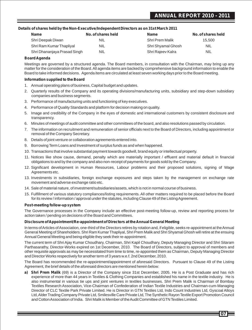### **ANNUAL REPORT 2010 - 2011**

#### **Details of shares held by the Non-Executive/Independent Directors as on 31st March 2011**

| <b>Name</b>                  | No. of shares held | <b>Name</b>            | No. of shares held |
|------------------------------|--------------------|------------------------|--------------------|
| Shri Deepak Diwan            | <b>NIL</b>         | <b>Shri Prem Malik</b> | 15.500             |
| Shri Ram Kumar Thapliyal     | <b>NIL</b>         | Shri Shyamal Ghosh     | <b>NIL</b>         |
| Shri Dhananjaya Prasad Singh | <b>NIL</b>         | Shri Rajeev Kalra      | <b>NIL</b>         |

#### **Board Agenda**

Meetings are governed by a structured agenda. The Board members, in consultation with the Chairman, may bring up any matter for the consideration of the Board. All agenda items are backed by comprehensive background information to enable the Board to take informed decisions. Agenda items are circulated at least seven working days prior to the Board meeting.

#### **Information supplied to the Board**

- 1. Annual operating plans of business, Capital budget and updates.
- 2. Quarterly results of the Company and its operating divisions/manufacturing units, subsidiary and step-down subsidiary companies and business segments.
- 3. Performance of manufacturing units and functioning of key executives.
- 4. Performance of Quality Standards and platform for decision making on quality.
- 5. Image and credibility of the Company in the eyes of domestic and international customers by consistent disclosure and transparency.
- 6. Minutes of meetings of audit committee and other committees of the board, and also resolutions passed by circulation.
- 7. The information on recruitment and remuneration of senior officials next to the Board of Directors, including appointment or removal of the Company Secretary.
- 8. Details of joint venture or collaboration agreements entered into.
- 9. Borrowing Term Loans and Investment of surplus funds as and when happened.
- 10. Transactions that involve substantial payment towards goodwill, brand equity or intellectual property.
- 11. Notices like show cause, demand, penalty which are materially important / effluent and material default in financial obligations to and by the company and also non-receipt of payments for goods sold by the Company.
- 12. Significant development in Human Resources, Labour problems and their proposed solutions, signing of Wage Agreements etc.
- 13. Investments in subsidiaries, foreign exchange exposures and steps taken by the management on exchange rate movement and adverse exchange ratio etc.
- 14. Sale of material nature, of investment/subsidiaries/assets, which is not in normal course of business.
- 15. Fulfillment of various statutory compliances/listing requirements. All other matters required to be placed before the Board for its review / information / approval under the statutes, including Clause 49 of the Listing Agreement.

#### **Post-meeting follow-up system**

The Governance processes in the Company include an effective post-meeting follow-up, review and reporting process for action taken / pending on decisions of the Board and Committees.

#### **Disclosure of Appointment/Re-appointment of Directors at the Annual General Meeting**

In terms of Articles of Association, one-third of the Directors retires by rotation and, if eligible, seeks re-appointment at the Annual General Meeting of Shareholders. Shri Ram Kumar Thapliyal, Shri Prem Malik and Shri Shyamal Ghosh will retire at the ensuing Annual General Meeting and being eligible they seek their re-appointment.

The current term of Shri Ajay Kumar Choudhary, Chairman, Shri Kapil Choudhary, Deputy Managing Director and Shri Sitaram Parthasarathy, Director-Works expired on 1st December, 2010. The Board of Directors, subject to approval of members and other requisite approvals as may be necessitated from time to time, re-appointed them as Chairman, Deputy Managing Director and Director Works respectively for another term of 3 years w.e.f. 2nd December, 2010.

The Board has recommended the re-appointment/appointment of aforesaid Directors. Pursuant to Clause 49 of the Listing Agreement, the brief details of the aforesaid directors are mentioned herein below:

**a) Shri Prem Malik** (69) is a Director of the Company since 31st December, 2005. He is a Post Graduate and has rich experience of more than 44 years in Textiles & Clothing Companies and established his name in the textile industry. He is also instrumental in various tie ups and joint ventures in textiles businesses. Shri Prem Malik is Chairman of Bombay Textiles Research Association, Vice-Chairman of Confederation of Indian Textile Industries and Chairman-cum-Managing Director of CLC Textile Park Private Limited. He is Director in GTN Textiles Ltd, Indo Count Industries Ltd, Gyscoal Alloys Ltd, Alder Trading Company Private Ltd, Smilesville Care Private Ltd, The Synthetic Rayon Textile Export Promotion Council and Cotton Association of India. Shri Malik is Member of the Audit Committee of GTN Textiles Limited.

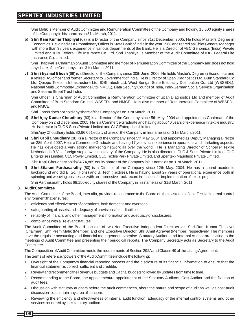Shri Malik is Member of Audit Committee and Remuneration Committee of the Company and holding 15,500 equity shares of the Company in his name as on 31st March, 2011.

**b) Shri Ram Kumar Thapliyal** (67) is a Director of the Company since 31st December, 2005. He holds Master's Degree in Economics. He joined as a Probationary Officer in State Bank of India in the year 1968 and retired as Chief General Manager with more than 38 years experience in various departments of the Bank. He is a Director of ABC Genomics (India) Private Limited and IDBI Federal Life Insurance Co. Ltd. Shri Thapliyal is Member of the Audit Committee of IDBI Federal Life Insurance Co. Limited.

Shri Thapliyal is Chairman of Audit Committee and member of Remuneration Committee of the Company and does not hold any share of the Company as on 31st March, 2011.

**c) Shri Shyamal Ghosh** (69) is a Director of the Company since 30th June, 2006. He holds Master's Degree in Economics and a retired IAS officer and former Secretary to Government of India. He is Director of Span Diagnostics Ltd, Burn Standard Co Ltd, Quippo Telecom Infrastructure Ltd, IDBI Intech Ltd, West Bengal State Electricity Distribution Co. Ltd (WBSEDL), National Multi Commodity Exchange Ltd (NMCE), Data Security Council of India, Indo-German Social Service Organisation and Sesame Street Trust India.

Shri Ghosh is Chairman of Audit Committee & Remuneration Committee of Span Diagnostics Ltd and member of Audit Committee of Burn Standard Co. Ltd, WBSEDL and NMCE. He is also member of Remuneration Committee of WBSEDL and NMCE.

Shri Ghosh does not hold any share of the Company as on 31st March, 2011.

**d) Shri Ajay Kumar Choudhary** (63) is a director of the Company since 5th May, 2004 and appointed as Chairman of the Company on 2nd December, 2005. He is a Commerce Graduate and having about 40 years of experience in textile industry. He is director in CLC & Sons Private Limited and CLC Enterprises Limited.

Shri Ajay Choudhary holds 80,66,051 equity shares of the Company in his name as on 31st March, 2011.

**e) Shri Kapil Choudhary** (38) is a Director of the Company since 5th May, 2004 and appointed as Deputy Managing Director on 28th April, 2007. He is a Commerce Graduate and having 17 years rich experience in operations and marketing aspects. He has developed a very strong marketing network all over the world. He is Managing Director of Schoeller Textile Netherlands B.V., a foreign step down subsidiary of the Company. He is also director in CLC & Sons Private Limited, CLC Enterprises Limited, CLC Power Limited, CLC Textile Park Private Limited, and Spentex (Mauritius) Private Limited.

Shri Kapil Choudhary holds 84,74,869 equity shares of the Company in his name as on 31st March, 2011.

**f) Shri Sitaram Parthasarathy** (50) is a Director of the Company since 12th May, 2004. He has a sound academic background and did B. Sc. (Hons) and B. Tech (Textiles). He is having about 27 years of operational experience both in spinning and weaving businesses with an impressive track record in successful implementation of textile projects.

Shri Parthasarathy holds 68,150 equity shares of the Company in his name as on 31st March, 2011.

#### **3. Audit Committee**

The Audit Committee of the Board, inter alia, provides reassurance to the Board on the existence of an effective internal control environment that ensures:

- efficiency and effectiveness of operations, both domestic and overseas;
- safeguarding of assets and adeguacy of provisions for all liabilities;
- reliability of financial and other management information and adequacy of disclosures;
- compliance with all relevant statutes

The Audit Committee of the Board consists of two Non-Executive Independent Directors viz. Shri Ram Kumar Thapliyal (Chairman) Shri Prem Malik (Member) and one Executive Director, Shri Amrit Agrawal (Member) respectively. The members have the requisite accounting and financial management expertise. Statutory Auditors and Internal Auditor are inviting to the meetings of Audit Committee and presenting their periodical reports. The Company Secretary acts as Secretary to the Audit Committee.

The Composition of Audit Committee meets the requirements of Section 292Aand Clause 49 of the Listing Agreement.

The terms of reference / powers of the Audit Committee include the following:

- 1. Oversight of the Company's financial reporting process and the disclosure of its financial information to ensure that the financial statement is correct, sufficient and credible.
- 2. Review and recommend the Revenue budgets and Capital budgets followed by updates from time to time.
- 3. Recommending to the Board, the appointment/re-appointment of the Statutory Auditors, Cost Auditor and the fixation of audit fees.
- 4. Discussion with statutory auditors before the audit commences, about the nature and scope of audit as well as post-audit discussion to ascertain any area of concern.
- 5. Reviewing the efficiency and effectiveness of internal audit function, adequacy of the internal control systems and other services rendered by the statutory auditors.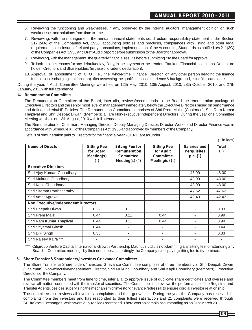- 6. Reviewing the functioning and weaknesses, if any, observed by the internal auditors, management opinion on such weaknesses and solutions from time to time.
- 7. Reviewing, with the management, the annual financial statements i.e. directors responsibility statement under Section 217(2AA) of the Companies Act, 1956, accounting policies and practices, compliances with listing and other legal requirements, disclosure of related party transactions, implementation of the Accounting Standards as notified u/s 211(3C) of the Companies Act, 1956 and Draft Audit Report before submission to the Board for approval.
- 8. Reviewing, with the management, the quarterly financial results before submitting it to the Board for approval.
- 9. To look into the reasons for any default/delay, if any, in the payment to the Lenders/Bankers/Financial Institutions, Debenture holder, Creditors and Shareholders (in case of dividend declaration).
- 10. Approval of appointment of CFO (i.e., the whole-time Finance Director or any other person heading the finance function or discharging that function) after assessing the qualifications, experience & background, etc. of the candidate.

During the year, 4 Audit Committee Meetings were held on 12th May, 2010, 13th August, 2010, 28th October, 2010, and 27th January, 2011 with full attendance.

#### **4. Remuneration Committee**

The Remuneration Committee of the Board, inter alia, reviews/recommends to the Board the remuneration package of Executive Directors and the senior most level of management immediately below the Executive Directors based on performance and defined criteria/HR Policies. The Remuneration Committee comprises of Shri Prem Malik, (Chairman), Shri Ram Kumar Thapliyal and Shri Deepak Diwan, (Members) all are Non-executive/Independent Directors. During the year one Committee Meeting was held on 13th August, 2010 with full attendance.

The Remuneration of Chairman, Managing Director, Deputy Managing Director, Director-Works and Director-Finance was in accordance with Schedule XIII of the Companies Act, 1956 and approved by members of the Company.

Details of remuneration paid to Directors for the financial year 2010-11 are as under:

(` in lacs)

| <b>Name of Director</b>                    | <b>Sitting Fee</b><br>for Board<br>Meeting(s) | <b>Sitting Fee for</b><br><b>Remuneration</b><br><b>Committee</b><br>Meeting(s) $( )$ | <b>Sitting Fee</b><br>for Audit<br><b>Committee</b><br>Meeting(s) $( )$ | Salaries and<br><b>Perquisites</b><br>p.a. $( )$ | <b>Total</b><br>$\left( \begin{array}{c} \cdot \\ \cdot \end{array} \right)$ |
|--------------------------------------------|-----------------------------------------------|---------------------------------------------------------------------------------------|-------------------------------------------------------------------------|--------------------------------------------------|------------------------------------------------------------------------------|
| <b>Executive Directors</b>                 |                                               |                                                                                       |                                                                         |                                                  |                                                                              |
| Shri Ajay Kumar Choudhary                  | ٠                                             | ٠                                                                                     | ٠                                                                       | 48.00                                            | 48.00                                                                        |
| Shri Mukund Choudhary                      | ٠                                             |                                                                                       |                                                                         | 48.00                                            | 48.00                                                                        |
| Shri Kapil Choudhary                       |                                               |                                                                                       |                                                                         | 48.00                                            | 48.00                                                                        |
| Shri Sitaram Parthasarathy                 |                                               |                                                                                       |                                                                         | 47.62                                            | 47.62                                                                        |
| Shri Amrit Agrawal                         | ٠                                             |                                                                                       | ۰                                                                       | 42.43                                            | 42.43                                                                        |
| <b>Non Executive/Independent Directors</b> |                                               |                                                                                       |                                                                         |                                                  |                                                                              |
| Shri Deepak Diwan                          | 0.22                                          | 0.11                                                                                  |                                                                         |                                                  | 0.33                                                                         |
| Shri Prem Malik                            | 0.44                                          | 0.11                                                                                  | 0.44                                                                    | ۰                                                | 0.99                                                                         |
| Shri Ram Kumar Thapliyal                   | 0.44                                          | 0.11                                                                                  | 0.44                                                                    |                                                  | 0.99                                                                         |
| Shri Shyamal Ghosh                         | 0.44                                          |                                                                                       |                                                                         |                                                  | 0.44                                                                         |
| Shri D P Singh                             | 0.33                                          |                                                                                       | ٠                                                                       |                                                  | 0.33                                                                         |
| Shri Rajeev Kalra ***                      |                                               |                                                                                       | $\overline{\phantom{a}}$                                                | ۰                                                |                                                                              |

Citigroup Venture Capital International Growth Partnership Mauritius Ltd., is not clamming any sitting fee for attending any Board or Committee meetings by their nominees, accordingly the Company is not paying sitting fee to its nominee.

#### **5. Share Transfer & Shareholders/Investors Grievance Committee:**

The Share Transfer & Shareholders'/Investors Grievance Committee comprises of three members viz. Shri Deepak Diwan (Chairman), Non-executive/Independent Director, Shri Mukund Choudhary and Shri Kapil Choudhary (Members), Executive Directors of the Company.

The Committee members meet from time to time, inter alia, to approve issue of duplicate share certificates and oversee and reviews all matters connected with the transfer of securities. The Committee also reviews the performance of the Registrar and Transfer Agents, besides supervising the mechanism of investor grievance redressal to ensure cordial investor relationship.

The committee also reviews all investors' complaints and their grievances. During the year the Company has received 11 complaints from the investors and has responded to their fullest satisfaction and 21 complaints were received through SEBI/Stock Exchanges, which were duly replied / redressed. There was no complaint outstanding as on 31st March 2011.

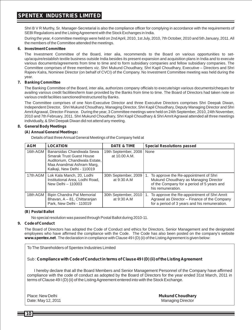Shri B V R Murthy, Sr. Manager-Secretarial is also the compliance officer for complying in accordance with the requirements of SEBI Regulations and the Listing Agreement with the Stock Exchanges in India.

During the year, 4 committee meetings were held on 2nd April, 2010, 1st July, 2010, 7th October, 2010 and 5th January, 2011. All the members of the Committee attended the meetings.

#### **6. Investment Committee**

The Investment Committee of the Board, inter alia, recommends to the Board on various opportunities to setup/acquire/establish textile business outside India besides its present expansion and acquisition plans in India and to execute various documents/agreements from time to time and to form subsidiary companies and fellow subsidiary companies. The Committee comprises of three members viz. Shri Mukund Choudhary, Shri Kapil Choudhary, Executive – Directors and Shri Rajeev Kalra, Nominee Director (on behalf of CVCI) of the Company. No Investment Committee meeting was held during the year.

#### **7. Banking Committee**

The Banking Committee of the Board, inter alia, authorizes company officials to execute/sign various documents/cheques for availing various credit facilities/term loan provided by the Banks from time to time. The Board of Directors had taken note on various credit facilities sanctioned/restructured by Banks.

The Committee comprises of one Non-Executive Director and three Executive Directors comprises Shri Deepak Diwan, Independent Director, Shri Mukund Choudhary, Managing Director, Shri Kapil Choudhary, Deputy Managing Director and Shri Amrit Agrawal, Director-Finance. During the year, 3 Committee meetings were held on 24th September, 2010, 24th November, 2010 and 7th February, 2011. Shri Mukund Choudhary, Shri Kapil Choudhary & Shri Amrit Agrawal attended all three meetings individually, & Shri Deepak Diwan did not attend any meeting.

#### **8. General Body Meetings**

#### **(A) Annual General Meetings:**

Details of last three Annual General Meetings of the Company held at

| <b>AGM</b> | <b>LOCATION</b>                                                                                                                                             | <b>DATE &amp; TIME</b>                | <b>Special Resolutions passed</b>                                                                                                                    |
|------------|-------------------------------------------------------------------------------------------------------------------------------------------------------------|---------------------------------------|------------------------------------------------------------------------------------------------------------------------------------------------------|
| 16th AGM   | Banarsidas Chandiwala Sewa<br><b>Smarak Trust Guest House</b><br>Auditorium, Chandiwala Estate.<br>Maa Anandmai Ashram Marg,<br>Kalkaji, New Delhi - 110019 | 19th September, 2008<br>at 10.00 A.M. | None                                                                                                                                                 |
|            | 17th AGM   Lok Kala Manch, 20, Lodhi<br>Institutional Area, Lodhi Road,<br>New Delhi - 110003                                                               | 30th September, 2009<br>at 9:30 A.M.  | 1. To approve the Re-appointment of Shri<br>Mukund Choudhary as Managing Director<br>of the Company for a period of 5 years and<br>his remuneration. |
| 18th AGM   | Bipin Chandra Pal Memorial<br>Bhavan, A - 81, Chittaranjan<br>Park, New Delhi - 110019                                                                      | 30th September, 2010<br>at 9:30 A.M.  | 1. To approve the Re-appointment of Shri Amrit<br>Agrawal as Director - Finance of the Company<br>for a period of 3 years and his remuneration.      |

#### **(B) Postal Ballot**

No special resolution was passed through Postal Ballot during 2010-11.

#### **9. Code of Conduct**

The Board of Directors has adopted the Code of Conduct and ethics for Directors, Senior Management and the designated employees who have affirmed the compliance with the Code. The Code has also been posted on the company's website **www.spentex.net**. The declaration in compliance with Clause 49 I (D) (ii) of the Listing Agreement is given below:

To The Shareholders of Spentex Industries Limited

Sub : **Compliance with Code of Conduct in terms of Clause 49 I (D) (ii) of the Listing Agreement**

I hereby declare that all the Board Members and Senior Management Personnel of the Company have affirmed compliance with the code of conduct as adopted by the Board of Directors for the year ended 31st March, 2011 in terms of Clause 49 I (D) (ii) of the Listing Agreement entered into with the Stock Exchange.

Date: May 12, 2011

Place: New Delhi **Mukund Choudhary**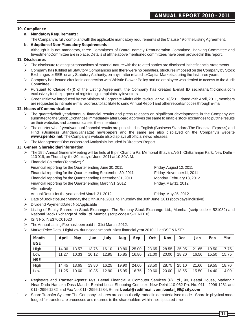#### **10. Compliance**

#### **a. Mandatory Requirements:**

The Company is fully compliant with the applicable mandatory requirements of the Clause 49 of the Listing Agreement.

#### **b. Adoption of Non-Mandatory Requirements:**

Although it is not mandatory, three Committees of Board, namely Remuneration Committee, Banking Committee and Investment Committee are in place. Details of all the above mentioned committees have been provided in this report.

#### **11. Disclosures**

- $\triangleright$  The disclosure relating to transactions of material nature with the related parties are disclosed in the financial statements.
- Ø Company has fulfilled all Statutory Compliances and there were no penalties, strictures imposed on the Company by Stock Exchanges or SEBI or any Statutory Authority, on any matter related to Capital Markets, during the last three years.
- Ø Company has issued circular in connection with Whistle Blower Policy and no employee was denied to access to the Audit Committee.
- Ø Pursuant to Clause 47(f) of the Listing Agreement, the Company has created E-mail ID secretarial@clcindia.com exclusively for the purpose of registering complaints by investors.
- Ø Green Initiative introduced by the Ministry of Corporate Affairs vide its circular No. 18/2011 dated 29th April, 2011, members are requested to intimate e-mail address to facilitate to send Annual Report and other reports/notices through e-mail.

#### **12. Means of Communication**

- Ø The quarterly/half yearly/annual financial results and press releases on significant developments in the Company are submitted to the Stock Exchanges immediately after Board approves the same to enable stock exchanges to put the results<br>on their websites and communicate to their members.
- on their websites and communicate to their members.<br>The quarterly/half-yearly/annual financial results are published in English (Business Standard/The Financial Express) and Hindi (Business Standard/Jansatta) newspapers and the same are also displayed on the Company's website Ø**www.spentex.net**. The Company's website also displays all official news releases.
- $\triangleright$  The Management Discussions and Analysis is included in Directors' Report.

#### **13. General Shareholder information**

- Ø The 19th Annual General Meeting will be held at Bipin Chandra Pal Memorial Bhavan, A-81, Chittaranjan Park, New Delhi 110 019, on Thursday, the 30th day of June, 2011 at 10:30 A.M.
- Ø Financial Calendar (Tentative) :`

| Financial reporting for the Quarter ending June 30, 2011      | ÷ | Friday, August 12, 2011   |
|---------------------------------------------------------------|---|---------------------------|
| Financial reporting for the Quarter ending September 30, 2011 | ÷ | Friday, November11, 2011  |
| Financial reporting for the Quarter ending December 31, 2011  | ÷ | Monday, February 13, 2012 |
| Financial reporting for the Quarter ending March 31, 2012     | ÷ | Friday, May 11, 2012      |
| Alternatively                                                 |   |                           |
| Annual Result for the year ended March 31, 2012               |   | Friday, May 25, 2012      |

- Ø Date of Book closure : Monday the 27th June, 2011 to Thursday the 30th June, 2011 (both days inclusive)
- Ø Dividend Payment Date : Not Applicable
- Ø Listing of Equity Shares on Stock Exchanges: The Bombay Stock Exchange Ltd., Mumbai (scrip code = 521082) and National Stock Exchange of India Ltd. Mumbai (scrip code = SPENTEX).
- Ø ISIN No. INE376C01020
- Ø The Annual Listing Fee has been paid till 31st March, 2012.
- $\triangleright$  Market Price Data : High/Low during each month in last financial year 2010-11 at BSE & NSE:

| <b>Month</b> | April | Mav   | Jun   | July  | Aug   | Sep   | Oct   | <b>Nov</b> | <b>Dec</b> | Jan   | Feb   | Mar   |
|--------------|-------|-------|-------|-------|-------|-------|-------|------------|------------|-------|-------|-------|
| <b>BSE</b>   |       |       |       |       |       |       |       |            |            |       |       |       |
| High         | 14.36 | 13.57 | 13.76 | 16.10 | 19.80 | 25.00 | 23.65 | 28.55      | 25.05      | 21.65 | 19.50 | 17.75 |
| Low          | 11.27 | 10.33 | 10.12 | 12.95 | 15.85 | 16.80 | 21.00 | 20.00      | 18.20      | 16.50 | 15.50 | 15.75 |
| <b>NSE</b>   |       |       |       |       |       |       |       |            |            |       |       |       |
| High         | 14.45 | 13.65 | 13.80 | 16.25 | 19.90 | 24.60 | 23.50 | 28.75      | 25.10      | 21.60 | 19.55 | 18.70 |
| Low          | 11.25 | 10.60 | 10.35 | 12.90 | 15.95 | 16.75 | 20.60 | 20.00      | 18.55      | 15.50 | 14.40 | 14.00 |

- $\triangleright$  Registrars and Transfer Agents: M/s. Beetal Financial & Computer Services (P) Ltd., 99, Beetal House, Madangir, Near Dada Harsukh Dass Mandir, Behind Local Shopping Complex, New Delhi 110 062 Ph. No. 011 - 2996 1281 and 011 - 2996 1282 and Fax No. 011 - 2996 1284, E-mail **beetal@rediffmail.com; beetal\_99@sify.com**
- $\triangleright$  Share Transfer System: The Company's shares are compulsorily traded in dematerialised mode. Share in physical mode lodged for transfer are processed and returned to the shareholders within the stipulated time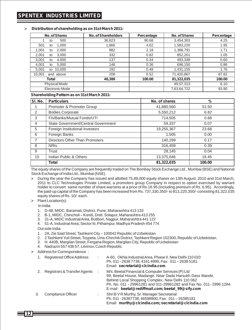#### Ø**Distribution of shareholding as on 31st March 2011:**

| No. of Shares         | <b>No. of Shareholders</b> | Percentage | No. of Shares | Percentage |
|-----------------------|----------------------------|------------|---------------|------------|
| 500<br>to             | 36.623                     | 90.68      | 3,454,303     | 4.25       |
| 501<br>1.000<br>to    | 1.866                      | 4.62       | 1,583,220     | 1.95       |
| 1.001<br>2.000<br>to  | 882                        | 2.18       | 1,388,791     | 1.71       |
| 2,001<br>3.000<br>to  | 332                        | 0.82       | 852,201       | 1.05       |
| 3.001<br>4.000<br>to  | 137                        | 0.34       | 493.348       | 0.60       |
| 4,001<br>5.000<br>to  | 146                        | 0.36       | 698,150       | 0.86       |
| 5,001<br>10.000<br>to | 192                        | 0.48       | 1,431,155     | 1.76       |
| 10.001<br>and above   | 208                        | 0.52       | 71,420,867    | 87.82      |
| Total                 | 40,386                     | 100.00     | 81,322,035    | 100.00     |
| <b>Physical Mode</b>  |                            |            | 49,57,313     | 6.10       |
| Electronic Mode       |                            |            | 7,63,64,722   | 93.90      |

#### **Shareholding Pattern as on 31st March 2011:**

| SI. No. | <b>Particulars</b>                  | No. of shares | %      |
|---------|-------------------------------------|---------------|--------|
|         | Promoter & Promoter Group           | 41,880,560    | 51.50  |
| 2       | <b>Bodies Corporate</b>             | 5,550,212     | 6.82   |
| 3       | Fls/Banks/Mutual Funds/UTI          | 714,505       | 0.88   |
| 4       | State Government/Central Government | 59,337        | 0.07   |
| 5       | Foreign Institutional Investors     | 19.255.367    | 23.68  |
| 6       | Foreign Banks                       | 1.505         | 0.00   |
| 7       | Directors Other Than Promoters      | 140,299       | 0.17   |
| 8       | <b>NRIS</b>                         | 316,459       | 0.39   |
| 9       | Trust                               | 28,145        | 0.04   |
| 10      | Indian Public & Others              | 13,375,646    | 16.45  |
|         | <b>Total</b>                        | 81,322,035    | 100.00 |

The equity shares of the Company are frequently traded on The Bombay Stock Exchange Ltd., Mumbai (BSE) and National Stock Exchange of India Ltd., Mumbai (NSE).

- Ø During the year the Company has issued and allotted 75,89,000 equity shares on 13th August, 2010 and 31st March, 2011 to CLC Technologies Private Limited, a promoters group Company in respect to option exercised by warrant holder to convert same number of share warrants at a price of Rs.16.95 (including premium of Rs. 6.95). Accordingly, the paid-up capital of the Company has been increased from Rs. 737,330,350/- to 813,220,350/- consisting 81,322,035 equity shares of Rs. 10/- each.
- $\triangleright$  Plant Location(s):

In India

- 1. D-48, MIDC, Baramati, District. Pune, Maharashtra 413 133
- 2. B-1, MIDC, Chincholi Kondi, Distt. Solapur, Maharashtra 413 255
- 3. 31-A, MIDC Industrial Area, Butibori, Nagpur, Maharashtra 441 122
- 4. 51-A, Industrial Area, Sector III, Pithampur, Madhya Pradesh 454 774

Out side India

- 1. 2A, Zie Said Street, Tashkent City 100042 Republic of Uzbekistan
- 2. 2 Tashkent Yuli Street, Toypeta, Urta-Chirchik District, Tashkent Region 102300, Republic of Uzbekistan.
- 3. H. 440B, Margilan Street, Fergana Region, Margilan City, Republic of Uzbekistan
- 4. Nadrazni 557 436 57, Litvinov, Czech Republic
- Ø Address for Correspondence :

|    | Registered Office Address         | A-60, Okhla Industrial Area, Phase II, New Delhi 110 020<br>Ph. 011 - 2638 7738, 4161 4999, Fax: 011 - 2638 5181.<br>Email: secretarial@clcindia.com                                                                                                                                            |
|----|-----------------------------------|-------------------------------------------------------------------------------------------------------------------------------------------------------------------------------------------------------------------------------------------------------------------------------------------------|
|    | 2. Registrars & Transfer Agents : | M/s. Beetal Financial & Computer Services (P) Ltd<br>99, Beetal House, Madangir, Near Dada Harsukh Dass Mandir,<br>Behind Local Shopping Complex, New Delhi 110 062<br>Ph. No. 011 - 29961281 and 011-29961282 and Fax No. 011- 2996 1284.<br>E-mail: beetal@rediffmail.com; beetal 99@sify.com |
| 3. | Compliance Officer                | Shri B V R Murthy, Sr. Manager Secretarial<br>Ph. 011 - 26387738, 46598900, Fax: 011 - 26385181<br>Email: murthy@clcindia.com; secretarial@clcindia.com                                                                                                                                         |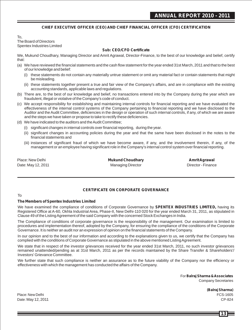#### **CHIEF EXECUTIVE OFFICER (CEO) AND CHIEF FINANCIAL OFFICER (CFO) CERTIFICATION**

To, The Board of Directors Spentex Industries Limited

#### **Sub: CEO/CFO Certificate**

We, Mukund Choudhary, Managing Director and Amrit Agrawal, Director-Finance, to the best of our knowledge and belief, certify that:

- (a) We have reviewed the financial statements and the cash flow statement for the year ended 31st March, 2011 and that to the best of our knowledge and belief:
	- (i) these statements do not contain any materially untrue statement or omit any material fact or contain statements that might be misleading.
	- (ii) these statements together present a true and fair view of the Company's affairs, and are in compliance with the existing accounting standards, applicable laws and regulations.
- (b) There are, to the best of our knowledge and belief, no transactions entered into by the Company during the year which are fraudulent, illegal or violative of the Company's code of conduct.
- (c) We accept responsibility for establishing and maintaining internal controls for financial reporting and we have evaluated the effectiveness of the internal control systems of the Company pertaining to financial reporting and we have disclosed to the Auditor and the Audit Committee, deficiencies in the design or operation of such internal controls, if any, of which we are aware and the steps we have taken or propose to take to rectify these deficiencies.
- (d) We have indicated to the auditors and the Audit Committee;
	- (i) significant changes in internal controls over financial reporting, during the year.
	- (ii) significant changes in accounting policies during the year and that the same have been disclosed in the notes to the financial statements and
	- (iii) instances of significant fraud of which we have become aware, if any, and the involvement therein, if any, of the management or an employee having significant role in the Company's internal control system over financial reporting.

Place: New Delhi **Mukund Choudhary Amrit Agrawal** Date: May 12, 2011 **Date: Managing Director Contract Contract Provide** Director - Finance

#### **CERTIFICATE ON CORPORATE GOVERNANCE**

#### To

#### **The Members of Spentex Industries Limited**

We have examined the compliance of conditions of Corporate Governance by **SPENTEX INDUSTRIES LIMITED,** having its Registered Office at A-60, Okhla Industrial Area, Phase-II, New Delhi-110 020 for the year ended March 31, 2011, as stipulated in Clause 49 of the Listing Agreement of the said Company with the concerned Stock Exchanges in India.

The Compliance of conditions of corporate governance is the responsibility of the management. Our examination is limited to procedures and implementation thereof, adopted by the Company, for ensuring the compliance of the conditions of the Corporate Governance. It is neither an audit nor an expression of opinion on the financial statements of the Company.

In our opinion and to the best of our information and according to the explanations given to us, we certify that the Company has complied with the conditions of Corporate Governance as stipulated in the above mentioned Listing Agreement.

We state that in respect of the investor grievances received for the year ended 31st March, 2011, no such investor grievances remained unattended/pending as at 31st March, 2011 as per the records maintained by the Share Transfer & Shareholders'/ Investors' Grievance Committee.

We further state that such compliance is neither an assurance as to the future viability of the Company nor the efficiency or effectiveness with which the management has conducted the affairs of the Company.

> For **Balraj Sharma & Associates** Company Secretaries

> > **(Balraj Sharma)**

Place: New Delhi FCS-1605 Date: May 12, 2011 CP-824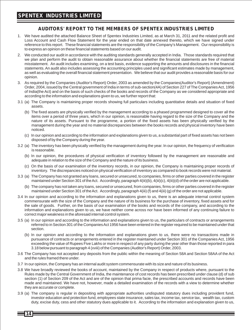### **AUDITORS' REPORT TO THE MEMBERS OF SPENTEX INDUSTRIES LIMITED**

- 1. We have audited the attached Balance Sheet of Spentex Industries Limited, as at March 31, 2011 and the related profit and Loss Account and Cash Flow Statement for the year ended on that date annexed thereto, which we have signed under reference to this report. These financial statements are the responsibility of the Company's Management. Our responsibility is to express an opinion on these financial statements based on our audit.
- 2. We conducted our audit in accordance with the auditing standards generally accepted in India. Those standards required that we plan and perform the audit to obtain reasonable assurance about whether the financial statements are free of material misstatement. An audit includes examining, on a test basis, evidence supporting the amounts and disclosures in the financial statements. An audit also includes assessing the accounting principles used and significant estimates made by management, as well as evaluating the overall financial statement presentation. We believe that our audit provides a reasonable basis for our opinion.
- 3. As required by the Companies (Auditor's Report) Order, 2003 as amended by the Companies(Auditor's Report) (Amendment) Order, 2004, issued by the Central government of India in terms of sub-section(4A) of Section 227 of The Companies Act, 1956 of India(the Act) and on the basis of such checks of the books and records of the Company as we considered appropriate and according to the information and explanations given to us, we further report that:
- 3.1 (a) The Company is maintaining proper records showing full particulars including quantitative details and situation of fixed assets.
	- (b) The fixed assets are physically verified by the management according to a phased programmed designed to cover all the items over a period of three years, which in our opinion, is reasonable having regard to the size of the Company and the nature of its assets. Pursuant to the programme, a portion of the fixed assets has been physically verified by the management during the year and no material discrepancies between the books records and physical inventory have been noticed.
	- (c) In our opinion and according to the information and explanations given to us, a substantial part of fixed assets has not been disposed of by the Company during the year.
- 3.2 (a) The inventory has been physically verified by the management during the year. In our opinion, the frequency of verification is reasonable.
	- (b) In our opinion, the procedures of physical verification of inventory followed by the management are reasonable and adequate in relation to the size of the Company and the nature of its business.
	- (c) On the basis of our examination of the inventory records, in our opinion, the Company is maintaining proper records of inventory. The discrepancies noticed on physical verification of inventory as compared to book records were not material.
- 3.3 (a) The Company has not granted any loans, secured or unsecured, to companies, firms or other parties covered in the register maintained under Section 301 of the Act. Accordingly, paragraph 4(iii)(b), 4(iii)(c), 4(iii)(d) of the order are not applicable.
	- (b) The company has not taken any loans, secured or unsecured, from companies, firms or other parties covered in the register maintained under Section 301 of the Act. Accordingly, paragraph 4(iii) (f) and 4(iii) (g) of the order are not applicable.
- 3.4 In our opinion and according to the information and explanations given to us, there is an adequate internal control system commensurate with the size of the Company and the nature of its business for the purchase of inventory, fixed assets and for the sale of goods. Further, on the basis of our examination of the books and records of the company, and according to the information and explanations given to us, we have neither come across nor have been informed of any continuing failure to correct major weakness in the aforesaid internal control system.
- 3.5 (a) In our opinion and according to the information and explanations given to us, the particulars of contracts or arrangements referred to in Section 301 of the Companies Act 1956 have been entered in the register required to be maintained under that section.
	- (b) In our opinion and according to the information and explanations given to us, there were no transactions made in pursuance of contracts or arrangements entered in the register maintained under Section 301 of the Companies Act, 1956 exceeding the value of Rupees Five Lakhs or more in respect of any party during the year other than those reported in para 3.18 below pursuant to paragraph 4 (xviii) of the Companies (Auditor's Report) Order, 2003.
- 3.6 The Company has not accepted any deposits from the public within the meaning of Section 58A and Section 58AA of the Act and the rules framed there under.
- 3.7 In our opinion, the Company has an internal audit system commensurate with its size and nature of its business.
- 3.8 We have broadly reviewed the books of account, maintained by the Company in respect of products where, pursuant to the Rules made by the Central Government of India, the maintenance of cost records has been prescribed under clause (d) of sub section (1) of Section 209 of the Act and are of the opinion that prima facie, the prescribed accounts and records have been made and maintained. We have not, however, made a detailed examination of the records with a view to determine whether they are accurate or complete.
- 3.9 (a) The company is regular in depositing with appropriate authorities undisputed statutory dues including provident fund, investor education and protection fund, employees state insurance, sales tax, income tax, service tax, wealth tax, custom duty, excise duty, cess and other statutory dues applicable to it. According to the information and explanation given to us,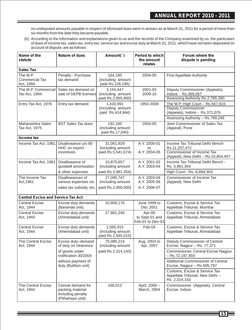no undisputed amounts payable in respect of aforesaid dues were in arrears as at March 31, 2011 for a period of more than six months from the date they became payable.

(b) According to the information and explanations given to us and the records of the Company examined by us, the particulars of dues of income tax, sales tax, entry tax, service tax and excise duty at March 31, 2011, which have not been deposited on account of dispute, are as follows :

| Name of the<br>statute                    | <b>Nature of dues</b>                                                          | Amount(`)                                             | Period to which<br>the amount<br>relates     | Forum where the<br>dispute is pending                                                                                         |
|-------------------------------------------|--------------------------------------------------------------------------------|-------------------------------------------------------|----------------------------------------------|-------------------------------------------------------------------------------------------------------------------------------|
| Sales Tax                                 |                                                                                |                                                       |                                              |                                                                                                                               |
| The M.P.<br>Commercial Tax<br>Act, 1994   | Penalty - Purchase<br>tax demand                                               | 164,195<br>(including amount<br>paid Rs.128,195)      | 2004-05                                      | <b>First Appellate Authority</b>                                                                                              |
| The M.P. Commercial<br>Tax Act, 1994      | Sales tax demand on<br>sale of DEPB licenses                                   | 3,154,447<br>(including amount<br>paid Rs.2,855,900)  | 2001-03<br>2009-10                           | Deputy Commissioner (Appeals),<br>Indore - Rs.369,057<br>Assessing Authority Rs.2,785,390                                     |
| Entry Tax Act, 1976                       | Entry tax demand                                                               | 1,420,991<br>(including amount<br>paid Rs.414,844)    | 1992-2008                                    | The M.P. High Court - Rs.567,816<br>Deputy Commissioner<br>(Appeals), Indore - Rs.371,076<br>Assessing Authority - Rs.799,246 |
| Maharashtra Sales<br>Tax Act, 1975        | <b>BST Sales Tax dues</b>                                                      | 192,160<br>(including amount<br>paid Rs.17,040)       | 2004-05                                      | Joint Commissioner of Sales Tax<br>(Appeal), Pune                                                                             |
| Income tax                                |                                                                                |                                                       |                                              |                                                                                                                               |
| Income Tax Act, 1961                      | Disallowance u/s 80<br>HHC on export<br>incentives                             | 31,061,929<br>(including amount<br>paid Rs.5,541,674) | A.Y. 2000-01<br>to<br>A.Y. 2004-05           | Income Tax Tribunal Delhi Bench-<br>Rs.11,207,472<br>Commissioner of Income Tax                                               |
|                                           |                                                                                |                                                       |                                              | (Appeal), New Delhi - Rs.19,854,457                                                                                           |
| Income Tax Act, 1961                      | Disallowance of<br>goodwill amortisation                                       | 10,875,657<br>(including amount                       | A.Y. 2001-02<br>A.Y. 2003-04                 | Income Tax Tribunal Delhi Bench -<br>Rs. 3,981,354                                                                            |
|                                           | & other expenses                                                               | paid Rs.3,981,354)                                    |                                              | High Court - Rs. 6,894,303                                                                                                    |
| The Income Tax<br>Act, 1961               | Disallowances of<br>various expenses viz.                                      | 27.095.747<br>(including amount                       | A.Y. 2003-04<br>A.Y. 2005-06                 | Commissioner of Income Tax<br>(Appeal), New Delhi                                                                             |
|                                           | sales tax subsidy, etc.                                                        | paid Rs.2,000,000)                                    | A.Y. 2006-07                                 |                                                                                                                               |
| <b>Central Excise and Service Tax Act</b> |                                                                                |                                                       |                                              |                                                                                                                               |
| <b>Central Excise</b><br>Act, 1944        | Excise duty demands<br>(Baramati unit)                                         | 10,806,176                                            | June 1999 to<br>Dec 2001                     | Customs, Excise & Service Tax<br>Appellate Tribunal, Mumbai                                                                   |
| <b>Central Excise</b><br>Act, 1944        | Excise duty demands<br>(Ahmedabad unit)                                        | 27,861,240                                            | Apr-00<br>to Sept-01 and<br>Feb-01 to Dec-01 | Customs, Excise & Service Tax<br>Appellate Tribunal, Ahmedabad                                                                |
| <b>Central Excise</b><br>Act, 1944        | Excise duty demands<br>(Ahemdabad unit)                                        | 1,565,015<br>(including amount<br>paid Rs.1,565,015)  | Feb-04                                       | Customs, Excise & Service Tax<br>Appellate Tribunal, Ahmadabad                                                                |
| <b>The Central Excise</b><br>Act, 1944    | Excise duty-demand<br>of duty on clearance                                     | 75,085,214<br>(including amount                       | Aug, 2004 to<br>Apr, 2007                    | Deputy Commissioner of Central<br>Excise, Nagpur - Rs. 77,371                                                                 |
|                                           | of goods under<br>notification 30/2004                                         | paid Rs.2,314,143)                                    |                                              | Commissioner, Central Excise Nagpur<br>$-$ Rs.72,187,903                                                                      |
|                                           | without payment of<br>duty (Butibori unit)                                     |                                                       |                                              | Additional Commissioner of Central<br>Excise, Nagpur - Rs.505,797                                                             |
|                                           |                                                                                |                                                       |                                              | Customs, Excise & Service Tax<br>Appellate Tribunal, New Delhi-<br>Rs. 2,314,143                                              |
| The Central Excise<br>Act, 1944           | Cenvat demand for<br>packing material<br>including penalty<br>(Pithampur unit) | 168,012                                               | April, 2000 -<br>March, 2004                 | Commissioner (Appeals), Central<br>Excise, Indore                                                                             |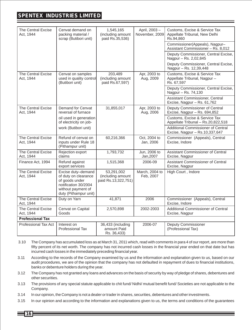### **SPENTEX INDUSTRIES LIMITED**

| <b>The Central Excise</b><br>Act. 1944 | Cenvat demand on<br>packing material /<br>scrap (Butibori unit)                                                                     | 1,545,165<br>(including amount<br>paid Rs.35,536)      | April, 2003-<br>November, 2009 | Customs, Excise & Service Tax<br>Appellate Tribunal, New Delhi<br>Rs.94,860 |
|----------------------------------------|-------------------------------------------------------------------------------------------------------------------------------------|--------------------------------------------------------|--------------------------------|-----------------------------------------------------------------------------|
|                                        |                                                                                                                                     |                                                        |                                | Commissioner(Appeals), Nagpur-<br>Assistant Commissioner - Rs. 8,012        |
|                                        |                                                                                                                                     |                                                        |                                | Deputy Commissioner, Central Excise,<br>Nagpur - Rs. 2,02,845               |
|                                        |                                                                                                                                     |                                                        |                                | Deputy Commissioner, Central Excise,<br>Nagpur - Rs. 12,39,448              |
| The Central Excise<br>Act, 1944        | Cenvat on samples<br>used in quality control<br>(Butibori unit)                                                                     | 203,489<br>(including amount<br>paid Rs.67,597)        | Apr, 2003 to<br>Aug, 2009      | Customs, Excise & Service Tax<br>Appellate Tribunal, Nagpur-<br>Rs. 67,597  |
|                                        |                                                                                                                                     |                                                        |                                | Deputy Commissioner, Central Excise,<br>Nagpur - Rs. 74,130                 |
|                                        |                                                                                                                                     |                                                        |                                | Assistant Commissioner, Central<br>Excise, Nagpur - Rs. 61,762              |
| <b>The Central Excise</b><br>Act, 1944 | Demand for Cenvat<br>reversal of furnace                                                                                            | 31,855,017                                             | Apr, 2003 to<br>Aug, 2006      | Deputy Commissioner of Central<br>Excise, Nagpur - Rs. 694,852              |
|                                        | oil used in generation<br>of electricity on job-                                                                                    |                                                        |                                | Customs, Excise & Service Tax<br>Appellate Tribunal - Rs.20,822,518         |
|                                        | work (Butibori unit)                                                                                                                |                                                        |                                | Additional Commissioner of Central<br>Excise, Nagpur - Rs.10,337,647        |
| <b>The Central Excise</b><br>Act, 1944 | Refund of cenvat on<br>inputs under Rule 18<br>(Pithampur unit)                                                                     | 60,216,366                                             | Oct. 2004 to<br>Jan, 2006      | Commissioner (Appeals), Central<br>Excise, Indore                           |
| The Central Excise<br>Act, 1944        | Rejection export<br>claims                                                                                                          | 1,793,732                                              | Jun, 2006 to<br>Jan, 2007      | Assistant Commissioner of Central<br>Excise, Nagpur                         |
| Finance Act, 1994                      | Refund against<br>export services                                                                                                   | 1,515,368                                              | 2006-09                        | Assistant Commissioner of Central<br>Excise, Nagpur                         |
| <b>The Central Excise</b><br>Act, 1944 | Excise duty-demand<br>of duty on clearance<br>of goods under<br>notification 30/2004<br>without payment of<br>duty (Pithampur unit) | 53,291,002<br>(including amount<br>paid Rs.13,322,751) | March, 2004 to<br>Feb, 2007    | High Court, Indore                                                          |
| The Central Excise<br>Act, 1944        | Duty on Yarn                                                                                                                        | 41,871                                                 | 2006                           | Commissioner (Appeals), Central<br>Excise, Indore                           |
| <b>The Central Excise</b><br>Act, 1944 | Cenvat on Capital<br>Goods                                                                                                          | 2,570,898                                              | 2002-2003                      | Additional Commissioner of Central<br>Excise, Nagpur                        |
| <b>Professional Tax</b>                |                                                                                                                                     |                                                        |                                |                                                                             |
| <b>Professional Tax Act</b>            | Interest on<br>Professional Tax                                                                                                     | 36,433 (including<br>amount Paid<br>Rs. 36,433)        | 2006-07                        | <b>Deputy Commissioner</b><br>(Professional Tax)                            |

- 3.10 The Company has accumulated loss as at March 31, 2011 which, read with comments in para 4 of our report, are more than fifty percent of its net worth. The company has not incurred cash losses in the financial year ended on that date but has incurred cash losses in the immediately preceding financial year.
- 3.11 According to the records of the Company examined by us and the information and explanation given to us, based on our audit procedures, we are of the opinion that the company has not defaulted in repayment of dues to financial institutions, banks or debenture holders during the year.
- 3.12 The Company has not granted any loans and advances on the basis of security by way of pledge of shares, debentures and other securities.
- 3.13 The provisions of any special statute applicable to chit fund/ Nidhi/ mutual benefit fund/ Societies are not applicable to the Company.
- 3.14 In our opinion, the Company is not a dealer or trader in shares, securities, debentures and other investments.
- 3.15 In our opinion and according to the information and explanations given to us, the terms and conditions of the guarantees
	- **16**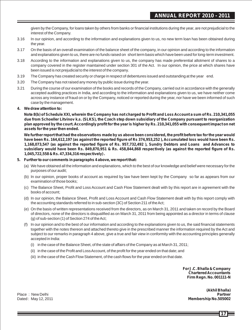given by the Company, for loans taken by others from banks or financial institutions during the year, are not prejudicial to the interest of the Company.

- 3.16 In our opinion, and according to the information and explanations given to us, no new term loan has been obtained during the year.
- 3.17 On the basis of an overall examination of the balance sheet of the company, in our opinion and according to the information and explanations given to us, there are no funds raised on short term basis which have been used for long-term investment.
- 3.18 According to the information and explanations given to us, the company has made preferential allotment of shares to a company covered in the register maintained under section 301 of the Act. In our opinion, the price at which shares have been issued is not prejudicial to the interest of the company.
- 3.19 The Company has created security or charge in respect of debentures issued and outstanding at the year end.
- 3.20 The Company has not raised any money by public issue during the year.
- 3.21 During the course of our examination of the books and records of the Company, carried out in accordance with the generally accepted auditing practices in India, and according to the information and explanations given to us, we have neither come across any instance of fraud on or by the Company, noticed or reported during the year, nor have we been informed of such case by the management.

#### **4. We draw attention to:**

**Note 8(b) of Schedule XXI, wherein the Company has not charged to Profit and Loss Account a sum of Rs. 210,341,055 due from Schoeller Litvinov k.s. (SLKS), the Czech step down subsidiary of the Company pursuant to reorganization plan approved by the court. Accordingly profit for the year is higher by Rs. 210,341,055 with consequent impact on net assets for the year then ended.**

**We further report that had the observations made by us above been considered, the profit before tax for the year would have been Rs. 164,612,197 (as against the reported figure of Rs 374,953,252 ), Accumulated loss would have been Rs. 1,168,073,547 (as against the reported figure of Rs. 957,732,492 ), Sundry Debtors and Loans and Advances to subsidiary would have been Rs. 849,870,951 & Rs. 458,844,868 respectively (as against the reported figure of Rs. 1,045,722,558 & Rs. 47,334,316 respectively) .**

- **5. Further to our comments in paragraphs 4 above, we report that:**
	- (a) We have obtained all the information and explanations, which to the best of our knowledge and belief were necessary for the purposes of our audit;
	- (b) In our opinion, proper books of account as required by law have been kept by the Company so far as appears from our examination of those books;
	- (c) The Balance Sheet, Profit and Loss Account and Cash Flow Statement dealt with by this report are in agreement with the books of account;
	- (d) In our opinion, the Balance Sheet, Profit and Loss Account and Cash Flow Statement dealt with by this report comply with the accounting standards referred to in sub-section (3C) of Section 211 of the Act;
	- (e) On the basis of written representations received from the directors, as on March 31, 2011 and taken on record by the Board of directors, none of the directors is disqualified as on March 31, 2011 from being appointed as a director in terms of clause (g) of sub-section (1) of Section 274 of the Act;
	- (f) In our opinion and to the best of our information and according to the explanations given to us, the said financial statements together with the notes thereon and attached thereto give in the prescribed manner the information required by the Act and subject to our remarks in paragraph 4 above, give a true and fair view in conformity with the accounting principles generally accepted in India:
		- (i) in the case of the Balance Sheet, of the state of affairs of the Company as at March 31, 2011;
		- (ii) in the case of the Profit and Loss Account, of the profit for the year ended on that date; and
		- (iii) in the case of the Cash Flow Statement, of the cash flows for the year ended on that date.

**For J.C. Bhalla & Company Chartered Accountants Firm Regn. No. 001111-N** 

**(Akhil Bhalla)** Place : New Delhi **Partner Membership No.505002**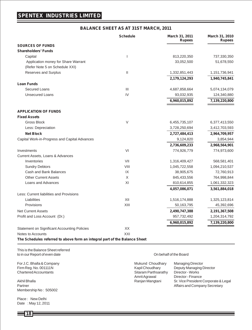#### **BALANCE SHEET AS AT 31ST MARCH, 2011**

|                                                                            | <b>Schedule</b> | March 31, 2011<br><b>Rupees</b> | March 31, 2010<br><b>Rupees</b> |
|----------------------------------------------------------------------------|-----------------|---------------------------------|---------------------------------|
| <b>SOURCES OF FUNDS</b>                                                    |                 |                                 |                                 |
| <b>Shareholders' Funds</b>                                                 |                 |                                 |                                 |
| Capital                                                                    | ı               | 813,220,350                     | 737,330,350                     |
| Application money for Share Warrant                                        |                 | 33,052,500                      | 51,678,550                      |
| (Refer Note 5 on Schedule XXI)                                             |                 |                                 |                                 |
| Reserves and Surplus                                                       | $\mathbf{II}$   | 1,332,851,443                   | 1,151,736,941                   |
|                                                                            |                 | 2,179,124,293                   | 1,940,745,841                   |
| <b>Loan Funds</b>                                                          |                 |                                 |                                 |
| Secured Loans                                                              | III             | 4,687,858,664                   | 5,074,134,079                   |
| <b>Unsecured Loans</b>                                                     | IV              | 93,032,935                      | 124,340,880                     |
|                                                                            |                 | 6,960,015,892                   | 7,139,220,800                   |
| <b>APPLICATION OF FUNDS</b>                                                |                 |                                 |                                 |
| <b>Fixed Assets</b>                                                        |                 |                                 |                                 |
| <b>Gross Block</b>                                                         | $\vee$          | 6,455,735,107                   | 6,377,413,550                   |
| Less: Depreciation                                                         |                 | 3,728,250,694                   | 3,412,703,593                   |
| <b>Net Block</b>                                                           |                 | 2,727,484,413                   | 2,964,709,957                   |
| Capital Work-in-Progress and Capital Advances                              |                 | 9,124,820                       | 3,854,944                       |
|                                                                            |                 | 2,736,609,233                   | 2,968,564,901                   |
| Investments                                                                | VI              | 774,926,779                     | 774,973,600                     |
| Current Assets, Loans & Advances                                           |                 |                                 |                                 |
| Inventories                                                                | VII             | 1,316,409,427                   | 568,581,401                     |
| <b>Sundry Debtors</b>                                                      | VIII            | 1,045,722,558                   | 1,094,210,537                   |
| Cash and Bank Balances                                                     | IX              | 38,905,675                      | 72,760,913                      |
| <b>Other Current Assets</b>                                                | X               | 845,433,556                     | 764,998,844                     |
| Loans and Advances                                                         | XI              | 810,614,855                     | 1,061,332,323                   |
|                                                                            |                 | 4,057,086,071                   | 3,561,884,018                   |
| Less: Current liabilities and Provisions                                   |                 |                                 |                                 |
| Liabilities                                                                | XII             | 1,516,174,888                   | 1,325,123,814                   |
| Provisions                                                                 | XIII            | 50,163,795                      | 45,392,696                      |
| <b>Net Current Assets</b>                                                  |                 | 2,490,747,388                   | 2,191,367,508                   |
| Profit and Loss Account (Dr.)                                              |                 | 957,732,492                     | 1,204,314,792                   |
|                                                                            |                 | 6,960,015,892                   | 7,139,220,800                   |
| <b>Statement on Significant Accounting Policies</b>                        | XX              |                                 |                                 |
| Notes to Accounts                                                          | XXI             |                                 |                                 |
| The Schedules referred to above form an integral part of the Balance Sheet |                 |                                 |                                 |

This is the Balance Sheet referred to in our Report of even date On behalf of the Board

Membership No : 505002

Place : New Delhi Date : May 12, 2011

| For J.C. Bhalla & Company    | Mukund Choudhary     | <b>Managing Director</b>             |
|------------------------------|----------------------|--------------------------------------|
| Firm Reg. No. 001111N        | Kapil Choudhary      | Deputy Managing Director             |
| <b>Chartered Accountants</b> | Sitaram Parthsarathy | Director - Works                     |
|                              | Amrit Agrawal        | Director - Finance                   |
| Akhil Bhalla                 | Ranjan Mangtani      | Sr. Vice President Corporate & Legal |
| Partner                      |                      | Affairs and Company Secretary        |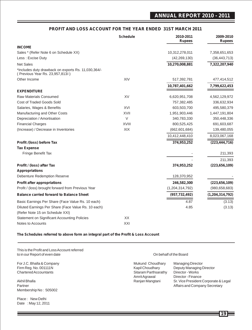### **ANNUAL REPORT 2010 - 2011**

#### **PROFIT AND LOSS ACCOUNT FOR THE YEAR ENDED 31ST MARCH 2011**

|                                                                                         | <b>Schedule</b> | 2010-2011<br><b>Rupees</b> | 2009-2010<br><b>Rupees</b> |
|-----------------------------------------------------------------------------------------|-----------------|----------------------------|----------------------------|
| <b>INCOME</b>                                                                           |                 |                            |                            |
| Sales * (Refer Note 6 on Schedule XX)                                                   |                 | 10,312,278,011             | 7,358,651,653              |
| Less: Excise Duty                                                                       |                 | (42, 269, 130)             | (36, 443, 713)             |
| <b>Net Sales</b>                                                                        |                 | 10,270,008,881             | 7,322,207,940              |
| *Includes duty drawback on exports Rs. 11,030,364/-<br>(Previous Year Rs. 23,957,813/-) |                 |                            |                            |
| Other Income                                                                            | XIV             | 517,392,781                | 477,414,512                |
|                                                                                         |                 | 10,787,401,662             | 7,799,622,453              |
| <b>EXPENDITURE</b>                                                                      |                 |                            |                            |
| <b>Raw Materials Consumed</b>                                                           | XV              | 6,620,951,708              | 4,562,129,972              |
| Cost of Traded Goods Sold                                                               |                 | 757,382,485                | 336,632,934                |
| Salaries, Wages & Benefits                                                              | XVI             | 603,503,700                | 495,580,379                |
| Manufacturing and Other Costs                                                           | XVII            | 1,951,903,446              | 1,447,191,804              |
| Depreciation / Amortisation                                                             | $\vee$          | 340,783,330                | 350,448,336                |
| <b>Financial Charges</b>                                                                | <b>XVIII</b>    | 800,525,425                | 691,603,687                |
| (Increase) / Decrease in Inventories                                                    | XIX             | (662, 601, 684)            | 139,480,055                |
|                                                                                         |                 | 10,412,448,410             | 8,023,067,168              |
| Profit /(loss) before Tax                                                               |                 | 374,953,252                | (223, 444, 716)            |
| <b>Tax Expense</b>                                                                      |                 |                            |                            |
| Fringe Benefit Tax                                                                      |                 |                            | 211,393                    |
|                                                                                         |                 |                            | 211,393                    |
| Profit / (loss) after Tax                                                               |                 | 374,953,252                | (223, 656, 109)            |
| <b>Appropriations</b>                                                                   |                 |                            |                            |
| <b>Debenture Redemption Reserve</b>                                                     |                 | 128,370,952                |                            |
| <b>Profit after appropriations</b>                                                      |                 | 246,582,300                | (223, 656, 109)            |
| Profit / (loss) brought forward from Previous Year                                      |                 | (1,204,314,792)            | (980, 658, 683)            |
| <b>Balance carried forward to Balance Sheet</b>                                         |                 | (957, 732, 492)            | (1,204,314,792)            |
| Basic Earnings Per Share (Face Value Rs. 10 each)                                       |                 | 4.87                       | (3.13)                     |
| Diluted Earnings Per Share (Face Value Rs. 10 each)                                     |                 | 4.85                       | (3.13)                     |
| (Refer Note 15 on Schedule XXI)                                                         |                 |                            |                            |
| <b>Statement on Significant Accounting Policies</b>                                     | XX              |                            |                            |
| Notes to Accounts                                                                       | XXI             |                            |                            |

#### **The Schedules referred to above form an integral part of the Profit & Loss Account**

This is the Profit and Loss Account referred to in our Report of even date On behalf of the Board

Membership No : 505002

Place : New Delhi Date : May 12, 2011

For J.C. Bhalla & Company **Mukund Choudhary Managing Director**<br>Firm Reg. No. 001111N Museum Museum Managing I Nukund Choudhary Deputy Managing I Firm Reg. No. 001111N<br>
Chartered Accountants<br>
Chartered Accountants<br>
Chartered Accountants Sitaram Parthsarathy<br>Amrit Agrawal Director - Finance Akhil Bhalla Ranjan Mangtani Sr. Vice President Corporate & Legal Partner Affairs and Company Secretary and The Partner Affairs and Company Secretary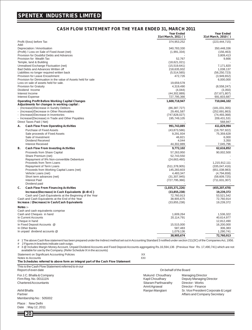### **CASH FLOW STATEMENT FOR THE YEAR ENDED 31, MARCH 2011**

|                                                                                                                                                                                                                                                                                                | <b>Year Ended</b><br>31st March, 2011 () | <b>Year Ended</b><br>31st March, 2010 () |
|------------------------------------------------------------------------------------------------------------------------------------------------------------------------------------------------------------------------------------------------------------------------------------------------|------------------------------------------|------------------------------------------|
| Profit /(loss) before Tax<br>Add:                                                                                                                                                                                                                                                              | 374,953,252                              | (223, 444, 715)                          |
| Depreciation / Amortisation                                                                                                                                                                                                                                                                    | 340.783.330                              | 350.448.336                              |
| (Profit) / Loss on Sale of Fixed Asset (net)<br>Provision for Doubtful Debts and Advances                                                                                                                                                                                                      | (1,991,334)                              | (156, 463)<br>3,809,413                  |
| Provision for Wealth Tax                                                                                                                                                                                                                                                                       | 52,767                                   | 9,666                                    |
| Temple, land & Building                                                                                                                                                                                                                                                                        | (18,621,021)                             |                                          |
| Unrealised Exchange Fluctuation (net)                                                                                                                                                                                                                                                          | (15,519,641)                             | 7,171,820                                |
| Bad Debts and Advances Written off                                                                                                                                                                                                                                                             | 218,635,932                              | 1,038,137                                |
| Liabilities no longer required written back                                                                                                                                                                                                                                                    | (5,514,565)                              | (56, 250, 723)                           |
| Provision for Leave Encashment<br>Provision for Diminuation in the value of Assets held for sale                                                                                                                                                                                               | 472,726                                  | (3,949,652)                              |
| Loss on sale of assets held for sale.                                                                                                                                                                                                                                                          | 19,659,578                               | 6,000,000                                |
| Provision for Gratuity                                                                                                                                                                                                                                                                         | 4,319,490                                | (8,558,247)                              |
| Dividend Income                                                                                                                                                                                                                                                                                | (4,044)                                  | (3,350)                                  |
| Interest Income                                                                                                                                                                                                                                                                                | (44, 302, 889)                           | (57,671,807)                             |
| <b>Interest Expense</b>                                                                                                                                                                                                                                                                        | 727,795,366                              | 691,603,687                              |
| <b>Operating Profit Before Working Capital Changes</b>                                                                                                                                                                                                                                         | 1,600,718,947                            | 710,046,102                              |
| Adjustments for changes in working capital :                                                                                                                                                                                                                                                   |                                          |                                          |
| - (Increase)/Decrease in Sundry Debtors                                                                                                                                                                                                                                                        | (86, 387, 727)                           | (181, 031, 355)                          |
| (Increase)/Decrease in Other Receivables                                                                                                                                                                                                                                                       | 29,491,587                               | (252, 691, 863)                          |
| (Increase)/Decrease in Inventories<br>- Increase/(Decrease) in Trade and Other Payables                                                                                                                                                                                                        | (747, 828, 027)<br>195,749,105           | (74, 493, 368)<br>209,431,531            |
| Direct Taxes Paid (Net)                                                                                                                                                                                                                                                                        |                                          | 568,947                                  |
| А.<br><b>Cash Flow From Operating Activities</b>                                                                                                                                                                                                                                               | 991,743,885                              | 411,829,994                              |
| <b>Purchase of Fixed Assets</b>                                                                                                                                                                                                                                                                | (43,873,586)                             | (19,797,922)                             |
| Sale proceeds of Fixed Assets                                                                                                                                                                                                                                                                  | 9,291,934                                | 75,359,628                               |
| Sale of Investment                                                                                                                                                                                                                                                                             | 46,821                                   | 6,000                                    |
| Dividend Received                                                                                                                                                                                                                                                                              | 4,044                                    | 3,350                                    |
| <b>Interest Received</b>                                                                                                                                                                                                                                                                       | 44,302,889                               | 7,045,796                                |
| в.<br><b>Cash Flow From Investing Activities</b>                                                                                                                                                                                                                                               | 9,772,102                                | 62,616,852                               |
| Proceeds from Share Capital                                                                                                                                                                                                                                                                    | 57,263,950                               | 90,002,500                               |
| Share Premium (net)                                                                                                                                                                                                                                                                            | 52,743,550                               |                                          |
| Repayment of 9% Non-convertible Debenture                                                                                                                                                                                                                                                      | (24,663,460)                             |                                          |
| Proceeds from Term Loans                                                                                                                                                                                                                                                                       |                                          | 1,215,912,111                            |
| Repayment of Term Loans                                                                                                                                                                                                                                                                        | (511, 378, 905)                          | (335,047,416)                            |
| Proceeds from Working Capital Loans (net)                                                                                                                                                                                                                                                      | 145,283,603                              | (651,038,983)                            |
| Vehicle Loans (net)<br>Short term advances (net)                                                                                                                                                                                                                                               | 4,483,347<br>(31, 307, 945)              | (4,794,658)<br>(58,609,725)              |
| <b>Interest Paid</b>                                                                                                                                                                                                                                                                           | (727, 795, 366)                          | (711, 631, 307)                          |
| Dividend paid                                                                                                                                                                                                                                                                                  |                                          |                                          |
| C.<br><b>Cash Flow From Financing Activities</b>                                                                                                                                                                                                                                               | (1,035,371,226)                          | (455, 207, 478)                          |
| Increase/(Decrease) in Cash Equivalents {A+B+C}                                                                                                                                                                                                                                                | (33,855,238)                             | 19,239,372                               |
| Cash and Cash Equivalents at the Beginning of the Year                                                                                                                                                                                                                                         | 72,760,913                               | 53,521,542                               |
| Cash and Cash Equivalents at the End of the Year                                                                                                                                                                                                                                               | 38,905,675                               | 72,760,914                               |
| Increase / (Decrease) in Cash/Cash Equivalents                                                                                                                                                                                                                                                 | (33,855,238)                             | 19,239,372                               |
| Notes :-                                                                                                                                                                                                                                                                                       |                                          |                                          |
| Cash and cash equivalents comprise                                                                                                                                                                                                                                                             |                                          |                                          |
| Cash and Cheques in hand                                                                                                                                                                                                                                                                       | 1,609,264                                | 1,536,322                                |
| In Current Accounts                                                                                                                                                                                                                                                                            | 20,114,791                               | 40,614,977                               |
| Cheque in hand<br>In Fixed Deposit Accounts @                                                                                                                                                                                                                                                  | 15,515,000                               | 12,812,490<br>16,200,000                 |
| In Other Banks                                                                                                                                                                                                                                                                                 | 587,483                                  | 306,383                                  |
| In unpaid dividend accounts @                                                                                                                                                                                                                                                                  | 1,079,136                                | 1,290,741                                |
|                                                                                                                                                                                                                                                                                                | 38,905,674                               | 72,760,913                               |
| # 1 The above Cash flow statement has been prepared under the Indirect method set out in Accounting Standard 3 notified under section 211 (3C) of the Companies Act, 1956.                                                                                                                     |                                          |                                          |
| 2 Figures in brackets indicate cash outgo.<br>#<br>3 @ Includes Margin Money Account, Unpaid Dividend Accounts and Fixed Deposit Accounts aggregating Rs.16,594,136 (Previous Year Rs. 17,490,741) which are not<br>#<br>available for use by the Company. (Refer Schedule IX in the accounts) |                                          |                                          |
| Statement on Significant Accounting Policies                                                                                                                                                                                                                                                   | XX                                       |                                          |
| Notes to Accounts                                                                                                                                                                                                                                                                              | XXI                                      |                                          |
| The Schedules referred to above form an integral part of the Cash Flow Statement                                                                                                                                                                                                               |                                          |                                          |
| This is the Cash Flow Statement referred to in our                                                                                                                                                                                                                                             |                                          |                                          |

| This is the Cash Flow Statement referred to in our<br>Report of even date | On behalf of the Board                |                                                      |  |  |
|---------------------------------------------------------------------------|---------------------------------------|------------------------------------------------------|--|--|
| For J.C. Bhalla & Company<br>Firm Reg. No. 001111N                        | Mukund Choudhary<br>Kapil Choudhary   | <b>Managing Director</b><br>Deputy Managing Director |  |  |
| Chartered Accountants                                                     | Sitaram Parthsarathy<br>Amrit Agrawal | Director - Works<br>Director - Finance               |  |  |
| Akhil Bhalla                                                              | Ranjan Mangtani                       | Sr. Vice President Corporate & Legal                 |  |  |
| Partner<br>Membership No: 505002                                          |                                       | Affairs and Company Secretary                        |  |  |
| Place: New Delhi<br>Date: May 12, 2011                                    |                                       |                                                      |  |  |

**20**

Ξ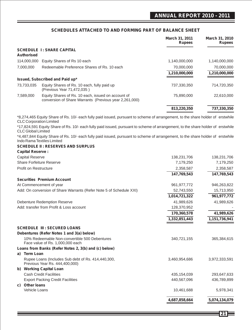### **SCHEDULES ATTACHED TO AND FORMING PART OF BALANCE SHEET**

|    |                                                                                                                                                                   |                                                        | <b>March 31, 2011</b><br><b>Rupees</b> | March 31, 2010<br><b>Rupees</b> |
|----|-------------------------------------------------------------------------------------------------------------------------------------------------------------------|--------------------------------------------------------|----------------------------------------|---------------------------------|
|    | <b>SCHEDULE 1: SHARE CAPITAL</b><br>Authorised                                                                                                                    |                                                        |                                        |                                 |
|    | 114,000,000<br>Equity Shares of Rs 10 each                                                                                                                        |                                                        | 1,140,000,000                          | 1,140,000,000                   |
|    | 7,000,000<br>Redeemable Preference Shares of Rs. 10 each                                                                                                          |                                                        | 70,000,000                             | 70,000,000                      |
|    |                                                                                                                                                                   |                                                        | 1,210,000,000                          | 1,210,000,000                   |
|    | Issued, Subscribed and Paid up*                                                                                                                                   |                                                        |                                        |                                 |
|    | 73,733,035<br>Equity Shares of Rs. 10 each, fully paid up<br>(Previous Year 71,472,035)                                                                           |                                                        | 737,330,350                            | 714,720,350                     |
|    | 7,589,000<br>Equity Shares of Rs. 10 each, issued on account of                                                                                                   | conversion of Share Warrants (Previous year 2,261,000) | 75,890,000                             | 22,610,000                      |
|    |                                                                                                                                                                   |                                                        | 813,220,350                            | 737,330,350                     |
|    | *8,274,465 Equity Share of Rs. 10/- each fully paid issued, pursuant to scheme of arrangement, to the share holder of erstwhile<br><b>CLC Corporation Limited</b> |                                                        |                                        |                                 |
|    | *17,824,591 Equity Share of Rs. 10/- each fully paid issued, pursuant to scheme of arrangement, to the share holder of erstwhile<br><b>CLC Global Limited</b>     |                                                        |                                        |                                 |
|    | *4,487,844 Equity Share of Rs. 10/- each fully paid issued, pursuant to scheme of arrangement, to the share holder of erstwhile<br>Indo Rama Textiles Limited     |                                                        |                                        |                                 |
|    | <b>SCHEDULE II: RESERVES AND SURPLUS</b>                                                                                                                          |                                                        |                                        |                                 |
|    | <b>Capital Reserve:</b>                                                                                                                                           |                                                        |                                        |                                 |
|    | <b>Capital Reserve</b>                                                                                                                                            |                                                        | 138,231,706                            | 138,231,706                     |
|    | Share Forfeiture Reserve                                                                                                                                          |                                                        | 7,179,250                              | 7,179,250                       |
|    | Profit on Restructure                                                                                                                                             |                                                        | 2,358,587                              | 2,358,587                       |
|    |                                                                                                                                                                   |                                                        | 147,769,543                            | 147,769,543                     |
|    | <b>Securities Premium Account</b>                                                                                                                                 |                                                        |                                        |                                 |
|    | At Commencement of year                                                                                                                                           |                                                        | 961, 977, 772                          | 946,263,822                     |
|    | Add: On conversion of Share Warrants (Refer Note 5 of Schedule XXI)                                                                                               |                                                        | 52,743,550                             | 15,713,950                      |
|    |                                                                                                                                                                   |                                                        | 1,014,721,322                          | 961, 977, 772                   |
|    | <b>Debenture Redemption Reserve</b>                                                                                                                               |                                                        | 41,989,626                             | 41,989,626                      |
|    | Add: transfer from Profit & Loss account                                                                                                                          |                                                        | 128,370,952                            |                                 |
|    |                                                                                                                                                                   |                                                        | 170,360,578                            | 41,989,626                      |
|    |                                                                                                                                                                   |                                                        | 1,332,851,443                          | 1,151,736,941                   |
|    |                                                                                                                                                                   |                                                        |                                        |                                 |
|    | <b>SCHEDULE III : SECURED LOANS</b>                                                                                                                               |                                                        |                                        |                                 |
|    | Debentures (Refer Notes 1 and 3(a) below)                                                                                                                         |                                                        |                                        |                                 |
|    | 10% Redeemable Non-convertible 500 Debentures<br>Face value of Rs. 1,000,000 each                                                                                 |                                                        | 340,721,155                            | 365,384,615                     |
|    | Loans from Banks (Refer Notes 2, 3(b) and (c) below)                                                                                                              |                                                        |                                        |                                 |
| a) | <b>Term Loan</b>                                                                                                                                                  |                                                        |                                        |                                 |
|    | Rupee Loans (Includes Sub debt of Rs. 414,440,300,<br>Previous Year Rs. 444,400,000)                                                                              |                                                        | 3,460,954,686                          | 3,972,333,591                   |
|    | b) Working Capital Loan                                                                                                                                           |                                                        |                                        |                                 |
|    | <b>Cash Credit Facilities</b>                                                                                                                                     |                                                        | 435,154,039                            | 293,647,633                     |
|    | <b>Export Packing Credit Facilities</b>                                                                                                                           |                                                        | 440,567,096                            | 436,789,899                     |
|    | c) Other loans                                                                                                                                                    |                                                        |                                        |                                 |
|    | Vehicle Loans                                                                                                                                                     |                                                        | 10,461,688                             | 5,978,341                       |
|    |                                                                                                                                                                   |                                                        | 4,687,858,664                          | 5,074,134,079                   |

**21**

Ξ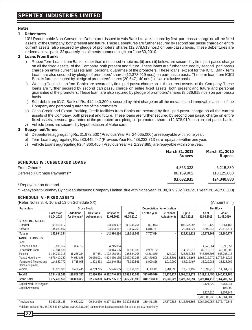#### **Notes :**

#### **1 Debentures**

10% Redeemable Non-Convertible Debentures issued to Axis Bank Ltd. are secured by first pari-passu charge on all the fixed assets of the Company, both present and future. These Debentures are further secured by second pari passu charge on entire current assets, also secured by pledge of promoters' shares (12,378,919 nos.) on pari-passu basis. These debentures are redeemable at par in 32 quarterly installments commencing from June 30, 2010.

#### **2 Loans From Banks**

- Rupee Term Loans from Banks, other than mentioned in note no. (ii) and (iii) below, are secured by first pari-passu charge on all the fixed assets of the Company, both present and future. These loans are further secured by second pari passu charge on entire current assets and personal guarantee of the promoters. These loans, except for the ICICI Bank Term Loan, are also secured by pledge of promoters' shares (12,378,919 nos.) on pari-passu basis. The term loan from ICICI Bank is further secured by pledge of promoters' shares (20,647,140 nos.), on an exclusive basis.
- ii) Working Capital Loan from Banks are secured by first pari-passu charge on all the current assets of the Company. These loans are further secured by second pari passu charge on entire fixed assets, both present and future and personal guarantee of the promoters. These loan, are also secured by pledge of promoters' shares (8,536,918 nos.) on pari-passu basis.
- iii) Sub-debt from ICICI Bank of Rs. 414,440,300 is secured by third charge on all the movable and immovable assets of the Company and personal guarantee of the promoters
- iv) Cash Credit and Export Packing Credit facilities from Banks are secured by first pari-passu charge on all the current assets of the Company, both present and future. These loans are further secured by second pari passu charge on entire fixed assets, personal guarantee of the promoters and pledge of promoters' shares (12,378,919 nos.) on pari-passu basis.
- v) Vehicle loans are secured by hypothecation of Motor cars.

#### **3 Repayment Terms**

- a) Debentures aggregating Rs. 31,972,500 ( Previous Year Rs. 24,665,000 ) are repayable within one year.
- b) Term Loans aggregating Rs. 580,445,447 (Previous Year Rs. 438,233,713 ) are repayable within one year.
- c) Vehicle Loans aggregating Rs. 4,360,450 (Previous Year Rs. 2,297,885) are repayable within one year.

|                                                                                                                                                                                                                                     | March 31, 2011<br><b>Rupees</b> | March 31, 2010<br><b>Rupees</b> |
|-------------------------------------------------------------------------------------------------------------------------------------------------------------------------------------------------------------------------------------|---------------------------------|---------------------------------|
| <b>SCHEDULE IV: UNSECURED LOANS</b>                                                                                                                                                                                                 |                                 |                                 |
| From Others*                                                                                                                                                                                                                        | 4,863,033                       | 6,215,880                       |
| Deferred Purchase Payments**                                                                                                                                                                                                        | 88.169.902                      | 118,125,000                     |
|                                                                                                                                                                                                                                     | 93.032.935                      | 124.340.880                     |
| $\overline{a}$ , and the contract of the contract of the contract of the contract of the contract of the contract of the contract of the contract of the contract of the contract of the contract of the contract of the contract o |                                 |                                 |

\* Repayable on demand

\*\*Repayable to Bombay Dying Manufacturing Company Limited, due within one year Rs. 88,169,902 (Previous Year Rs. 56,250,000)

#### **SCHEDULE V - FIXED ASSETS**

| (Refer Notes 3, 4, 10 and 13 on Schedule XX)<br>(Amount in `) |                                   |                                                   |                           |                          |                    |              |                           |                     |                             |                     |
|---------------------------------------------------------------|-----------------------------------|---------------------------------------------------|---------------------------|--------------------------|--------------------|--------------|---------------------------|---------------------|-----------------------------|---------------------|
| <b>Particulars</b>                                            |                                   | <b>Gross Block</b><br>Depreciation / Amortisation |                           |                          |                    | Net Block    |                           |                     |                             |                     |
|                                                               | Cost as at<br>01.04.2010          | Additions<br>for the year*                        | Deletions/<br>Adjustments | Cost as at<br>31.03.2011 | Upto<br>01.04.2010 | For the year | Deletions/<br>Adjustments | Up to<br>31.03.2011 | As at<br>31.03.2011         | As at<br>31.03.2010 |
| <b>INTANGIBLE ASSETS</b>                                      |                                   |                                                   |                           |                          |                    |              |                           |                     |                             |                     |
| Goodwill                                                      | 108.910.417                       |                                                   |                           | 108.910.417              | 105,346,254        | 891,043      |                           | 106.237.297         | 2,673,120                   | 3,564,163           |
| Software                                                      | 34,083,867                        |                                                   |                           | 34,083,867               | 13,667,253         | 6,816,771    |                           | 20,484,024          | 13,599,843                  | 20,416,614          |
| Total A                                                       | 142,994,284                       |                                                   |                           | 142,994,284              | 119,013,507        | 7,707,814    | $\overline{\phantom{a}}$  | 126,721,321         | 16,272,963                  | 23,980,777          |
| <b>TANGIBLE ASSETS</b>                                        |                                   |                                                   |                           |                          |                    |              |                           |                     |                             |                     |
| Land                                                          |                                   |                                                   |                           |                          |                    |              |                           |                     |                             |                     |
| - Freehold Land                                               | 3,890,357                         | 354,707                                           |                           | 4,245,064                |                    |              |                           |                     | 4,245,064                   | 3,890,357           |
| - Leasehold Land                                              | 53,944,536                        |                                                   |                           | 53,944,536               | 11,936,036         | 2,989,182    |                           | 14,925,218          | 39,019,318                  | 42,008,500          |
| Building                                                      | 1,154,390,318                     | 18,266,314                                        | 467.681                   | 1.172.188.951            | 285,594,205        | 43,211,879   | 124.030                   | 328.682.055         | 843,506,896                 | 868,796,113         |
| Plant & Machinery*                                            | 4,876,410,280                     | 74,061,876                                        | 26,036,021                | 4,924,436,135            | 2,903,769,258      | 273,470,508  | 20,816,601                | 3,156,423,165       | ,768,012,970                | 1,972,641,022       |
| Furniture & Fixtures and                                      | 114,857,770                       | 8,715,045                                         | 1,323,333                 | 122,249,482              | 76,329,561         | 8,900,836    | 1,010,900                 | 84,219,497          | 38,029,985                  | 38,528,209          |
| Office equipment                                              |                                   |                                                   |                           |                          |                    |              |                           |                     |                             |                     |
| Vehicle                                                       | 30,926,005                        | 9,460,445                                         | 4,709,795                 | 35,676,655               | 16,061,026         | 4,503,111    | 3,284,698                 | 17.279.439          | 18,397,216                  | 14,864,979          |
| <b>Total B</b>                                                | 6,234,419,266                     | 110,858,387                                       | 32,536,830                | 6,312,740,823            | 3,293,690,086      | 333,075,516  | 25,236,227                | 3,601,529,373       | 2,711,211,450               | 2,940,729,180       |
| <b>Grand Total</b>                                            | 6,377,413,550                     | 110.858.387                                       | 32,536,830                | 6,455,735,107            | 3,412,703,593      | 340,783,330  | 25,236,227                | 3,728,250,694       | 2,727,484,413 2,964,709,957 |                     |
| Capital Work -in-Progress<br>Capital Advances                 | 9,124,820<br>3,751,044<br>103,900 |                                                   |                           |                          |                    |              |                           |                     |                             |                     |

9,124,820 3,854,944

2,736,609,233 2,968,564,901

Previous Year 6,363,105,188 44,651,292 29,342,930 6,377,413,550 3,089,625,645 350,448,336 27,370,388 3,412,703,593 2,964,709,957 3,272,479,543 \*Addition includes Rs. 58,723,533 (Previous year 20,331,794) transfer from fixed assets held for sale to plant & machinery.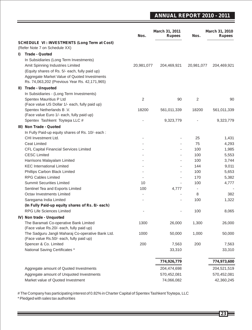## **ANNUAL REPORT 2010 - 2011**

|     |                                                                                      | Nos.                     | March 31, 2011<br><b>Rupees</b> | Nos.                     | March 31, 2010<br><b>Rupees</b> |
|-----|--------------------------------------------------------------------------------------|--------------------------|---------------------------------|--------------------------|---------------------------------|
|     | <b>SCHEDULE VI: INVESTMENTS (Long Term at Cost)</b><br>(Refer Note 7 on Schedule XX) |                          |                                 |                          |                                 |
| I)  | <b>Trade - Quoted</b>                                                                |                          |                                 |                          |                                 |
|     | In Subsidiaries (Long Term Investments)                                              |                          |                                 |                          |                                 |
|     | Amit Spinning Industries Limited                                                     | 20,981,077               | 204,469,921                     | 20,981,077               | 204,469,921                     |
|     | (Equity shares of Rs. 5/- each, fully paid up)                                       |                          |                                 |                          |                                 |
|     | Aggregate Market Value of Quoted Investments                                         |                          |                                 |                          |                                 |
|     | Rs. 74,063,202 (Previous Year Rs. 42,171,965)                                        |                          |                                 |                          |                                 |
| II) | <b>Trade - Unquoted</b>                                                              |                          |                                 |                          |                                 |
|     | In Subsidiaries - (Long Term Investments)                                            |                          |                                 |                          |                                 |
|     | Spentex Mauritius P Ltd                                                              | $\overline{2}$           | 90                              | $\overline{2}$           | 90                              |
|     | (Face value US Dollar 1/- each, fully paid up)                                       |                          |                                 |                          |                                 |
|     | Spentex Netherlands B.V.                                                             | 18200                    | 561,011,339                     | 18200                    | 561,011,339                     |
|     | (Face value Euro 1/- each, fully paid up)                                            |                          |                                 |                          |                                 |
|     | Spentex Tashkent Toytepa LLC #                                                       |                          | 9,323,779                       |                          | 9,323,779                       |
|     | III) Non Trade - Quoted                                                              |                          |                                 |                          |                                 |
|     | In Fully Paid-up equity shares of Rs. 10/- each :                                    |                          |                                 |                          |                                 |
|     | CHI Investment Ltd.                                                                  |                          |                                 | 25                       | 1,431                           |
|     | <b>Ceat Limited</b>                                                                  | ٠                        |                                 | 75                       | 4,293                           |
|     | CFL Capital Financial Services Limited                                               | ÷,                       |                                 | 100                      | 1,985                           |
|     | <b>CESC Limited</b>                                                                  |                          |                                 | 100                      | 5,553                           |
|     | Harrisons Malayalam Limited                                                          |                          |                                 | 100                      | 3,744                           |
|     | <b>KEC</b> International Limited                                                     | ÷                        |                                 | 144                      | 9,011                           |
|     | Phillips Carbon Black Limited                                                        | ÷,                       |                                 | 100                      | 5,653                           |
|     | <b>RPG Cables Limited</b>                                                            | $\sim$                   | $\blacksquare$                  | 170                      | 5,382                           |
|     | <b>Summit Securities Limited</b>                                                     | 10                       |                                 | 100                      | 4,777                           |
|     | Sentinel Tea and Exports Limited                                                     | 100                      | 4,777                           | $\overline{\phantom{a}}$ |                                 |
|     | Octav Investments Limited                                                            | $\overline{\phantom{a}}$ |                                 | 8                        | 382                             |
|     | Saregama India Limited                                                               | ä,                       | $\blacksquare$                  | 100                      | 1,322                           |
|     | (In Fully Paid-up equity shares of Rs. 8/- each)<br><b>RPG Life Sciences Limited</b> |                          |                                 | 100                      |                                 |
|     |                                                                                      |                          |                                 |                          | 8,065                           |
|     | IV) Non trade - Unquoted                                                             |                          |                                 |                          |                                 |
|     | The Baramati Co-operative Bank Limited<br>(Face value Rs.20/- each, fully paid up)   | 1300                     | 26,000                          | 1,300                    | 26,000                          |
|     | The Sadguru Jangli Maharaj Co-operative Bank Ltd.                                    | 1000                     | 50,000                          | 1,000                    | 50,000                          |
|     | (Face value Rs.50/- each, fully paid up)                                             |                          |                                 |                          |                                 |
|     | Spencer & Co. Limited                                                                | 200                      | 7,563                           | 200                      | 7,563                           |
|     | National Saving Certificates *                                                       |                          | 33,310                          |                          | 33,310                          |
|     |                                                                                      |                          |                                 |                          |                                 |
|     |                                                                                      |                          | 774,926,779                     |                          | 774,973,600                     |
|     | Aggregate amount of Quoted Investments                                               |                          | 204,474,698                     |                          | 204,521,519                     |
|     | Aggregate amount of Unquoted Investments                                             |                          | 570,452,081                     |                          | 570,452,081                     |
|     | Market value of Quoted Investment                                                    |                          | 74,066,082                      |                          | 42,360,245                      |

# The Company has participating interest of 0.82% in Charter Capital of Spentex Tashkent Toytepa, LLC

\* Pledged with sales tax authorities

<u> Termin de la provincia de la pro</u>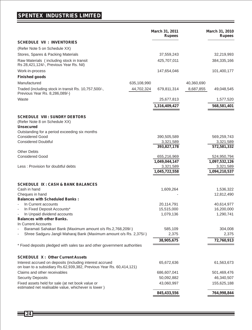## **SPENTEX INDUSTRIES LIMITED**

|                                                                                                         |             | March 31, 2011<br><b>Rupees</b> |            | March 31, 2010<br><b>Rupees</b> |
|---------------------------------------------------------------------------------------------------------|-------------|---------------------------------|------------|---------------------------------|
| <b>SCHEDULE VII : INVENTORIES</b>                                                                       |             |                                 |            |                                 |
| (Refer Note 5 on Schedule XX)                                                                           |             |                                 |            |                                 |
| Stores, Spares & Packing Materials                                                                      |             | 37,559,243                      |            | 32,219,993                      |
| Raw Materials (including stock in transit<br>Rs 28,421,124/-, Previous Year Rs. Nil)                    |             | 425,707,011                     |            | 384,335,166                     |
| Work-in-process                                                                                         |             | 147,654,046                     |            | 101,400,177                     |
| <b>Finished goods</b>                                                                                   |             |                                 |            |                                 |
| Manufactured                                                                                            | 635,108,990 |                                 | 40,360,690 |                                 |
| Traded (including stock in transit Rs. 10,757,500/-,<br>Previous Year Rs. 8,286,089/-)                  | 44,702,324  | 679,811,314                     | 8,687,855  | 49,048,545                      |
| Waste                                                                                                   |             | 25,677,813                      |            | 1,577,520                       |
|                                                                                                         |             | 1,316,409,427                   |            | 568,581,401                     |
| <b>SCHEDULE VIII : SUNDRY DEBTORS</b><br>(Refer Note 8 on Schedule XX)<br><b>Unsecured</b>              |             |                                 |            |                                 |
| Outstanding for a period exceeding six months                                                           |             |                                 |            |                                 |
| <b>Considered Good</b>                                                                                  |             | 390,505,589                     |            | 569,259,743                     |
| <b>Considered Doubtful</b>                                                                              |             | 3,321,589<br>393,827,178        |            | 3,321,589<br>572,581,332        |
| <b>Other Debts</b>                                                                                      |             |                                 |            |                                 |
| <b>Considered Good</b>                                                                                  |             | 655,216,969                     |            | 524,950,794                     |
|                                                                                                         |             | 1,049,044,147                   |            | 1,097,532,126                   |
| Less: Provision for doubtful debts                                                                      |             | 3,321,589                       |            | 3,321,589                       |
|                                                                                                         |             | 1,045,722,558                   |            | 1,094,210,537                   |
| <b>SCHEDULE IX: CASH &amp; BANK BALANCES</b>                                                            |             |                                 |            |                                 |
| Cash in hand                                                                                            |             | 1,609,264                       |            | 1,536,322                       |
| Cheques in hand                                                                                         |             |                                 |            | 12,812,490                      |
| <b>Balances with Scheduled Banks:</b><br>In Current accounts<br>$\overline{\phantom{a}}$                |             |                                 |            |                                 |
| In Fixed Deposit Accounts*<br>$\overline{\phantom{a}}$                                                  |             | 20,114,791<br>15,515,000        |            | 40,614,977<br>16,200,000        |
| In Unpaid dividend accounts<br>$\overline{\phantom{a}}$                                                 |             | 1,079,136                       |            | 1,290,741                       |
| <b>Balances with other Banks.</b>                                                                       |             |                                 |            |                                 |
| In Current Accounts<br>Baramati Sahakari Bank (Maximum amount o/s Rs.2,768,209/-)                       |             | 585,109                         |            | 304,008                         |
| Shree Sadguru Jangli Maharaj Bank (Maximum amount o/s Rs. 2,375/-)                                      |             | 2,375                           |            | 2,375                           |
|                                                                                                         |             | 38,905,675                      |            | 72,760,913                      |
| * Fixed deposits pledged with sales tax and other government authorities                                |             |                                 |            |                                 |
| <b>SCHEDULE X: Other Current Assets</b>                                                                 |             |                                 |            |                                 |
| Interest accrued on deposits (including interest accrued                                                |             | 65,672,636                      |            | 61,563,673                      |
| on loan to a subsidiary Rs.62,939,382, Previous Year Rs. 60,414,121)                                    |             |                                 |            |                                 |
| Claims and other receivables                                                                            |             | 686,607,041                     |            | 501,469,476                     |
| <b>Security Deposits</b>                                                                                |             | 50,092,882                      |            | 46,340,507                      |
| Fixed assets held for sale (at net book value or<br>estimated net realisable value, whichever is lower) |             | 43,060,997                      |            | 155,625,188                     |
|                                                                                                         |             | 845,433,556                     |            | 764,998,844                     |

 $\equiv$  24 $\equiv$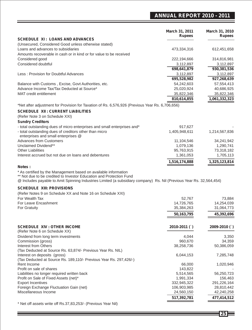## **ANNUAL REPORT 2010 - 2011**

|                                                                                                                                                                                                                                                                | March 31, 2011<br><b>Rupees</b> | <b>March 31, 2010</b><br><b>Rupees</b> |
|----------------------------------------------------------------------------------------------------------------------------------------------------------------------------------------------------------------------------------------------------------------|---------------------------------|----------------------------------------|
| <b>SCHEDULE XI: LOANS AND ADVANCES</b>                                                                                                                                                                                                                         |                                 |                                        |
| (Unsecured, Considered Good unless otherwise stated)                                                                                                                                                                                                           |                                 |                                        |
| Loans and advances to subsidiaries                                                                                                                                                                                                                             | 473,334,316                     | 612,451,658                            |
| Amounts recoverable in cash or in kind or for value to be received                                                                                                                                                                                             |                                 |                                        |
| Considered good                                                                                                                                                                                                                                                | 222,194,666                     | 314,816,981                            |
| Considered doubtful                                                                                                                                                                                                                                            | 3,112,897                       | 3,112,897                              |
|                                                                                                                                                                                                                                                                | 698,641,879                     | 930,381,536                            |
| Less : Provision for Doubtful Advances                                                                                                                                                                                                                         | 3,112,897                       | 3,112,897                              |
|                                                                                                                                                                                                                                                                | 695,528,982                     | 927,268,639                            |
| Balance with Customs, Excise, Govt Authorities, etc.<br>Advance Income Tax/Tax Deducted at Source*                                                                                                                                                             | 54,242,603                      | 57,554,413                             |
|                                                                                                                                                                                                                                                                | 25,020,924                      | 40,686,925                             |
| <b>MAT</b> credit entitlement                                                                                                                                                                                                                                  | 35,822,346                      | 35,822,346                             |
|                                                                                                                                                                                                                                                                | 810,614,855                     | 1,061,332,323                          |
| *Net after adjustment for Provision for Taxation of Rs. 6,576,926 (Previous Year Rs. 6,706,656)                                                                                                                                                                |                                 |                                        |
| <b>SCHEDULE XII : CURRENT LIABILITIES</b>                                                                                                                                                                                                                      |                                 |                                        |
| (Refer Note 3 on Schedule XXI)                                                                                                                                                                                                                                 |                                 |                                        |
| <b>Sundry Creditors</b>                                                                                                                                                                                                                                        |                                 |                                        |
| - total outstanding dues of micro enterprises and small enterprises and*                                                                                                                                                                                       | 917,627                         |                                        |
| - total outstanding dues of creditors other than micro                                                                                                                                                                                                         | 1,405,948,611                   | 1,214,567,836                          |
| enterprises and small enterprises @                                                                                                                                                                                                                            |                                 |                                        |
| <b>Advances from Customers</b>                                                                                                                                                                                                                                 | 11,104,546                      | 34,241,942                             |
| Unclaimed Dividend**                                                                                                                                                                                                                                           | 1,079,136                       | 1,290,741                              |
| <b>Other Liabilities</b>                                                                                                                                                                                                                                       | 95,763,915                      | 73,318,182                             |
| Interest accrued but not due on loans and debentures                                                                                                                                                                                                           | 1,361,053                       | 1,705,113                              |
|                                                                                                                                                                                                                                                                | 1,516,174,888                   | 1,325,123,814                          |
| * As certified by the Management based on available information<br>** Not due to be credited to Investor Education and Protection Fund<br>@ Includes payable to Amit Spinning Industries Limited (a subsidiary company) Rs. Nil (Previous Year Rs. 32,564,454) |                                 |                                        |
|                                                                                                                                                                                                                                                                |                                 |                                        |
| <b>SCHEDULE XIII: PROVISIONS</b>                                                                                                                                                                                                                               |                                 |                                        |
| (Refer Notes 9 on Schedule XX and Note 16 on Schedule XXI)                                                                                                                                                                                                     |                                 |                                        |
| For Wealth Tax<br>For Leave Encashment                                                                                                                                                                                                                         | 52,767                          | 73,884                                 |
| For Gratuity                                                                                                                                                                                                                                                   | 14,726,765<br>35,384,263        | 14,254,039<br>31,064,773               |
|                                                                                                                                                                                                                                                                |                                 |                                        |
|                                                                                                                                                                                                                                                                | 50,163,795                      | 45,392,696                             |
|                                                                                                                                                                                                                                                                |                                 |                                        |
| <b>SCHEDULE XIV : OTHER INCOME</b><br>(Refer Note 6 on Schedule XX)                                                                                                                                                                                            | 2010-2011 ()                    | 2009-2010 ()                           |
| Dividend from long term investments                                                                                                                                                                                                                            | 4,044                           | 3,350                                  |
| Commission (gross)                                                                                                                                                                                                                                             | 960,670                         | 34,359                                 |
| Interest from Others                                                                                                                                                                                                                                           | 38,258,736                      | 50,386,059                             |
| (Tax Deducted at Source Rs. 63,874/- Previous Year Rs. NIL)                                                                                                                                                                                                    |                                 |                                        |
| Interest on deposits (gross)                                                                                                                                                                                                                                   | 6,044,153                       | 7,285,748                              |
| (Tax Deducted at Source Rs. 189,110/- Previous Year Rs. 297,426/-)                                                                                                                                                                                             |                                 |                                        |
| Rent Income                                                                                                                                                                                                                                                    | 66,000                          | 1,020,946                              |
| Profit on sale of shares                                                                                                                                                                                                                                       | 143,822                         |                                        |
| Liabilities no longer required written back                                                                                                                                                                                                                    | 5,514,565                       | 56,250,723                             |
| Profit on Sale of Fixed Assets (net)*                                                                                                                                                                                                                          | 1,991,334                       | 156,463                                |
| <b>Export Incentives</b>                                                                                                                                                                                                                                       | 332,945,322                     | 291,226,164                            |
| Foreign Exchange Fluctuation Gain (net)                                                                                                                                                                                                                        | 106,903,985                     | 28,810,442                             |
| Miscellaneous Income                                                                                                                                                                                                                                           | 24,560,150                      | 42,240,258                             |
|                                                                                                                                                                                                                                                                | 517,392,781                     | 477,414,512                            |
| * Not off assets write off Rs 37 83 253/ (Previous Vear Nil)                                                                                                                                                                                                   |                                 |                                        |

Net off assets write off Rs.37,83,253/- (Previous Year Nil) 

**25**

Ξ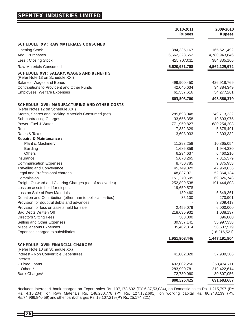### **SPENTEX INDUSTRIES LIMITED**

|                                                                            | 2010-2011<br><b>Rupees</b> | 2009-2010<br><b>Rupees</b> |
|----------------------------------------------------------------------------|----------------------------|----------------------------|
| <b>SCHEDULE XV : RAW MATERIALS CONSUMED</b>                                |                            |                            |
| <b>Opening Stock</b>                                                       | 384, 335, 167              | 165,521,492                |
| Add: Purchases                                                             | 6,662,323,552              | 4,780,943,646              |
| Less: Closing Stock                                                        | 425,707,011                | 384,335,166                |
| <b>Raw Materials Consumed</b>                                              | 6,620,951,708              | 4,562,129,972              |
| <b>SCHEDULE XVI: SALARY, WAGES AND BENEFITS</b>                            |                            |                            |
| (Refer Note 13 on Schedule XXI)                                            |                            |                            |
| Salaries, Wages and Bonus                                                  | 499,900,450                | 426,918,769                |
| Contributions to Provident and Other Funds                                 | 42,045,634                 | 34,384,349                 |
| <b>Employees Welfare Expenses</b>                                          | 61,557,616                 | 34,277,261                 |
|                                                                            | 603,503,700                | 495,580,379                |
| SCHEDULE XVII : MANUFACTURING AND OTHER COSTS                              |                            |                            |
| (Refer Notes 12 on Schedule XXI)                                           |                            |                            |
| Stores, Spares and Packing Materials Consumed (net)                        | 285,693,048                | 249,713,332                |
| Sub-contracting Charges                                                    | 33,656,358                 | 19,693,975                 |
| Power, Fuel & Water                                                        | 771,959,827                | 680,254,208                |
| Rent                                                                       | 7,882,329                  | 5,678,491                  |
| Rates & Taxes                                                              | 3,608,033                  | 2,303,332                  |
| <b>Repairs &amp; Maintenance:</b>                                          |                            |                            |
| Plant & Machinery                                                          | 11,293,258                 | 10,865,054                 |
| <b>Building</b>                                                            | 1,686,859                  | 1,944,330                  |
| Others                                                                     | 6,294,637                  | 6,460,216                  |
| Insurance                                                                  | 5,678,265                  | 7,315,379                  |
| <b>Communication Expenses</b>                                              | 8,750,785                  | 9,875,958                  |
| <b>Traveling and Conveyance</b>                                            | 45,749,329                 | 42,969,636                 |
| Legal and Professional charges                                             | 48,837,071                 | 52,364,134                 |
| Commission                                                                 | 151,270,505                | 69,826,748                 |
| Freight Outward and Clearing Charges (net of recoveries)                   | 252,899,538                | 191,444,803                |
| Loss on assets held for disposal                                           | 19,659,578                 |                            |
| Loss on Sale of Raw Materials                                              | 189,460                    | 6,649,361                  |
| Donation and Contribution (other than to political parties)                | 35,100                     | 270,901                    |
| Provision for doubtful debts and advances                                  |                            | 3,809,413                  |
| Provision for loss on assets held for sale                                 | 2,456,079                  | 6,000,000                  |
| <b>Bad Debts Written Off</b>                                               | 218,635,932                | 1,038,137                  |
| Directors Sitting Fees                                                     | 308,000                    | 396,000                    |
| Selling and Other Expenses                                                 | 39,957,141                 | 35,997,338                 |
| Miscellaneous Expenses                                                     | 35,402,314                 | 58,537,579                 |
| Expenses charged to subsidiaries                                           |                            | (16, 216, 521)             |
|                                                                            | 1,951,903,446              | 1,447,191,804              |
| <b>SCHEDULE XVIII: FINANCIAL CHARGES</b><br>(Refer Note 10 on Schedule XX) |                            |                            |
| Interest - Non Convertible Debentures                                      | 41,802,328                 | 37,939,306                 |
| Interest                                                                   |                            |                            |
| - Fixed Loans                                                              | 402,002,256                | 353,434,711                |
| - Others*                                                                  | 283,990,781                | 219,422,614                |
| Bank Charges*                                                              | 72,730,060                 | 80,807,056                 |
|                                                                            | 800,525,425                | 691,603,687                |

\*Includes interest & bank charges on Export sales Rs. 107,173,692 (PY 6,87,53,084), on Domestic sales Rs. 1,215,797 (PY Rs. 4,15,204), on Raw Materials Rs. 148,280,778 (PY Rs. 127,182,691), on working capital Rs. 80,943,139 (PY. Rs.74,966,840.59) and other bank charges Rs. 19,107,219 (PY Rs. 25,174,821)

126目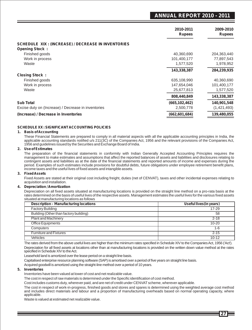### **ANNUAL REPORT 2010 - 2011**

|                                                           | 2010-2011<br><b>Rupees</b> | 2009-2010<br><b>Rupees</b> |
|-----------------------------------------------------------|----------------------------|----------------------------|
| <b>SCHEDULE XIX: (INCREASE) / DECREASE IN INVENTORIES</b> |                            |                            |
| <b>Opening Stock:</b>                                     |                            |                            |
| Finished goods                                            | 40,360,690                 | 204,363,440                |
| Work in process                                           | 101,400,177                | 77,897,543                 |
| Waste                                                     | 1,577,520                  | 1,978,952                  |
|                                                           | 143,338,387                | 284,239,935                |
| <b>Closing Stock:</b>                                     |                            |                            |
| Finished goods                                            | 635,108,990                | 40,360,690                 |
| Work in process                                           | 147,654,046                | 101,400,177                |
| Waste                                                     | 25,677,813                 | 1,577,520                  |
|                                                           | 808,440,849                | 143,338,387                |
| <b>Sub Total</b>                                          | (665, 102, 462)            | 140,901,548                |
| Excise duty on (Increase) / Decrease in inventories       | 2,500,778                  | (1,421,493)                |
| (Increase) / Decrease in Inventories                      | (662,601,684)              | 139,480,055                |

#### **SCHEDULE XX : SIGNIFICANT ACCOUNTING POLICIES**

#### **1. Basis of Accounting**

These Financial Statements are prepared to comply in all material aspects with all the applicable accounting principles in India, the<br>applicable accounting standards notified u/s 211(3C) of the Companies Act, 1956 and the 1956 and guidelines issued by the Securities and Exchange Board of India.

#### **2. Use of Estimates**

The preparation of the financial statements in conformity with Indian Generally Accepted Accounting Principles requires the management to make estimates and assumptions that affect the reported balances of assets and liabilities and disclosures relating to contingent assets and liabilities as at the date of the financial statements and reported amounts of income and expenses during the period. Examples of such estimates include provisions for doubtful debts, future obligations under employee retirement benefit plans, income taxes and the useful lives of fixed assets and intangible assets.

#### **3. Fixed Assets**

Fixed Assets are stated at their original cost including freight, duties (net of CENVAT), taxes and other incidental expenses relating to acquisition and installation.

#### **4. Depreciation / Amortization**

Depreciation on all fixed assets situated at manufacturing locations is provided on the straight line method on a pro-rata basis at the rates determined on the basis of useful lives of the respective assets. Management estimates the useful lives for the various fixed assets situated at manufacturing locations as follows

| <b>Description - Manufacturing locations</b> | Useful lives (in years) |
|----------------------------------------------|-------------------------|
| <b>Factory Building</b>                      | $17 - 29$               |
| Building (Other than factory building)       | 58                      |
| <b>Plant and Machinery</b>                   | $2 - 18$                |
| <b>Office Equipments</b>                     | $10 - 20$               |
| Computers                                    | $1 - 6$                 |
| <b>Furniture and Fixtures</b>                | $2 - 15$                |
| Vehicles                                     | $10 - 12$               |

The rates derived from the above useful lives are higher than the minimum rates specified in Schedule XIV to the Companies Act, 1956 ('Act'). Depreciation for all fixed assets at locations other than at manufacturing locations is provided on the written down value method at the rates specified in Schedule XIV to the Act.

Leasehold land is amortized over the lease period on a straight line basis.

Capitalised enterprise resource planning software (SAP) is amortised over a period of five years on straight line basis.

Acquired goodwill is amortized using the straight-line method over a period of 10 years.

#### **5. Inventories**

Inventories have been valued at lower of cost and net realizable value.

The cost in respect of raw materials is determined under the Specific identification of cost method.

Cost includes customs duty, wherever paid, and are net of credit under CENVAT scheme, wherever applicable.

The cost in respect of work-in-progress, finished goods and stores and spares is determined using the weighted average cost method and includes direct materials and labour and a proportion of manufacturing overheads based on normal operating capacity, where applicable.

Waste is valued at estimated net realizable value.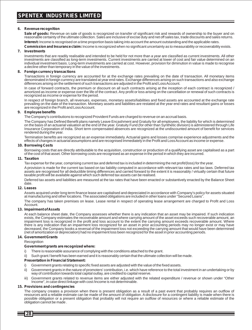#### **6. Revenue recognition**

Sale of goods: Revenue on sale of goods is recognized on transfer of significant risk and rewards of ownership to the buyer and on reasonable certainty of the ultimate collection. Sales are inclusive of excise duty and net off sales tax, trade discounts and sales returns.

**Interest:** Income is recognised on a time proportion basis taking into account the amount outstanding and the applicable rates.

**Commission and Insurance claim:** Income is recognized when no significant uncertainty as to measurability or recoverability exists.

#### **7. Investments**

Investments that are readily realisable and intended to be held for not more than a year are classified as current investments. All other investments are classified as long-term investments. Current investments are carried at lower of cost and fair value determined on an individual investment basis. Long-term investments are carried at cost. However, provision for diminution in value is made to recognise a decline other than temporary in the value of the investments.

#### **8. Foreign currency transactions**

Transactions in foreign currency are accounted for at the exchange rates prevailing on the date of transaction. All monetary items denominated in foreign currency are translated at year end rates. Exchange differences arising on such transactions and also exchange differences arising on the settlement of such transactions are adjusted in the Profit and Loss Account.

In case of forward contracts, the premium or discount on all such contracts arising at the inception of each contract is recognized / amortized as income or expense over the life of the contract. Any profit or loss arising on the cancellation or renewal of such contracts is recognized as income or expense for the period.

In respect of foreign branch, all revenues, expenses, monetary assets/liabilities and fixed assets are accounted at the exchange rate prevailing on the date of the transaction. Monetary assets and liabilities are restated at the year end rates and resultant gains or losses are recognized in the Profit and Loss Account.

#### **9. Employee benefits**

The Company's contributions to recognized Provident Funds are charged to revenue on an accrual basis.

The Company has Defined Benefit plans namely Leave Encashment and Gratuity for all employees, the liability for which is determined on the basis of an actuarial valuation at the end of the year. Gratuity Fund (for other than Synthetic division) is administered through Life Insurance Corporation of India. Short term compensated absences are recognized at the undiscounted amount of benefit for services rendered during the year.

Termination benefits are recognized as an expense immediately. Actuarial gains and losses comprise experience adjustments and the effects of changes in actuarial assumptions and are recognised immediately in the Profit and Loss Account as income or expense.

#### **10. Borrowing Costs**

Borrowing costs that are directly attributable to the acquisition, construction or production of a qualifying asset are capitalised as a part of the cost of that asset. Other borrowing costs are recognised as an expense in the period in which they are incurred.

#### **11. Taxation**

Tax expense for the year, comprising current tax and deferred tax is included in determining the net profit/(loss) for the year.

A provision is made for the current tax based on tax liability computed in accordance with relevant tax rates and tax laws. Deferred tax assets are recognised for all deductible timing differences and carried forward to the extent it is reasonably / virtually certain that future taxable profit will be available against which such deferred tax assets can be realised.

Deferred tax assets and liabilities are measured at the tax rates that have been enacted or substantively enacted by the Balance Sheet date.

#### **12. Leases**

Assets acquired under long term finance lease are capitalised and depreciated in accordance with Company's policy for assets situated at manufacturing and other locations. The associated obligations are included in other loans under "Secured Loans".

The company has taken premises on lease. Lease rental in respect of operating lease arrangement are charged to Profit and Loss Account.

#### **13. Impairment of Assets**

At each balance sheet date, the Company assesses whether there is any indication that an asset may be impaired. If such indication exists, the Company estimates the recoverable amount and where carrying amount of the asset exceeds such recoverable amount, an impairment loss is recognized in the profit and loss account to the extent the carrying amount exceeds recoverable amount. Where there is any indication that an impairment loss recognized for an asset in prior accounting periods may no longer exist or may have decreased, the Company books a reversal of the impairment loss not exceeding the carrying amount that would have been determined (net of amortization or depreciation) had no impairment loss been recognized for the asset in prior accounting periods.

#### **14. Government Grants**

Recognition

#### **Government grants are recognized where:**

- i) There is reasonable assurance of complying with the conditions attached to the grant.
- ii) Such grant / benefit has been earned and it is reasonably certain that the ultimate collection will be made.

#### **Presentation in Financial Statement:**

- i) Government grants relating to specific fixed assets are adjusted with the value of the fixed assets.
- ii) Government grants in the nature of promoters' contribution, i.e. which have reference to the total investment in an undertaking or by way of contribution towards total capital outlay, are credited to capital reserve.
- Government grants related to revenue items are either adjusted with the related expenditure / revenue or shown under "Other Income", in case direct linkage with cost /income is not determinable.

#### **15. Provisions and contingencies**

The company creates a provision when there is present obligation as a result of a past event that probably requires an outflow of resources and a reliable estimate can be made of the amount of obligation. A disclosure for a contingent liability is made when there is possible obligation or a present obligation that probably will not require an outflow of resources or where a reliable estimate of the obligation cannot be made .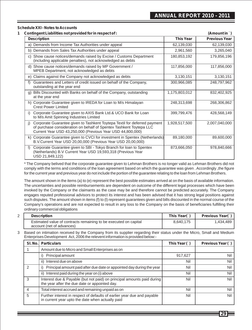#### **Schedule XXI - Notes to Accounts**

| Contingent Liabilities not provided for in respect of :                                                                                                                                                              |                  | (Amount in `)        |
|----------------------------------------------------------------------------------------------------------------------------------------------------------------------------------------------------------------------|------------------|----------------------|
| <b>Description</b>                                                                                                                                                                                                   | <b>This Year</b> | <b>Previous Year</b> |
| a) Demands from Income Tax Authorities under appeal                                                                                                                                                                  | 62,139,030       | 62,139,030           |
| b) Demands from Sales Tax Authorities under appeal                                                                                                                                                                   | 2,961,560        | 3,265,040            |
| c) Show cause notices/demands raised by Excise / Customs Department<br>(including applicable penalties), not acknowledged as debts                                                                                   | 180,853,192      | 179,856,196          |
| d) Show cause notices/demands raised by MP Government /<br>MPEB Department, not acknowledged as debts                                                                                                                | 117,856,000      | 117,856,000          |
| e) Claims against the Company not acknowledged as debts                                                                                                                                                              | 3,130,151        | 3,130,151            |
| Guarantees and Letters of credit issued on behalf of the Company,<br>outstanding at the year end                                                                                                                     | 300,966,085      | 248,797,962          |
| g) Bills Discounted with Banks on behalf of the Company, outstanding<br>at the year end                                                                                                                              | 1,175,803,012    | 832,402,925          |
| h) Corporate Guarantee given to IREDA for Loan to M/s Himalayan<br><b>Crest Power Limited</b>                                                                                                                        | 248,313,698      | 268,306,862          |
| i) Corporate Guarantee given to AXIS Bank Ltd.& UCO Bank for Loan<br>to M/s Amit Spinning Industries Limited                                                                                                         | 399,799,476      | 428,568,149          |
| Corporate Guarantee given to Tashkent Toytepa Textil for deferred payment<br>i)<br>of purchase consideration on behalf of Spentex Tashkent Toytepa LLC<br>Current Year USD 43,250,000 (Previous Year USD 44,800,000) | 1,928,517,500    | 2,007,040,000        |
| k) Corporate Guarantee given to CVCI for investment in Spentex (Netherlands)<br>B.V.Current Year USD 20,00,000 (Previous Year USD 20,00,000)                                                                         | 89,180,000       | 89,600,000           |
| Corporate Guarantee given to SBI - Tokyo Branch for loan to Spentex<br>(Netherlands) B.V Current Year USD 19,593,318 (Previous Year<br>USD 21,849,122)                                                               | 873,666,050      | 978,840,666          |

\* The Company belived that the corporate guarantee given to Lehman Brothers is no longer valid as Lehman Brothers did not comply with the terms and conditions of the loan agreement based on which the guarantee was given . Accordingly ,the figure for the current year and previous year do not include the portion of the guarantee relating to the loan from Lehman Brothers.

The amount shown in the items (a) to (e) represent the best possible estimates arrived at on the basis of available information. The uncertainties and possible reimbursements are dependent on outcome of the different legal processes which have been invoked by the Company or the claimants as the case may be and therefore cannot be predicted accurately. The Company engages reputed professional advisors to protect its interest and has been advised that it has strong legal positions against such disputes. The amount shown in items (f) to (l) represent guarantees given and bills discounted in the normal course of the Company's operations and are not expected to result in any loss to the Company on the basis of beneficiaries fulfilling their ordinary commercial obligations

| <b>Description</b>                                               | This Year(`) | Previous Year(`) |
|------------------------------------------------------------------|--------------|------------------|
| Estimated value of contracts remaining to be executed on capital | 8.640.175    | 1.434.489        |
| account (net of advances)                                        |              |                  |

3 Based on intimation received by the Company from its supplier regarding their status under the Micro, Small and Medium Enterprises Development Act, 2006 the relevent information is provided below:-

| SI. No.       | <b>Particulars</b>                                                                                                          | This Year $( )$ | Previous Year () |
|---------------|-----------------------------------------------------------------------------------------------------------------------------|-----------------|------------------|
|               | Amount due to Micro and Small Enterprises as on                                                                             |                 |                  |
|               | Principal amount                                                                                                            | 917,627         | Nil              |
|               | Interest due on above<br>ii)                                                                                                | Nil             | Nil              |
| $\mathcal{P}$ | Principal amount paid after due date or appointed day during the year                                                       | Nil             | Nil              |
|               | ii) Interest paid during the year on (i) above                                                                              | Nil             | Nil              |
| 3             | Interest due & Payable (but not paid) on principal amounts paid during<br>the year after the due date or appointed day.     | Nil             | Nil              |
| 4             | Total interest accrued and remaining unpaid as on                                                                           | Nil             | Nil              |
| 5             | Further interest in respect of defaults of earlier year due and payable<br>in current year upto the date when actually paid | Nil             | Nil              |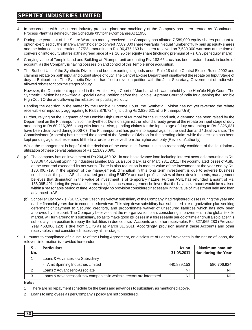- 4 In accordance with the current industry practice, plant and machinery of the Company has been treated as "Continuous Process Plant" as defined under Schedule XIV to the Companies Act,1956.
- 5 During the year, out of the Share Warrants money received, the Company has allotted 7,589,000 equity shares pursuant to option exercised by the share warrant holder to convert 7,589,000 share warrants in equal number of fully paid up equity shares and the balance consideration of 75% amounting to Rs. 96,475,163 has been received on 7,589,000 warrants at the time of conversion into equity shares at the agreed price of Rs. 16.95 per equity share (including premium of Rs. 6.95 per equity share).
- 6 Carrying value of Temple Land and Building at Pitampur unit amounting Rs. 183.66 Lacs has been restored back in books of account, as the Company is having possession and control of this Temple since acquisition.
- 7 The Butibori Unit of the Synthetic Division had been exporting its goods under Rule 18 of the Central Excise Rules 2002 and claiming rebate on both input and output stage of duty. The Central Excise Department disallowed the rebate on Input Stage of duty at Butibori unit. The Synthetic Division has filed a revision petition with the Joint Secretary, Government of India who allowed rebate for both the stages of duty

However, the Department appealed in the Hon'ble High Court of Mumbai which was upheld by the Hon'ble High Court. The Synthetic Division has now filed a Special Leave Petition before the Hon'ble Supreme Court of India for quashing the Hon'ble High Court Order and allowing the rebate on input stage of duty.

Pending the decision in the matter by the Hon'ble Supreme Court, the Synthetic Division has not yet reversed the rebate receivable on input duty aggregating to Rs 52,879,724 (including Rs 2,826,621 at its Pithampur Unit).

Further, relying on the judgment of the Hon'ble High Court of Mumbai for the Butibori unit, a demand has been raised by the Department on the Pithampur unit of the Synthetic Division against the refund already given of the rebate on input stage of duty amounting to Rs 60,216,366 along with interest. Also, pending claims for the input stage of duty amounting to Rs 2,826,621 have been disallowed during 2006-07. The Pithampur unit has gone into appeal against the said demand / disallowance. The Commissioner (Appeals) has rejected the appeal of the Synthetic Division for the pending claim, while the decision has been kept pending against the demand till the final order is received from the higher authority (Revision Authority).

While the management is hopeful of the decision of the case in its favour, it is also reasonably confident of the liquidation / utilization of these cenvat balances of Rs. 113,096,090.

- 8 (a) The company has an investment of Rs 204,469,921 in and has advance loan including interest accrued amounting to Rs. 383,067,401 Amit Spinning Industries Limited (ASIL), a subsidiary, as on March 31, 2011. The accumulated losses of ASIL, at the year end exceeded its net worth. There is also reduction in market value of the investment at the year end by Rs. 130,406,719. In the opinion of the management, diminution in this long term investment is due to adverse business conditions in the past. ASIL has started generating EBIDTAand cash profits. In view of these developments, management believes that diminution in the value of investment is of temporary nature. Further ASIL has refunded amount of Rs. 156,095,401 during the year and for remaining balances,management believes that the balance amount would be realised within a reasonable period of time. Accordingly no provision considered necessary in the value of investment held and loan advanced to ASIL
	- (b) Schoeller Litvinov k.s. (SLKS), the Czech step-down subsidiary of the Company, had registered losses during the year and earlier financial years due to economic slowdown. This step down subsidiary had submitted a re-organization plan seeking deferment of payment to Secured creditors, and proportionate waiver of unsecured liabilities which has now been approved by the court. The Company believes that the reorganization plan, considering improvement in the global textile market, will turn around this subsidiary, so as to make good its losses in a foreseeable period of time and will also place this subsidiary in a position to repay the liabilities in due course. Accounts and other receivables Rs. 327,965,283 (Previous Year 468,986,120) is due from SLKS as at March 31, 2011. Accordingly, provision against these Accounts and other receivables is not considered necessary at this stage.
- 9 Pursuant to compliance of clause 32 of the Listing Agreement, on disclosure of Loans / Advances in the nature of loans, the relevent information is provided hereunder:

| SI. | <b>Particulars</b>                                                      | As on       | <b>Maximum amount</b> |
|-----|-------------------------------------------------------------------------|-------------|-----------------------|
| No. |                                                                         | 31.03.2011  | due during the Year   |
|     | Loans & Advances to a Subsidiary                                        |             |                       |
|     | Amit Spinning Industries Limited                                        | 440.889.153 | 580.706.924           |
|     | Loans & Advances to Associate                                           | Nil         | Ni                    |
|     | Loans & Advances to firms / companies in which directors are interested | Nil         |                       |

**Note :**

- 1 There are no repayment schedule for the loans and advances to subsidiary as mentioned above.
- 2 Loans to employees as per Company's policy are not considered.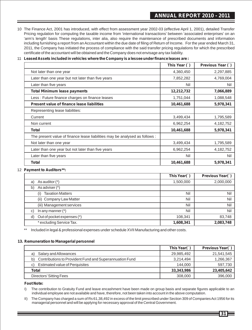10 The Finance Act, 2001 has introduced, with effect from assessment year 2002-03 (effective April 1, 2001), detailed Transfer Pricing regulation for computing the taxable income from 'international transactions' between 'associated enterprises' on an 'arm's length' basis These regulations, inter alia, also require the maintenance of prescribed documents and information including furnishing a report from an Accountant within the due date of filing of Return of Income. For the year ended March 31, 2011, the Company has initiated the process of compliance with the said transfer pricing regulations for which the prescribed certificate of the accountant will be obtained and the Company does not envisage any tax liability.

#### 11 **Leased Assets included in vehicles where the Company is a lessee under finance leases are :**

|                                                                             | This Year (`) | Previous Year (`) |
|-----------------------------------------------------------------------------|---------------|-------------------|
| Not later than one year                                                     | 4,360,450     | 2,297,885         |
| Later than one year but not later than five years                           | 7,852,282     | 4,769,004         |
| Later than five years                                                       | Nil           | Nil               |
| <b>Total Minimum lease payments</b>                                         | 12,212,732    | 7,066,889         |
| Less: Future finance charges on finance leases                              | 1,751,044     | 1,088,548         |
| <b>Present value of finance lease liabilities</b>                           | 10,461,688    | 5,978,341         |
| Representing lease liabilities:                                             |               |                   |
| Current                                                                     | 3,499,434     | 1,795,589         |
| Non current                                                                 | 6,962,254     | 4,182,752         |
| <b>Total</b>                                                                | 10,461,688    | 5,978,341         |
| The present value of finance lease liabilities may be analysed as follows : |               |                   |
| Not later than one year                                                     | 3,499,434     | 1,795,589         |
| Later than one year but not later than five years                           | 6,962,254     | 4,182,752         |
| Later than five years                                                       | Nil           | Nil               |
| Total                                                                       | 10,461,688    | 5,978,341         |

#### 12 **Payment to Auditors\*\*:**

|    |                                | This Year(`) | Previous Year(`) |
|----|--------------------------------|--------------|------------------|
| a) | As auditor $(*)$               | 1,500,000    | 2,000,000        |
| b) | As adviser (*)                 |              |                  |
|    | <b>Taxation Matters</b><br>(i) | Nil          | Nil              |
|    | (ii) Company Law Matter        | Nil          | Nil              |
|    | (iii) Management services      | Nil          | Nil              |
| C) | In any manner $(*)$            | Nil          | Nil              |
| d) | Out of pocket expenses (*)     | 108,341      | 83,748           |
|    | * excluding Service Tax.       | 1,608,341    | 2,083,748        |

\*\* Included in legal & professional expenses under schedule XVII Manufacturing and other costs.

#### **13. Remuneration to Managerial personnel**

|                                                               | This Year(`) | Previous Year(`) |
|---------------------------------------------------------------|--------------|------------------|
| Salary and Allowances<br>a)                                   | 29,985,492   | 21,541,545       |
| Contributions to Provident Fund and Superannuation Fund<br>b) | 3,214,494    | 1,266,367        |
| <b>Estimated value of Perquisites</b><br>C)                   | 144.000      | 597,730          |
| Total                                                         | 33,343,986   | 23,405,642       |
| Directors' Sitting Fees                                       | 308,000      | 396,000          |

#### **Foot Note:**

I) The contribution to Gratuity Fund and leave encashment have been made on group basis and separate figures applicable to an individual employee are not available and have, therefore, not been taken into account in the above computation.

II) The Company has charged a sum of Rs 61,38,492 in excess of the limit prescribed under Section 309 of Companies Act 1956 for its managerial personnel and will be applying for necessary approval of the Central Government.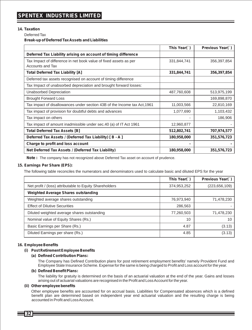#### **14. Taxation**

Deferred Tax

**Break-up of Deferred Tax Assets and Liabilities**

|                                                                           | This Year(`) | Previous Year() |
|---------------------------------------------------------------------------|--------------|-----------------|
| Deferred Tax Liability arising on account of timing difference            |              |                 |
| Tax Impact of difference in net book value of fixed assets as per         | 331,844,741  | 356,397,854     |
| Accounts and Tax                                                          |              |                 |
| <b>Total Deferred Tax Liability [A]</b>                                   | 331,844,741  | 356,397,854     |
| Deferred tax assets recognised on account of timing difference            |              |                 |
| Tax Impact of unabsorbed depreciation and brought forward losses:         |              |                 |
| Unabsorbed Depreciation                                                   | 487,760,608  | 513,975,199     |
| <b>Brought Forward Loss</b>                                               |              | 169,898,870     |
| Tax impact of disallowances under section 43B of the Income tax Act, 1961 | 11,003,566   | 22,810,169      |
| Tax impact of provision for doubtful debts and advances                   | 1,077,690    | 1,103,432       |
| Tax impact on others                                                      |              | 186,906         |
| Tax impact of amount inadmissible under sec.40 (a) of IT Act 1961         | 12,960,877   |                 |
| <b>Total Deferred Tax Assets [B]</b>                                      | 512,802,741  | 707,974,577     |
| Deferred Tax Assets / (Deferred Tax Liability) [B - A]                    | 180,958,000  | 351,576,723     |
| Charge to profit and loss account                                         |              |                 |
| Net Deferred Tax Assets / (Deferred Tax Liability)                        | 180,958,000  | 351,576,723     |

**Note :** The company has not recognized above Deferred Tax asset on account of prudence.

#### **15. Earnings Per Share (EPS):**

The following table reconciles the numerators and denominators used to calculate basic and diluted EPS for the year

|                                                         | This Year(`) | Previous Year(`) |
|---------------------------------------------------------|--------------|------------------|
| Net profit / (loss) attributable to Equity Shareholders | 374,953,252  | (223, 656, 109)  |
| <b>Weighted Average Shares outstanding</b>              |              |                  |
| Weighted average shares outstanding                     | 76,973,940   | 71,478,230       |
| <b>Effect of Dilutive Securities</b>                    | 286,563      |                  |
| Diluted weighted average shares outstanding             | 77,260,503   | 71,478,230       |
| Nominal value of Equity Shares (Rs.)                    | 10           | 10               |
| Basic Earnings per Share (Rs.)                          | 4.87         | (3.13)           |
| Diluted Earnings per share (Rs.)                        | 4.85         | (3.13)           |

#### **16. Employee Benefits**

#### **(i) Post Retirement Employee Benefits**

#### **(a) Defined Contribution Plans:**

The Company has Defined Contribution plans for post retirement employment benefits' namely Provident Fund and Employee State Insurance Scheme. Expense for the same is being charged to Profit and Loss account for the year.

#### **(b) Defined Benefit Plans:**

The liability for gratuity is determined on the basis of an actuarial valuation at the end of the year. Gains and losses arising out of actuarial valuations are recognised in the Profit and Loss Account for the year.

#### **(ii) Other employee benefits**

Other employee benefits are accounted for on accrual basis. Liabilities for Compensated absences which is a defined benefit plan are determined based on independent year end actuarial valuation and the resulting charge is being accounted in Profit and Loss Account.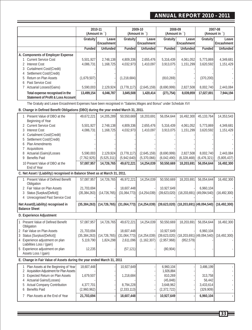### **ANNUAL REPORT 2010 - 2011**

|                                |                                                                       | 2010-11<br>(Amount in `) |                      | 2009-10<br>(Amount in `) |                      | 2008-09<br>(Amount in `) |                             | 2007-08<br>(Amount in `) |                     |
|--------------------------------|-----------------------------------------------------------------------|--------------------------|----------------------|--------------------------|----------------------|--------------------------|-----------------------------|--------------------------|---------------------|
|                                |                                                                       | Gratuity                 | Leavel<br>Encashment | Gratuity                 | Leavel<br>Encashment | Gratuity                 | Leavel<br><b>Encashment</b> | Gratuity                 | Leave<br>Encashment |
|                                |                                                                       | Funded                   | <b>Unfunded</b>      | Funded                   | <b>Unfunded</b>      | Funded                   | Unfunded                    | Funded                   | <b>Unfunded</b>     |
|                                | A. Components of Employer Expense                                     |                          |                      |                          |                      |                          |                             |                          |                     |
|                                | 1 Current Service Cost                                                | 5,501,927                | 2,748,138            | 4,809,336                | 2,655,476            | 5,316,439                | 4.061.052                   | 5,773,869                | 4,349,681           |
| Interest Cost<br>$\mathcal{P}$ |                                                                       | 4,086,731                | 1,168,725            | 4.032.973                | 1.410.097            | 3.913.075                | 1.151.299                   | 3,620,592                | 1,151,429           |
|                                | 3 Curtailment Cost/(Credit)                                           |                          |                      |                          |                      |                          |                             |                          |                     |
|                                | Settlement Cost/(Credit)                                              |                          |                      |                          |                      |                          |                             |                          |                     |
| 5.                             | Return on Plan Assets                                                 | (1,679,507)              |                      | (1,218,684)              |                      | (810, 269)               |                             | (370, 200)               |                     |
|                                | Past Service Cost                                                     |                          |                      |                          |                      |                          |                             |                          |                     |
|                                | 7 Actuarial Losses/(Gains)                                            | 5.590.003                | 2,129,924            | (3,778,117)              | (2,645,159)          | (8,690,999)              | 2.827.508                   | 8.002.740                | 2,443,084           |
|                                | Total expense recognised in the<br>Statement of Profit & Loss Account | 13.499.154               | 6.046.787            | 3.845.508                | 1.420.414            | (271, 754)               | 8.039.859                   | 17.027.001               | 7.944.194           |

The Gratuity and Leave Encashment Expenses have been recognised in "Salaries,Wages and Bonus" under Schedule XVI

**B. Change in Defined Benefit Obligations (DBO) during the year ended March 31, 2011.**

|                | 1 Present Value of DBO at the<br>Beginning of Year                           | 49,672,221               | 14,205,289     | 50,550,669                 | 18,203,691     | 56,054,644               | 16,492,300                    | 45, 133, 764                  | 14,353,543     |
|----------------|------------------------------------------------------------------------------|--------------------------|----------------|----------------------------|----------------|--------------------------|-------------------------------|-------------------------------|----------------|
|                | 2 Current Service Cost                                                       | 5,501,927                | 2,748,138      | 4,809,336                  | 2,655,476      | 5,316,439                | 4,061,052                     | 5,773,869                     | 4,349,681      |
| 3              | <b>Interest Cost</b>                                                         | 4,086,731                | 1,168,725      | 4,032,973                  | 1,410,097      | 3,913,075                | 1,151,299                     | 3,620,592                     | 1,151,429      |
| 4              | Curtailment Cost/(Credit)                                                    |                          |                |                            |                |                          |                               |                               |                |
| 5              | Settlement Cost/(Credit)                                                     |                          |                |                            |                |                          |                               |                               |                |
| 6              | <b>Plan Amendments</b>                                                       |                          |                |                            |                |                          |                               |                               |                |
|                | <b>Acquisitions</b><br>Actuarial (Gains)/Losses                              | 5,590,003                | 2,129,924      | (3,778,117)                | (2,645,159)    | (8,690,999)              | 2,827,508                     | 8,002,740                     | 2,443,084      |
| 9              | <b>Benefits Paid</b>                                                         | (7,762,925)              | (5,525,311)    | (5,942,640)                | (5,370,066)    | (6,042,490)              | (6,328,468)                   | (6, 476, 321)                 | (5,805,437)    |
|                | 10 Present Value of DBO at the                                               | 57,087,957               | 14,726,765     | 49,672,221                 | 14,254,039     | 50,550,669               | 18,203,691                    | 56,054,644                    | 16,492,300     |
|                | End of Year                                                                  |                          |                |                            |                |                          |                               |                               |                |
|                | C. Net Asset / (Liability) recognised in Balance Sheet as at March 31, 2011. |                          |                |                            |                |                          |                               |                               |                |
|                | 1 Present Value of Defined Benefit<br>Obligation                             | 57,087,957               | 14,726,765     | 46,972,221                 | 14,254,039     | 50,550,669               | 18,203,691                    | 56,054,644                    | 16,492,300     |
|                | 2 Fair Value on Plan Assets                                                  | 21,703,694               |                | 18,607,448                 |                | 10,927,649               |                               | 6.960.104                     |                |
| 3              | Status [Surplus/(Deficit)]                                                   | (35, 384, 263)           | (14, 726, 765) | (31,064,773)               | (14, 254, 039) | (39,623,020)             |                               | $(18,203,691)$ $(49,094,540)$ | (16, 492, 300) |
| $\overline{4}$ | <b>Unrecognised Past Service Cost</b>                                        |                          |                |                            |                |                          |                               |                               |                |
|                | Net Asset/(Liability) recognised in<br><b>Balance Sheet</b>                  | (35, 384, 263)           | (14, 726, 765) | (31,064,773)               | (14, 254, 039) | (39,623,020)             | $(18,203,691)$ (49,094,540)   |                               | (16, 492, 300) |
|                | D. Experience Adjustment                                                     |                          |                |                            |                |                          |                               |                               |                |
|                |                                                                              |                          |                |                            |                |                          |                               |                               |                |
|                | 1 Present Value of Defined Benefit<br>Obligation                             | 57,087,957               | 14,726,765     | 49,672,221                 | 14,254,039     | 50,550,669               | 18,203,691                    | 56,054,644                    | 16,492,300     |
|                | 2 Fair Value on Plan Assets                                                  | 21,703,694               |                | 18,607,448                 |                | 10,927,649               |                               | 6,960,104                     |                |
| 3              | Status [Surplus/(Deficit)]                                                   | (35, 384, 263)           | (14, 726, 765) | (31,064,773)               | (14, 254, 039) | (39,623,020)             | $(18, 203, 691)$ (49,094,540) |                               | (16, 492, 300) |
|                | 4 Experience adjustment on plan<br>Liabilities Loss / (gain)                 | 5,119,790                | 1,824,298      | 2,611,096                  | (1, 162, 307)  | (2,957,968)              | (952, 579)                    |                               |                |
|                | 5 Experience adjustment on plan<br>Assets Loss / (gain)                      | 12,235                   |                | (57, 121)                  |                | (80,904)                 |                               |                               |                |
|                | E. Change in Fair Value of Assets during the year ended March 31, 2011       |                          |                |                            |                |                          |                               |                               |                |
|                | Plan Assets at the Beginning of Year                                         | 18,607,448               |                | 10,927,649                 |                | 6,960,104                |                               | 3,486,199                     |                |
| 2              | Acquisition Adjustment for Plan Assets                                       |                          |                |                            |                | 1,926,884                |                               |                               |                |
| 3              | <b>Expected Return on Plan Assets</b>                                        | 1,679,507                |                | 1,218,684                  |                | 810,269                  |                               | 313,758                       |                |
| 4              | Actuarial Gains/(Losses)                                                     |                          |                |                            |                | (45, 848)                |                               | 56,442                        |                |
| 5<br>6         | <b>Actual Company Contribution</b><br><b>Benefits Paid</b>                   | 4,377,701<br>(2,960,962) |                | 8,794,228<br>(2, 333, 113) |                | 3,648,962<br>(2,372,722) |                               | 3,433,614<br>(329,909)        |                |
|                |                                                                              |                          |                |                            |                |                          |                               |                               |                |
|                | 7 Plan Assets at the End of Year                                             | 21,703,694               |                | 18,607,448                 |                | 10,927,649               |                               | 6,960,104                     |                |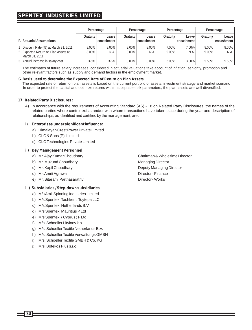## **SPENTEX INDUSTRIES LIMITED**

|                                                                                              | Percentage           |                         | Percentage           |                       | Percentage        |                        | Percentage        |                           |
|----------------------------------------------------------------------------------------------|----------------------|-------------------------|----------------------|-----------------------|-------------------|------------------------|-------------------|---------------------------|
| F. Actuarial Assumptions                                                                     | Gratuity             | Leave<br>l encashment l | <b>Gratuity</b>      | Leave I<br>encashment | Gratuity I        | Leavel<br>lencashmentl | <b>Gratuity</b>   | Leave I<br>l encashment l |
| Discount Rate (%) at March 31, 2011<br>2 Expected Return on Plan Assets at<br>March 31, 2011 | $8.00\%$<br>$8.00\%$ | $8.00\%$<br>N.A.        | $8.00\%$<br>$8.00\%$ | $8.00\%$<br>N.A.      | 7.00%<br>$9.00\%$ | 7.00%<br>N.A.          | 8.00%<br>$9.00\%$ | 8.00%<br>N.A.             |
| 3 Annual increase in salary cost                                                             | $3 - 5%$             | $3 - 5%$                | $3.00\%$             | 3.00%                 | $3.00\%$          | 3.00%                  | 5.50%             | $5.50\%$                  |

The estimates of future salary increases, considered in actuarial valuations take account of inflation, seniority, promotion and other relevant factors such as supply and demand factors in the employment market.

#### **G.Basis used to determine the Expected Rate of Return on Plan Assets**

The expected rate of return on plan assets is based on the current portfolio of assets, investment strategy and market scenario. In order to protect the capital and optimize returns within acceptable risk parameters, the plan assets are well diversified.

#### **17 Related Party Disclosures :**

A) In accordance with the requirements of Accounting Standard (AS) - 18 on Related Party Disclosures, the names of the related parties where control exists and/or with whom transactions have taken place during the year and description of relationships, as identified and certified by the management, are :

#### **i) Enterprises under significant influence:**

- a) Himalayan Crest Power Private Limited.
- b) CLC & Sons (P) Limited
- c) CLC Technologies Private Limited

#### **ii) Key Management Personnel**

- a) Mr. Ajay Kumar Choudhary Chairman & Whole time Director
- b) Mr. Mukund Choudhary Managing Director
- 
- d) Mr. Amrit Agrawal director Finance
- e) Mr. Sitaram Parthasarathy Director Works

#### **iii) Subsidiaries / Step-down subsidiaries**

- a) M/s Amit Spinning Industries Limited
- b) M/s Spentex Tashkent Toytepa LLC
- c) M/s Spentex Netherlands B.V
- d) M/s Spentex Mauritius PLtd
- e) M/s Spentex ( Cyprus ) PLtd
- f) M/s. Schoeller Litvinov k.s.
- g) M/s. Schoeller Textile Netherlands B.V.
- h) M/s. Schoeller Textile Verwaltungs GMBH
- i) M/s. Schoeller Textile GMBH & Co. KG
- j) M/s. Botekos Plus s.r.o.

c) Mr. Kapil Choudhary **Deputy Managing Director** Deputy Managing Director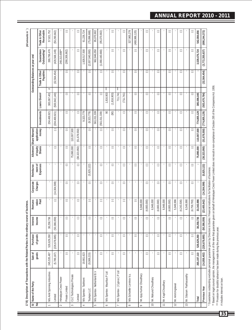17 B) Description of Transactions with the Related Parties in the ordinary course of business. **17 B) Description of Transactions with the Related Parties in the ordinary course of business.**

(All amounts in `) Trade & Other<br>Receivable **(All amounts in** `**)**57,821,752  $\mathbb{C}$ 61,226,724  $(75,896,688)$ 95,070,902  $(95,070,902)$ G đ 327,965,278  $(468,986,120)$ đ Ġ  $\odot$  $(690, 244, 372)$ **Paid Expenses Shares money Investments Loans Given# Trade & Other Guarantees Trade & Other Payables Outstanding\* Receivable** M/s Amit Spinning Industries 245,535,487 526,629,260 38,258,736 - - - - - 204,469,921 383,067,401 # - 399,799,476 57,821,752  $(50, 290, 662)$ Limited (5,789,187, (50,189,187) (327,8978,687) (14,309) (14,309) (14,304,599) (504,469,700,140) - (14,409,059,059) (50,304,599) (50,042,140) (50,042,140) (50,042,140) (50,042,140) (50,042,140) (50,042,140) (50,042,140, (5 Himalayan Crest Power - - - - - - - - - - - 248,313,698\*\* - Private Limited (-) (-) (-) (-) (-) (-) (-) (-) (-) (-) (-) (268,306,862) (-) CLC Technologies Private - - - - - - 75,890,000 110,007,500 - - - - - Limited (-) (-) (-) (-) (-) (-) (38,323,950) (51,678,550) (-) (-) (-) (-) (-) M/s Spentex Tashkent 19,661,623 - - - - - - - 9,323,779 - - 1,928,517,500 61,226,724 Toytepa LLC (9,069,215) - (-) (-) (-) (5,825,122) (-) (-) (9,323,779) (-) (-) (2,007,040,000) (75,896,688) M/s Spentex Netherland B.V - - - - - - - - 561,011,339 - - 962,846,050 95,070,902 (-) (-) (-) (-) (-) (-) (-) (-) (561,011,339) (-) (-) (1,068,440,666) (95,070,902) M/s Spentex Mauritius P Ltd - - - - - - - - 90 1,816,903 \*\*\* - - - (-) (-) (-) (-) (-) (-) (-) (-) (90) (1,816,903) (-) (-) (-) M/s Spentex ( Cyprus ) P Ltd - - - - - - - - - 711,741 \*\*\* - - - (-) (-) (-) (-) (-) (-) (-) (-) (-) (711,741) (-) (-) (-) M/s Schoeller Livninov k.s. - - - - - - - - - - - - 327,965,278 - (-) (-) (-) - (-) (-) (-) (-) (-) (-) (-) (468,986,120) Mr. Ajay Kumar Choudhary - - - 6,948,000 - - - - - - - - - (-) (-) (-) (4,800,000) (-) (-) (-) (-) (-) (-) (-) (-) (-) 10 Mr. Mukund Choudhary - - - 6,948,000 - - - - - - - - - (-) (-) (-) (4,800,000) (-) (-) (-) (-) (-) (-) (-) (-) (-) 11 Mr. Kapil Choudhary - - - 6,948,000 - - - - - - - - - (-) (-) (-) (4,800,000) (-) (-) (-) (-) (-) (-) (-) (-) (-) 12 Mr. Amrit Agrawal - - - 5,949,996 - - - - - - - - - (-) (-) (-) (4,243,506) (-) (-) (-) (-) (-) (-) (-) (-) (-) 13 Mr. Sitaram Parthasarathy - - - 6,549,990 - - - - - - - - - (-) (-) (-) (4,759,793) (-) (-) (-) (-) (-) (-) (-) (-) (-) 542,084,656 **Total 265,197,110 526,629,260 38,258,736 33,343,986 - - 75,890,000 110,007,500 774,805,129 385,596,045 - 3,539,476,724 542,084,656** Previous (21,458,442) [276,678,885] [27,4628] [23,4699] [14,999] [14,999] [15,625,722] [38,525,799] [714,8050] [74,903,59] [23,1999] [271,298,585, [24,454] [271,2385, 129, 1372] [23,0244,372] Guarantees<br>Outstanding\* 399,799,476  $(428,568,149)$  $\circ$  $(1,068,440,666)$  $\circlearrowright$  $\circ$  $\odot$  $\circ$  $\circ$  $\circ$  $\circ$ 3,539,476,724  $(3, 772, 355, 637)$  $(268, 306, 862)$ 928.517.500  $(2,007,040,000)$ 962,846,050 C 248,313,698\* Outstanding Balances at year end University of the Marten Marchan Control of the Marchan Corporator (Suppose the Marchan Control of the Discovery of the Marchan Control of the Discovery of the Discovery of the Discovery of the Discovery of the Discovery o Trade & Other<br>Payables ភ ਰ ਰ ਨ  $\overline{\odot}$  $\overline{\circ}$  $\overline{\circ}$ ਰ  $\overline{\circ}$ ਨ  $\overline{\circ}$  $(32,564,454)$  $(32,564,454)$ G \*\* Based on legal coursel option, the management is of the view that guarantee given on behalf of Himalayan Crest Power Limited does not result in non-complance of Section 295 of the Comparies Ad. 1956. Ŧ 383,067,401  $(500, 942, 140)$ ₹ 죠 711,741 ਣ ₹ ਣ Loans Given# 1,816,903  $(1, 816, 903)$  $(711, 741)$ 385,596,045  $(503, 470, 784)$  $(204, 469, 921)$  $\sqrt{2}$  $\overline{\odot}$  $\overline{C}$  $(774, 805, 129)$ Investments  $\subset$  $\circlearrowright$  $(9,323,779)$  $(561, 011, 339)$  $(90)$  $\circ$  $\circ$  $\circlearrowright$  $\circ$ 774,805,129 204,469,921 9,323,779 561,011,339  $\sigma$ money Allotment Share Warrant application  $\circ$  $\circlearrowright$ 110,007,500  $(51,678,550)$  $\circ$  $\circ$  $\mathbb C$  $\mathbb C$  $\odot$  $\circ$  $\circ$  $\odot$  $\circ$  $\circ$ 110,007,500  $(51,678,550)$ **DACED ASSESS AND LOTED ASSESS AND ASSESS AND ASSESS AND ASSESS AND ASSESS AND ASSESS** of equity  $\overline{\mathbb{C}}$  $\overline{\odot}$ 75,890,000  $(38, 323, 950)$  $\overline{c}$  $\odot$  $\odot$  $_{\odot}$  $\overline{C}$  $\overline{c}$  $\overline{C}$  $\overline{\mathbb{C}}$  $\overline{c}$  $\circ$ 75,890,000  $(38, 323, 950)$ ment of<br>Expenses  $\odot$  $\circ$  $\odot$  $\odot$  $\mathbb C$  $\odot$  $\circ$  $\circ$  $\circ$  $\circ$  $(5, 825, 122)$ Reimburse- $122)$  $\circlearrowright$  Guarantees outstanding excludes personal guarantee given by Directors to Banks / Financial institutions for facilitation of business.  $(5,825,1)$ Charges  $\circlearrowright$  $\odot$  $\circ$  $\circ$  $\circlearrowright$  $\mathbb C$  $\circ$  $\circ$  $\circ$  $\circ$  $\circ$  $(14, 304, 599)$ Corporate  $(14, 304, 599)$  $\overline{\circ}$  $\overline{\odot}$  $\overline{\odot}$  $\overline{C}$  $\overline{C}$  $\overline{\mathbb{C}}$  $\overline{\odot}$ 5,949,996  $(23, 405, 642)$ ration<br>Paid  $\circ$ 6,948,000 6,948,000  $(4,800,000)$ 6,948,000  $(4,243,506)$ 6,549,990  $(4, 759, 793)$ 33,343,986 Remune- $(4,800,000)$  $(4,800,000)$ Interest Income 38,258,736  $\circ$  $\circ$  $\circlearrowright$  $\circ$  $\circlearrowright$  $\circ$  $\circ$  $\overline{C}$  $\circ$  $\overline{C}$  $\circ$  $\odot$  $(50, 386, 059)$  $(50, 386, 059)$ 38,258,736  $(226, 678, 685)$ of goods  $\mathbb C$  $\circ$  $\circ$  $\circ$  $\mathbb C$  $\circlearrowright$  $\circ$  $\circ$  $\circlearrowright$  $\circ$  $\circ$ Purchase 526,629,260  $(226, 678, 685)$ 526,629,260 Sale of goods 245,535,487  $\circ$  $\odot$  $\odot$  $\odot$ J.  $\odot$  $\odot$  $\odot$  $\odot$  $(14,858,402)$  $(5, 789, 187)$  $\circlearrowright$  $(9,069,215)$  $\circ$ 265, 197, 110 19,661,623 M/s Spentex (Cyprus) P Ltd M/s Amit Spinning Industries M/s Spentex Netherland B.V M/s Spentex Mauritius P Ltd Mr. Ajay Kumar Choudhary Sitaram Parthasarathy CLC Technologies Private M/s Schoeller Livninov k.s Himalayan Crest Power M/s Spentex Tashkent Mr. Mukund Choudhary Mr. Kapil Choudhary Name of the Party Mr. Amrit Agrawal Private Limited Previous Year Toylepa LLC Limited Limited Total  $\equiv$ ब्ब ड  $\overline{9}$  $\overline{S}$ Ξ  $\overline{2}$  $\overline{2}$  $\rightarrow$ 6 $\infty$  $\scriptstyle\sim$  $^{3}$  $\sim$  $\overline{\phantom{a}}$  $\overline{\phantom{0}}$ 

# includes interest on loan. includes interest on loan.

\*\*\* Provision for doubtful advance has been made during the previous year.

\*\*\* Provision for doubtful advance has been made during the previous year.

\*\* Based on legal counsel opinion, the management is of the view that guarantee given on behalf of Himalayan Crest Power Limited does not result in non-compliance of Section 295 of the Companies Act. 1956.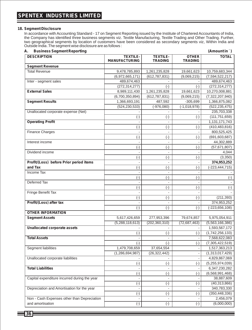#### **18. Segment Disclosure**

In accordance with Accounting Standard - 17 on Segment Reporting issued by the Institute of Chartered Accountants of India, the Company has identified three business segments viz. Textile Manufacturing, Textile Trading and Other Trading. Further, two geographical segments by location of customers have been considered as secondary segments viz, Within India and Outside India .The segment wise disclosure are as follows :

| А.                                           | <b>Business Segment Reporting</b><br>(Amount in `) |                                                |                                |                            |  |  |  |
|----------------------------------------------|----------------------------------------------------|------------------------------------------------|--------------------------------|----------------------------|--|--|--|
| <b>DESCRIPTION</b>                           | <b>TEXTILE-</b><br><b>MANUFACTURING</b>            | <b>TEXTILE-</b><br><b>TRADING</b>              | <b>OTHER</b><br><b>TRADING</b> | <b>TOTAL</b>               |  |  |  |
| <b>Segment Revenue</b>                       |                                                    |                                                |                                |                            |  |  |  |
| <b>Total Revenue</b>                         | 9,478,785,893                                      | 1,261,235,828                                  | 19,661,623                     | 10,759,683,344             |  |  |  |
|                                              | (6,972,665,171)                                    | (612, 787, 831)                                | (9,069,215)                    | (7,594,522,217)            |  |  |  |
| Inter - segment sales                        | 489,674,463                                        |                                                |                                | 489,674,463                |  |  |  |
|                                              | (272, 314, 277)                                    | $(-)$                                          | $(-)$                          | (272, 314, 277)            |  |  |  |
| <b>External Sales</b>                        | 8,989,111,430                                      | 1,261,235,828                                  | 19,661,623                     | 10,270,008,881             |  |  |  |
|                                              | (6,700,350,894)                                    | (612, 787, 831)                                | (9,069,215)                    | (7,322,207,940)            |  |  |  |
| <b>Segment Results</b>                       | 1,366,693,191                                      | 487,592                                        | $-305,699$                     | 1,366,875,082              |  |  |  |
|                                              | (524, 230, 533)                                    | $(-976,080)$                                   | $(-1,018,978)$                 | (522, 235, 475)            |  |  |  |
| Unallocated corporate expense (Net)          |                                                    |                                                |                                | 235,703,338                |  |  |  |
|                                              | $(\textnormal{-})$                                 | $(\textnormal{-})$                             | $(\cdot)$                      | (111, 751, 659)            |  |  |  |
| <b>Operating Profit</b>                      |                                                    |                                                |                                | 1,131,171,743              |  |  |  |
|                                              | $(-)$                                              | $(-)$                                          | $(-)$                          | (410, 483, 816)            |  |  |  |
| <b>Finance Charges</b>                       | $\overline{\phantom{a}}$                           | $\overline{\phantom{a}}$                       | $\overline{\phantom{a}}$       | 800,525,425                |  |  |  |
|                                              | $(-)$                                              | $(-)$                                          | $(-)$                          | (691, 603, 687)            |  |  |  |
| Interest income                              |                                                    |                                                |                                | 44,302,889                 |  |  |  |
|                                              | $(-)$                                              | $(-)$                                          | $(-)$                          | (57,671,807)               |  |  |  |
| Dividend income                              |                                                    | $\overline{\phantom{a}}$                       | $\blacksquare$                 | 4,044                      |  |  |  |
|                                              | $(-)$                                              | $(\text{-})$                                   | $(-)$                          | (3,350)                    |  |  |  |
| Profit/(Loss) before Prior period items      |                                                    |                                                |                                | 374,953,252                |  |  |  |
| and Tax                                      | $(-)$                                              | $(-)$                                          | $(-)$                          | (-223,444,715)             |  |  |  |
| Income Tax                                   |                                                    | $\overline{\phantom{a}}$                       |                                |                            |  |  |  |
|                                              | $(-)$                                              | $(-)$                                          | $(-)$                          | $(-)$                      |  |  |  |
| Deferred Tax                                 |                                                    |                                                |                                |                            |  |  |  |
|                                              | $(-)$                                              | $(-)$                                          | $(-)$                          | $(-)$                      |  |  |  |
| Fringe Benefit Tax                           |                                                    | $\overline{\phantom{a}}$                       |                                |                            |  |  |  |
|                                              | $(-)$                                              | $(-)$                                          | $(-)$                          | (211, 393)                 |  |  |  |
| Profit/(Loss) after tax                      |                                                    |                                                |                                | 374,953,252                |  |  |  |
|                                              | $(-)$                                              | $(-)$                                          | $(-)$                          | $(-223, 656, 108)$         |  |  |  |
| <b>OTHER INFORMATION</b>                     |                                                    |                                                |                                |                            |  |  |  |
| <b>Segment Assets</b>                        | 5,617,426,659                                      | 277,953,396                                    | 79,674,857                     | 5,975,054,911              |  |  |  |
|                                              | (5, 288, 118, 613)                                 | (202, 360, 310)                                | (72, 687, 463)                 | (5,563,166,386)            |  |  |  |
| <b>Unallocated corporate assets</b>          |                                                    |                                                |                                | 1,593,567,172              |  |  |  |
|                                              | $(-)$                                              | $(-)$                                          | $(-)$                          | (1,742,256,133)            |  |  |  |
| <b>Total Assets</b>                          |                                                    |                                                |                                | 7,568,622,083              |  |  |  |
|                                              | $(-)$                                              | $(-)$                                          | $(-)$                          | (7,305,422,519)            |  |  |  |
| Segment liabilities                          | 1,479,708,659                                      | 37,654,554                                     | $\overline{\phantom{a}}$       | 1,517,363,213              |  |  |  |
|                                              | (1, 286, 694, 987)                                 | (26, 322, 442)                                 | $\overline{\phantom{a}}$       | (1,313,017,429)            |  |  |  |
| Unallocated corporate liabilities            |                                                    |                                                |                                | 4,829,867,069              |  |  |  |
|                                              | $(-)$                                              | $(-)$                                          | $(-)$                          | (5,255,974,039)            |  |  |  |
| <b>Total Liabilities</b>                     |                                                    | $\overline{\phantom{a}}$                       |                                | 6,347,230,282              |  |  |  |
|                                              | $(-)$                                              | $(\cdot)$                                      | $(-)$                          | (6, 568, 991, 468)         |  |  |  |
| Capital expenditure incurred during the year |                                                    | $\overline{\phantom{a}}$                       |                                | 38,887,609                 |  |  |  |
|                                              | $(\textnormal{-})$                                 |                                                | $(-)$                          | (40, 313, 866)             |  |  |  |
| Depreciation and Amortisation for the year   | $\overline{\phantom{a}}$                           | $(\textnormal{-})$<br>$\overline{\phantom{a}}$ | $\overline{\phantom{a}}$       | 340,783,330                |  |  |  |
|                                              |                                                    |                                                |                                |                            |  |  |  |
| Non - Cash Expenses other than Depreciation  | $(\textnormal{-})$                                 | $(\textnormal{-})$                             | $(\textnormal{-})$             | (350,448,336)<br>2,456,079 |  |  |  |
| and amortisation                             |                                                    |                                                |                                | (6,000,000)                |  |  |  |
|                                              | $(\hbox{-})$                                       | $(\textnormal{-})$                             | $(\text{-})$                   |                            |  |  |  |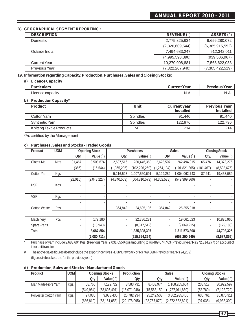#### **B) GEOGRAPHICALSEGMENT REPORTING :**

| <b>DESCRIPTION</b> | REVENUE(`)        | ASSETS()        |
|--------------------|-------------------|-----------------|
| Domestic           | 2,775,325,634     | 6,656,280,072   |
|                    | (2,326,609,544)   | (6,365,915,552) |
| Outside India      | 7,494,683,247     | 912,342,011     |
|                    | (4.995, 598, 396) | (939, 506, 967) |
| Current Year       | 10,270,008,881    | 7,568,622,083   |
| Previous Year      | (7,322,207,940)   | (7,305,422,519) |

#### **19. Information regarding Capacity, Production, Purchases, Sales and Closing Stocks:**

**a) Licence Capacity**

| <b>Particulars</b> | <b>Current Year</b> | <b>Previous Year</b> |
|--------------------|---------------------|----------------------|
| Licence capacity   | N.A                 | . v. H               |

#### **b) Production Capacity\***

| <b>Product</b>            | Unit            | <b>Current year</b><br><b>Installed</b> | <b>Previous Year</b><br><b>Installed</b> |
|---------------------------|-----------------|-----------------------------------------|------------------------------------------|
| Cotton Yarn               | <b>Spindles</b> | 91.440                                  | 91.440                                   |
| Synthetic Yarn            | <b>Spindles</b> | 122.976                                 | 122.796                                  |
| Knitting Textile Products | MT              | 214                                     | 214                                      |

\*As certified by the Management

#### **c) Purchases, Sales and Stocks - Traded Goods**

| Product             | <b>UOM</b>  |                          | Opening Stock |             | Purchases       |               | <b>Sales</b>             |                | Closing Stock |
|---------------------|-------------|--------------------------|---------------|-------------|-----------------|---------------|--------------------------|----------------|---------------|
|                     |             | Qty.                     | Value $($ )   | Qty.        | Value (`)       | Qty.          | Value $($ )              | Qty.           | Value (`      |
| Cloths-Mt           | <b>Mtrs</b> | 101.467                  | 8,508,674     | 2,587,516   | 280,446,369     | 2,623,507     | 262,494,015              | 65,476         | 14,373,276    |
|                     |             | (366)                    | (16, 544)     | (1,365,235) | (102, 226, 269) | (1, 264, 134) | (101, 821, 865)          | (101, 467)     | (8,508,675)   |
| Cotton Yarn         | Kgs         |                          |               | 5,216,523   | 1,007,560,691   | 5,129,282     | 1,004,062,743            | 87,241         | 19,453,089    |
|                     |             | (22, 015)                | (2,048,227)   | (4,340,563) | (504, 810, 573) | (4, 362, 578) | (542, 399, 860)          |                |               |
| <b>PSF</b>          | Kgs         | $\overline{\phantom{a}}$ |               |             |                 |               |                          | ٠              |               |
|                     |             | ٠                        |               |             |                 |               |                          | ٠              |               |
| <b>VSF</b>          | Kgs         | ٠                        |               |             |                 |               | $\overline{\phantom{a}}$ | ٠              |               |
|                     |             | ٠                        |               |             |                 |               | $\overline{\phantom{a}}$ | ٠              |               |
| <b>Cotton Waste</b> | Pcs         |                          |               | 364,842     | 24,605,106      | 364,842       | 25,355,018               | ٠              |               |
|                     |             |                          |               |             |                 |               |                          | ٠              |               |
| Machinery           | Pcs         |                          | 179,180       |             | 22,786,231      |               | 19,661,623               | $\blacksquare$ | 10,875,960    |
| Spare-Parts         |             |                          | (15, 940)     |             | (8,517,512)     |               | (9,069,215)              |                | (179, 180)    |
| Total               |             |                          | 8,687,854     |             | 1,335,398,397   |               | 1,311,573,398            |                | 44,702,325    |
|                     |             |                          | (2,080,711)   |             | (615, 554, 354) |               | (653, 290, 940)          |                | (8,687,855)   |

\* Purchase of yarn include 2,683,604 Kgs (Previous Year 2,031,655 Kgs) amounting to Rs 489,674,463 (Previous year Rs 272,314,277) on account of inter unit transfer

# The above sales figures do not include the export incentives - Duty Drawback of Rs 769,368 (Previous Year Rs 24,259) (figures in brackets are for the previous year.)

### **d) Production, Sales and Stocks - Manufactured Goods**

| Product               | <b>UOM</b> | Opening Stocks |                | Production     | <b>Sales</b> |                                  | <b>Closing Stocks</b> |               |
|-----------------------|------------|----------------|----------------|----------------|--------------|----------------------------------|-----------------------|---------------|
|                       |            | Qtv            | Value $($      | Otv            | Qtv          | Value $($                        | Otv                   | Value $($ $)$ |
| Man Made Fibre Yarn   | Kgs.       | 58.760         | 122.722        | 8.583.731      | 8.403.974    | 1.168.205.664                    | 238.517               | 30.922.597    |
|                       |            | (549.964)      | (53,695,491)   | (15.071.948)   | (15,563,152) | (1,737,011,889)                  | (58.760)              | (7, 122, 722) |
| Polyester Cotton Yarn | Kgs.       | 97.035         | 9.933.430      | 25,782,234     | 25.242.508   | 3,802,935,406                    | 636.761               | 85,876,911    |
|                       |            | (686.810)      | (63, 161, 053) | (22, 178, 095) |              | $(22,767,870)$ $(2,372,582,821)$ | (97, 035)             | (9,933,300)   |

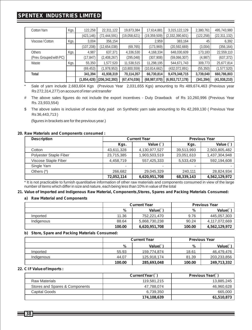### **SPENTEX INDUSTRIES LIMITED**

| <b>Cotton Yarn</b>      | Kgs. | 122,258     | 22,311,122      | 19,873,384     | 17,614,881     | 3,315,122,129   | 2,380,761  | 495,743,980    |
|-------------------------|------|-------------|-----------------|----------------|----------------|-----------------|------------|----------------|
|                         |      | (423, 146)  | (72, 444, 591)  | (19,058,621)   | (19, 359, 509) | (2,332,390,601) | (122, 258) | (22, 311, 132) |
| Viscose/Cotton          | Kgs. | 3.004       | 356,154         |                | 2.959          | 383,164         | 45         | 6,392          |
|                         |      | (107, 208)  | (12,654,038)    | (69, 765)      | (173,969)      | (20, 592, 669)  | (3,004)    | (356, 164)     |
| <b>Others</b>           | Kgs. | 4.987       | 637,371         | 4,336,530      | 4,168,334      | 648,030,609     | 173,183    | 22,559,110     |
| (Prev. Grouped with PC) |      | (17, 847)   | (2,408,267)     | (295, 048)     | (307, 908)     | (59,066,307)    | (4,987)    | (637, 372)     |
| Waste                   | Kgs. | 55,350      | 1,577,520       | 11,538,515     | 11,298,195     | 544,671,743     | 309,773    | 25,677,814     |
|                         |      | (69, 453)   | (1,978,953)     | (10,800,559)   | (10, 814, 662) | (432,072,891)   | (55, 350)  | (1,577,520)    |
| Total                   |      | 341,394     | 41,938,319      | 70,114,357     | 66,730,814     | 9,479,348,715   | 3,739,040  | 660,786,803    |
|                         |      | (1,854,428) | (206, 342, 393) | (67, 474, 036) | (68,987,070)   | (6,953,717,178) | (341, 394) | (41,938,210)   |

\* Sale of yarn include 2,683,604 Kgs (Previous Year 2,031,655 Kgs) amounting to Rs 489,674,463 (Previous year Rs 272,314,277) on account of inter unit transfer

- # The above sales figures do not include the export incentives Duty Drawback of Rs 10,260,996 (Previous Year Rs. 23,933,554)
- \$ The above sales is inclusive of excise duty paid on Synthetic yarn sale amounting to Rs 42,269,130 ( Previous Year Rs 36,443,713 )

(figures in brackets are for the previous year.)

#### **20. Raw Materials and Components consumed :**

| <b>Description</b>     | <b>Current Year</b> |               | <b>Previous Year</b> |               |
|------------------------|---------------------|---------------|----------------------|---------------|
|                        | Kgs.                | Value $( )$   | Kgs.                 | Value $( )$   |
| Cotton                 | 43,611,328          | 4,130,977,527 | 39,513,993           | 2,503,805,482 |
| Polyester Staple Fiber | 23,715,385          | 1,903,503,519 | 23,051,610           | 1,437,304,948 |
| Viscose Staple Fiber   | 4.458.719           | 557,425,333   | 5,533,429            | 592,194,608   |
| Single Yarn            | $\sim$              |               | ٠                    |               |
| Others (*)             | 266,682             | 29,045,329    | 240.111              | 28,824,934    |
|                        | 72.052.114          | 6,620,951,708 | 68,339,143           | 4,562,129,972 |

\* It is not practicable to furnish quantitative information of other raw materials and components consumed in view of the large number of items which differ in size and nature, each being less than 10% in value of the total

#### **21. Value of Imported and Indigenous Raw Material, Components,Stores, Spares and Packing Materials Consumed:**

#### **a) Raw Material and Components**

|            |              | <b>Current Year</b> | <b>Previous Year</b> |               |  |
|------------|--------------|---------------------|----------------------|---------------|--|
|            | %<br>Value(` |                     | $\%$                 | Value(`       |  |
| Imported   | 11.36        | 752.221.470         | 9.76                 | 445,057,303   |  |
| Indigenous | 88.64        | 5.868.730.238       | 90.24                | 4.117.072.669 |  |
|            | 100.00       | 6,620,951,708       | 100.00               | 4,562,129,972 |  |

#### **b) Store, Spare and Packing Materials Consumed:**

|            |                            | <b>Current Year</b> | <b>Previous Year</b> |             |
|------------|----------------------------|---------------------|----------------------|-------------|
|            | $\%$<br>Value <sup>(</sup> |                     | $\%$                 | Value(`     |
| Imported   | 55.93                      | 159.774.874         | 18.61                | 46.479.476  |
| Indigenous | 44.07                      | 125.918.174         | 81.39                | 203,233,856 |
|            | 100.00                     | 285,693,048         | 100.00               | 249,713,332 |

#### **22. C I F Value of Imports :**

|                                | Current Year (`) | Previous Year(`) |
|--------------------------------|------------------|------------------|
| <b>Raw Materials</b>           | 119.581.215      | 13,885,245       |
| Stores and Spares & Components | 47.788.074       | 46.960.628       |
| Capital Goods                  | 6.739.350        | 665,000          |
|                                | 174,108,639      | 61,510,873       |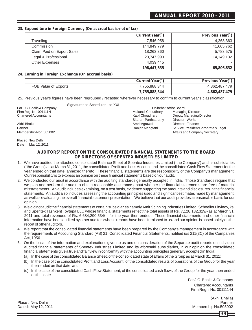### **ANNUAL REPORT 2010 - 2011**

#### **23. Expenditure in Foreign Currency (On accrual basis-net of tax)**

|                            | Current Year(`) | Previous Year(`) |
|----------------------------|-----------------|------------------|
| Traveling                  | 7,546,958       | 4,268,363        |
| Commission                 | 144,849,779     | 41,605,762       |
| Claim Paid on Export Sales | 18,263,360      | 5,783,575        |
| Legal & Professional       | 23.747.993      | 14,149,132       |
| <b>Other Expenses</b>      | 4.039.445       | -                |
|                            | 198,447,535     | 65,806,832       |

#### **24. Earning in Foreign Exchange (On accrual basis)**

|                      | Current Year( | Previous Year(`) |
|----------------------|---------------|------------------|
| FOB Value of Exports | 7.755.888.344 | 4,862,487,479    |
|                      | 7,755,888,344 | 4,862,487,479    |

25. Previous year's figures have been regrouped / recasted wherever necessary to confirm to current year's classification

Signatures to Schedules I to XXI

For J.C. Bhalla & Company

Place : New Delhi Date : May 12, 2011

### **AUDITORS' REPORT ON THE CONSOLIDATED FINANCIAL STATEMENTS TO THE BOARD OF DIRECTORS OF SPENTEX INDUSTRIES LIMITED**

- 1. We have audited the attached consolidated Balance Sheet of Spentex Industries Limited (`the Company') and its subsidiaries (`the Group') as at March 31, 2011, the consolidated Profit and Loss Account and the consolidated Cash Flow Statement for the year ended on that date, annexed thereto. These financial statements are the responsibility of the Company's management. Our responsibility is to express an opinion on these financial statements based on our audit.
- 2. We conducted our audit in accordance with the auditing standards generally accepted in India. Those Standards require that we plan and perform the audit to obtain reasonable assurance about whether the financial statements are free of material misstatements. An audit includes examining, on a test basis, evidence supporting the amounts and disclosures in the financial statements. An audit also includes assessing the accounting principles used and significant estimates made by management, as well as evaluating the overall financial statement presentation. We believe that our audit provides a reasonable basis for our opinion.
- 3. We did not audit the financial statements of certain subsidiaries namely Amit Spinning Industries Limited, Schoeller Litvinov, ks. and Spentex Tashkent Toytepa LLC whose financial statements reflect the total assets of Rs. 7,128,132,319/- as at March 31, 2011 and total revenues of Rs. 6,684,290,534/- for the year then ended. These financial statements and other financial information have been audited by other auditors whose reports have been furnished to us and our opinion is based solely on the report of other auditors.
- 4. We report that the consolidated financial statements have been prepared by the Company's management in accordance with the requirements of Accounting Standard (AS) 21, Consolidated Financial Statements, notified u/s 211(3C) of the Companies Act, 1956.
- 5. On the basis of the information and explanations given to us and on consideration of the Separate audit reports on individual audited financial statements of Spentex Industries Limited and its aforesaid subsidiaries, in our opinion the consolidated financial statements give a true and fair view in conformity with the accounting principles generally accepted in India:
	- (a) In the case of the consolidated Balance Sheet, of the consolidated state of affairs of the Group as at March 31, 2011;
	- (b) In the case of the consolidated Profit and Loss Account, of the consolidated results of operations of the Group for the year then ended on that date; and
	- (c) In the case of the consolidated Cash Flow Statement, of the consolidated cash flows of the Group for the year then ended on that date.

For J.C. Bhalla & Company Chartered Accountants Firm Regn. No. 001111-N

(Akhil Bhalla) Place : New Delhi Partner

Dated: May 12, 2011

**39**

Firm Reg. No. 001111N<br>
Chartered Accountants<br>
Chartered Accountants Sitaram Parthsarathy Director - Works Akhil Bhalla Amrit Agrawal Director - Finance On behalf of the Board

Deputy Managing Director Sr. Vice President Corporate & Legal Membership No : 505002 **Affairs and Company Secretary** Affairs and Company Secretary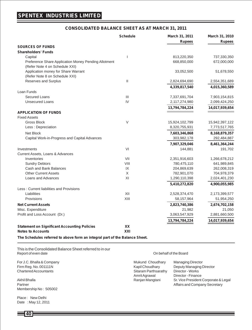#### **CONSOLIDATED BALANCE SHEET AS AT MARCH 31, 2011**

|                                                                                        | <b>Schedule</b> | March 31, 2011<br><b>Rupees</b> | March 31, 2010<br><b>Rupees</b> |
|----------------------------------------------------------------------------------------|-----------------|---------------------------------|---------------------------------|
| <b>SOURCES OF FUNDS</b>                                                                |                 |                                 |                                 |
| <b>Shareholders' Funds</b>                                                             |                 |                                 |                                 |
| Capital                                                                                |                 | 813,220,350                     | 737,330,350                     |
| Preference Share Application Money Pending Allotment<br>(Refer Note 4 on Schedule XXI) |                 | 668,850,000                     | 672,000,000                     |
| Application money for Share Warrant<br>(Refer Note 8 on Schedule XXI)                  |                 | 33,052,500                      | 51,678,550                      |
| Reserves and Surplus                                                                   | Ш               |                                 |                                 |
|                                                                                        |                 | 2,824,694,690                   | 2,554,351,689                   |
|                                                                                        |                 | 4,339,817,540                   | 4,015,360,589                   |
| Loan Funds<br><b>Secured Loans</b>                                                     | Ш               |                                 |                                 |
| <b>Unsecured Loans</b>                                                                 | IV              | 7,337,691,704<br>2,117,274,980  | 7,903,154,815<br>2,099,424,250  |
|                                                                                        |                 |                                 |                                 |
|                                                                                        |                 | 13,794,784,224                  | 14,017,939,654                  |
| <b>APPLICATION OF FUNDS</b><br><b>Fixed Assets</b>                                     |                 |                                 |                                 |
| <b>Gross Block</b>                                                                     | V               | 15,924,102,799                  | 15,942,397,122                  |
| Less : Depreciation                                                                    |                 | 8,320,755,931                   | 7,773,517,765                   |
| <b>Net Block</b>                                                                       |                 |                                 |                                 |
|                                                                                        |                 | 7,603,346,868<br>303,982,178    | 8,168,879,357<br>292,484,887    |
| Capital Work-in-Progress and Capital Advances                                          |                 |                                 |                                 |
|                                                                                        |                 | 7,907,329,046                   | 8,461,364,244                   |
| Investments                                                                            | VI              | 144,881                         | 191,702                         |
| Current Assets, Loans & Advances<br>Inventories                                        | VII             |                                 |                                 |
| <b>Sundry Debtors</b>                                                                  | VIII            | 2,351,916,603<br>780,475,110    | 1,266,678,212<br>641,989,845    |
| Cash and Bank Balances                                                                 | IX              | 204,869,639                     | 262,008,319                     |
| <b>Other Current Assets</b>                                                            | X               | 782,901,070                     | 704,978,379                     |
| Loans and Advances                                                                     | XI              | 1,290,110,398                   | 2,024,401,230                   |
|                                                                                        |                 | 5,410,272,820                   | 4,900,055,985                   |
| Less: Current liabilities and Provisions                                               |                 |                                 |                                 |
| Liabilities                                                                            | XII             | 2,528,374,470                   | 2,173,399,577                   |
| Provisions                                                                             | XIII            | 58,157,964                      | 51,954,250                      |
| <b>Net Current Assets</b>                                                              |                 | 2,823,740,386                   | 2,674,702,158                   |
| Misc. Expenditure                                                                      |                 | 21,982                          | 21,050                          |
| Profit and Loss Account (Dr.)                                                          |                 | 3,063,547,929                   | 2,881,660,500                   |
|                                                                                        |                 |                                 |                                 |
|                                                                                        |                 | 13,794,784,224                  | 14,017,939,654                  |
| <b>Statement on Significant Accounting Policies</b><br><b>Notes to Accounts</b>        | XX<br>XXI       |                                 |                                 |

**The Schedules referred to above form an integral part of the Balance Sheet.**

This is the Consolidated Balance Sheet referred to in our Report of even date

Membership No : 505002

Place : New Delhi Date : May 12, 2011 On behalf of the Board

For J.C. Bhalla & Company **Mukund Choudhary** Managing Director<br>Firm Reg. No. 001111N Museum Museum Managing Director Rim Reg. No. 001111N Firm Reg. No. 001111N<br>
Chartered Accountants<br>
Chartered Accountants<br>
Chartered Accountants Sitaram Parthsarathy<br>Amrit Agrawal Director - Finance Akhil Bhalla Ranjan Mangtani Sr. Vice President Corporate & Legal Partner Affairs and Company Secretary and The Affairs and Company Secretary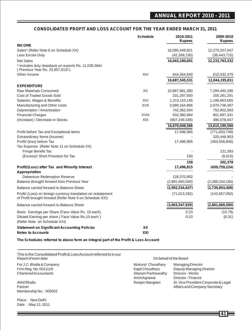#### **CONSOLIDATED PROFIT AND LOSS ACCOUNT FOR THE YEAR ENDED MARCH 31, 2011**

|                                                                                                                           | <b>Schedule</b> | 2010-2011<br><b>Rupees</b> | 2009-2010<br><b>Rupees</b> |
|---------------------------------------------------------------------------------------------------------------------------|-----------------|----------------------------|----------------------------|
| <b>INCOME</b>                                                                                                             |                 |                            |                            |
| Sales* (Refer Note 6 on Schedule XX)                                                                                      |                 | 16,085,449,821             | 12,270,207,047             |
| Less Excise Duty                                                                                                          |                 | (42, 269, 130)             | (36, 443, 715)             |
| <b>Net Sales</b>                                                                                                          |                 | 16,043,180,691             | 12,233,763,332             |
| * Includes duty drawback on exports Rs. 11,030,364/-<br>(Previous Year Rs. 23,957,813/-)                                  |                 |                            |                            |
| Other Income                                                                                                              | XIV             | 644,364,840                | 610,432,479                |
|                                                                                                                           |                 | 16,687,545,531             | 12,844,195,811             |
| <b>EXPENDITURE</b>                                                                                                        |                 |                            |                            |
| <b>Raw Materials Consumed</b>                                                                                             | XV              | 10,867,981,380             | 7,294,440,296              |
| Cost of Traded Goods Sold                                                                                                 |                 | 231,297,593                | 205,281,291                |
| Salaries, Wages & Benefits                                                                                                | XVI             | 1,214,110,145              | 1,199,863,605              |
| Manufacturing and Other costs                                                                                             | XVII            | 3,589,164,866              | 2,970,736,397              |
| Depreciation / Amortisation                                                                                               |                 | 742,362,934                | 752,902,593                |
| <b>Financial Charges</b>                                                                                                  | <b>XVIII</b>    | 932,380,984                | 801,897,331                |
| (Increase) / Decrease in Stocks                                                                                           | XIX             | (907, 249, 336)            | 390,078,047                |
|                                                                                                                           |                 | 16,670,048,566             | 13,615,199,560             |
| Profit before Tax and Exceptional items                                                                                   |                 | 17,496,965                 | (771,003,749)              |
| Extraordinary Items (income)                                                                                              |                 |                            | 320,446,903                |
| Profit/ (loss) before Tax                                                                                                 |                 | 17,496,965                 | (450, 556, 846)            |
| Tax Expense (Refer Note 11 on Schedule XX)                                                                                |                 |                            |                            |
| Fringe Benefit Tax                                                                                                        |                 |                            | 211,393                    |
| (Excess)/ Short Provision for Tax                                                                                         |                 | 150                        | (9,015)                    |
|                                                                                                                           |                 | 150                        | 202,378                    |
| Profit/(Loss) after Tax and Minority Interest<br>Appropriation                                                            |                 | 17,496,815                 | (450, 759, 224)            |
| Debenture Redemption Reserve                                                                                              |                 | 128,370,952                |                            |
| Balance Brought forward from Previous Year                                                                                |                 | (2,881,660,500)            | (2,288,244,184)            |
| Balance carried forward to Balance Sheet                                                                                  |                 | (2,992,534,637)            | (2,739,003,408)            |
| Profit/ (Loss) on foreign currency translation on restatement<br>of Profit brought forward (Refer Note 5 on Schedule XXI) |                 | (71, 013, 292)             | (142, 657, 092)            |
| Balance carried forward to Balance Sheet                                                                                  |                 | (3,063,547,929)            | (2,881,660,500)            |
| Basic Earnings per Share (Face Value Rs. 10 each)                                                                         |                 | 0.23                       | (10.79)                    |
| Diluted Earning per share (Face Value Rs.10 each)                                                                         |                 | 0.23                       | (6.31)                     |
| (Refer Note on Schedule XXI)                                                                                              |                 |                            |                            |
| <b>Statement on Significant Accounting Policies</b>                                                                       | XX              |                            |                            |
| <b>Notes to Accounts</b>                                                                                                  | XXI             |                            |                            |

**The Schedules referred to above form an integral part of the Profit & Loss Account**

This is the Consolidated Profit & Loss Account referred to in our Report of even date

For J.C. Bhalla & Company Mukamata Choudhary Mukamata Director Muk Firm Reg. No. 001111N Kapil Choudhary Deputy Managing Director Choudhary Charles Choudhary Deputy Managing Director<br>
Site Chartered Accountants Sita<br>Am Parthsarathy Director - Works and Director - Works and Director - Works and Director - Works and Director -

Partner Affairs and Company Secretary Company Secretary Affairs and Company Secretary Membership No : 505002

Place : New Delhi Date : May 12, 2011 On behalf of the Board

| For J.C. Bhalla & Company | Mukund Choudhary     | <b>Managing Director</b>             |
|---------------------------|----------------------|--------------------------------------|
| Firm Reg. No. 001111N     | Kapil Choudhary      | Deputy Managing Director             |
| Chartered Accountants     | Sitaram Parthsarathy | Director - Works                     |
|                           | Amrit Agrawal        | Director - Finance                   |
| Akhil Bhalla              | Ranjan Mangtani      | Sr. Vice President Corporate & Legal |
| Dortnor                   |                      | Affaire and Company Coorstony        |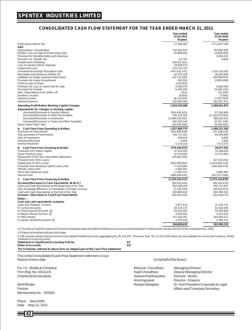#### **CONSOLIDATED CASH FLOW STATEMENT FOR THE YEAR ENDED MARCH 31, 2011**

|                                                                                                                                                                                                                                                                                                                          | Year ended<br>31-03-2011<br><b>Rupees</b>                                                    | Year ended<br>31-03-2010<br><b>Rupees</b>                                                           |
|--------------------------------------------------------------------------------------------------------------------------------------------------------------------------------------------------------------------------------------------------------------------------------------------------------------------------|----------------------------------------------------------------------------------------------|-----------------------------------------------------------------------------------------------------|
| Profit /(loss) before Tax                                                                                                                                                                                                                                                                                                | 17,496,965                                                                                   | (771,003,748)                                                                                       |
| Add:<br>Depreciation / Amortisation<br>(Profit) / Loss on Sale of Fixed Asset (net)<br>Provision for Doubtful Debts and Advances                                                                                                                                                                                         | 742,362,934<br>91,895,820                                                                    | 752,902,592<br>(2,839,483)<br>3.809.413                                                             |
| Provision for Wealth Tax<br>Temple land & Building<br>Loss on assets held for disposal                                                                                                                                                                                                                                   | 52,767<br>(18,621,021)<br>19,659,578                                                         | 9.683                                                                                               |
| <b>Impairment Loss</b><br>Unrealised Exchange Fluctuation (net)                                                                                                                                                                                                                                                          | 410,720,720<br>(447, 032, 241)                                                               | 1,510,143,183                                                                                       |
| Bad Debts and Advances Written off<br>Liabilities no longer required written back<br>Provision for Leave Encashment<br>Profit on sale of Share                                                                                                                                                                           | 84,702,109<br>(15, 715, 292)<br>916,593<br>(143, 822)                                        | 46.326.889<br>(58, 366, 553)<br>(3,850,660)                                                         |
| Provision for Loss on asset held for sale<br><b>Provision for Gratuitv</b><br>Misc. Expenditure to be written off                                                                                                                                                                                                        | 2,456,079<br>5,308,238<br>(931)                                                              | 6,000,000<br>(8,340,125)<br>(21,056)                                                                |
| Dividend Income<br>Interest Income<br>Interest Expense                                                                                                                                                                                                                                                                   | (8,004)<br>(8, 110, 910)<br>932,380,984                                                      | (7,685)<br>(7, 837, 905)<br>801,897,331                                                             |
| <b>Operating Profit Before Working Capital Changes</b>                                                                                                                                                                                                                                                                   | 1,818,320,568                                                                                | 2,268,821,875                                                                                       |
| Adjustments for changes in working capital :<br>(Increase)/Decrease in Sundry Debtors<br>(Increase)/Decrease in Other Receivables<br>(Increase)/Decrease in Inventories<br>Increase/(Decrease) in Trade and Other Payables<br>Direct Taxes Paid (Net)                                                                    | (204, 646, 615)<br>708,139,318<br>(1,085,238,392)<br>340, 155, 149<br>(19,049,258)           | 57,180,499<br>(1, 100, 578, 352)<br>289,530,812<br>(6,457,248)<br>(9,266,482)                       |
| A. Cash Flow From Operating Activities<br>Purchase of Fixed Assets<br>Sale proceeds of Fixed Assets<br>Sale of Investment<br>Dividend Received<br><b>Interest Received</b>                                                                                                                                               | 1,557,680,770<br>(434,999,099)<br>148,737,161<br>190,643<br>8.004<br>6,716,318               | 1,499,231,104<br>(57, 168, 126)<br>80,259,569<br>6,000<br>7.685<br>7,572,073                        |
| B. Cash Flow From Investing Activities<br>Proceeds from Share Capital<br>Share Premium (net)<br>Repayment of 9% Non-convertible Debenture                                                                                                                                                                                | (279, 346, 973)<br>57,263,950<br>52,743,550<br>(24,663,460)                                  | 30,677,201<br>74.288.550<br>15,713,950                                                              |
| Proceeds from Term Loans<br>Repayment of Term Loans<br>Proceeds from Working Capital Loans (net)<br>Vehicle Loans (net)                                                                                                                                                                                                  | (622, 499, 083)<br>77,216,084<br>4.483.347                                                   | 427,523,663<br>(1,023,843,145)<br>(260, 806, 370)                                                   |
| Short term advances (net)<br><b>Interest Paid</b>                                                                                                                                                                                                                                                                        | 17,850,731<br>(896, 639, 431)                                                                | 2.995.482<br>(811, 017, 009)                                                                        |
| C. Cash Flow From Financing Activities<br>Increase/(Decrease) in Cash Equivalents {A+B+C}<br>Cash and Cash Equivalents at the Beginning of the Year<br>Add: Exchange difference on translation of foreign currency<br>Cash and Cash Equivalents at the End of the Year<br>Increase / (Decrease) in Cash/Cash Equivalents | (1,334,244,313)<br>(55,910,516)<br>262,008,319<br>(1,228,164)<br>204,869,639<br>(55,910,516) | (1,575,144,879)<br>(45, 236, 574)<br>346,747,807<br>(39, 502, 915)<br>262.008.319<br>(45, 236, 574) |
| Notes :-<br>Cash and cash equivalents comprise                                                                                                                                                                                                                                                                           |                                                                                              |                                                                                                     |
| Cash and Cheques in hand<br>In Current Accounts                                                                                                                                                                                                                                                                          | 2,877,914<br>34,724,170                                                                      | 15.739.712<br>41,934,305                                                                            |
| In Fixed Deposit Accounts @<br>In Margin Money Account @<br>In Other Banks<br>In unpaid dividend accounts @                                                                                                                                                                                                              | 15,515,000<br>3,528,361<br>147, 145, 057<br>1,079,136                                        | 16,200,000<br>3,524,424<br>183,319,137<br>1,290,741                                                 |
|                                                                                                                                                                                                                                                                                                                          | 204,869,639                                                                                  | 262,008,319                                                                                         |
| #1 The above Cash flow statement has been prepared under the Indirect method set out in Accounting Standard 3 notified under section 211(3C) of the Companies Act, 1956.<br>#2 Figures in brackets indicate cash outgo.                                                                                                  |                                                                                              |                                                                                                     |

#3 @ Includes Margin Money Account and Unpaid Dividend Accounts aggregating Rs.20,122,497 (Previous Year Rs. 21,015,165) which are not available for use by the Company. (Refer Schedule IX in the accounts) **Statement on Significant Accounting Policies XX**

Statement on Significant Accounting Policies **1996 1896 1897 1898 1898 1899 1898 1899 1898 1899 1899 1899 1899**<br>Motes to Accounts **The Schedules referred to above form an integral part of the Cash Flow Statement**

This is the Consolidated Cash Flow Statement referred to in our

Membership No : 505002

Place : New Delhi Date : May 12, 2011



#### On behalf of the Board

For J.C. Bhalla & Company **Mukund Choudhary** Managing Director<br>Firm Reg. No. 001111N Firm Reg. No. 001111N<br>
Chartered Accountants<br>
Chartered Accountants Sitaram Parthsarathy Amrit Agrawal Director - Finance Akhil Bhalla Ranjan Mangtani Sr. Vice President Corporate & Legal Affairs and Company Secretary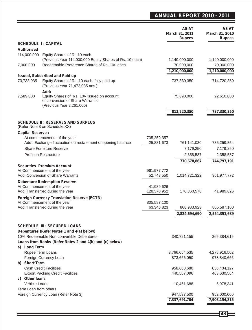### **ANNUAL REPORT 2010 - 2011**

|                                 |                                                                                        |               | AS AT<br>March 31, 2011<br><b>Rupees</b> | <b>AS AT</b><br>March 31, 2010<br><b>Rupees</b> |
|---------------------------------|----------------------------------------------------------------------------------------|---------------|------------------------------------------|-------------------------------------------------|
|                                 | <b>SCHEDULE 1: CAPITAL</b>                                                             |               |                                          |                                                 |
| <b>Authorised</b>               |                                                                                        |               |                                          |                                                 |
| 114,000,000                     | Equity Shares of Rs 10 each                                                            |               |                                          |                                                 |
|                                 | (Previous Year 114,000,000 Equity Shares of Rs. 10 each)                               |               | 1,140,000,000                            | 1,140,000,000                                   |
| 7,000,000                       | Redeemable Preference Shares of Rs. 10/- each                                          |               | 70,000,000                               | 70,000,000                                      |
|                                 | <b>Issued, Subscribed and Paid up</b>                                                  |               | 1,210,000,000                            | 1,210,000,000                                   |
| 73,733,035                      | Equity Shares of Rs. 10 each, fully paid up                                            |               | 737,330,350                              | 714,720,350                                     |
|                                 | (Previous Year 71,472,035 nos.)                                                        |               |                                          |                                                 |
| 7,589,000                       | Add:<br>Equity Shares of Rs. 10/- issued on account<br>of conversion of Share Warrants |               | 75,890,000                               | 22,610,000                                      |
|                                 | (Previous Year 2,261,000)                                                              |               |                                          |                                                 |
|                                 |                                                                                        |               | 813,220,350                              | 737,330,350                                     |
|                                 |                                                                                        |               |                                          |                                                 |
|                                 | <b>SCHEDULE II: RESERVES AND SURPLUS</b><br>(Refer Note 8 on Schedule XX)              |               |                                          |                                                 |
| <b>Capital Reserve:</b>         |                                                                                        |               |                                          |                                                 |
|                                 | At commencement of the year                                                            | 735,259,357   |                                          |                                                 |
|                                 | Add: Exchange fluctuation on restatement of opening balance                            | 25,881,673    | 761,141,030                              | 735,259,354                                     |
|                                 | <b>Share Forfeiture Reserve</b>                                                        |               | 7,179,250                                | 7,179,250                                       |
|                                 | Profit on Restructure                                                                  |               | 2,358,587                                | 2,358,587                                       |
|                                 |                                                                                        |               | 770,678,867                              | 744,797,191                                     |
|                                 | <b>Securities Premium Account</b><br>At Commencement of the year                       | 961, 977, 772 |                                          |                                                 |
|                                 | Add: Conversion of Share Warrants                                                      | 52,743,550    | 1,014,721,322                            | 961, 977, 772                                   |
|                                 | <b>Debenture Redemption Reserve</b>                                                    |               |                                          |                                                 |
|                                 | At Commencement of the year                                                            | 41,989,626    |                                          |                                                 |
|                                 | Add: Transferred during the year                                                       | 128,370,952   | 170,360,578                              | 41,989,626                                      |
|                                 | <b>Foreign Currency Translation Reserve (FCTR)</b>                                     |               |                                          |                                                 |
|                                 | At Commencement of the year                                                            | 805,587,100   |                                          |                                                 |
|                                 | Add: Transferred during the year                                                       | 63,346,823    | 868,933,923                              | 805,587,100                                     |
|                                 |                                                                                        |               | 2,824,694,690                            | 2,554,351,689                                   |
|                                 |                                                                                        |               |                                          |                                                 |
|                                 | <b>SCHEDULE III : SECURED LOANS</b>                                                    |               |                                          |                                                 |
|                                 | Debentures (Refer Notes 1 and 4(a) below)<br>10% Redeemable Non-convertible Debentures |               | 340,721,155                              | 365,384,615                                     |
|                                 | Loans from Banks (Refer Notes 2 and 4(b) and (c) below)                                |               |                                          |                                                 |
| a) Long Term                    |                                                                                        |               |                                          |                                                 |
|                                 | Rupee Term Loans                                                                       |               | 3,766,054,535                            | 4,278,916,502                                   |
|                                 | Foreign Currency Loan                                                                  |               | 873,666,050                              | 978,840,666                                     |
| b) Short Term                   |                                                                                        |               |                                          |                                                 |
|                                 | <b>Cash Credit Facilities</b>                                                          |               | 958,683,680                              | 858,404,127                                     |
|                                 | <b>Export Packing Credit Facilities</b>                                                |               | 440,567,096                              | 463,630,564                                     |
| c) Other loans<br>Vehicle Loans |                                                                                        |               | 10,461,688                               | 5,978,341                                       |
| Term Loan from others           |                                                                                        |               |                                          |                                                 |
|                                 | Foreign Currency Loan (Refer Note 3)                                                   |               | 947,537,500                              | 952,000,000                                     |
|                                 |                                                                                        |               | 7,337,691,704                            | 7,903,154,815                                   |
|                                 |                                                                                        |               |                                          |                                                 |

<u> 1980 - Johann Barnett, mars et al. 1980 - Anna anno 1980 - Anna anno 1980 - Anna anno 1980 - Anna ann ann an</u>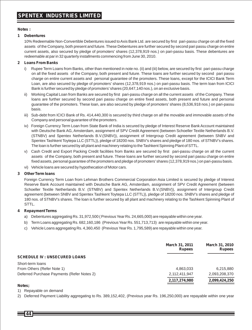#### **Notes :**

#### **1 Debentures**

10% Redeemable Non-Convertible Debentures issued to Axis Bank Ltd. are secured by first pari-passu charge on all the fixed assets of the Company, both present and future. These Debentures are further secured by second pari passu charge on entire current assets, also secured by pledge of promoters' shares (12,378,919 nos.) on pari-passu basis. These debentures are redeemable at par in 32 quarterly installments commencing from June 30, 2010.

#### **2 Loans From Banks**

- i) Rupee Term Loans from Banks, other than mentioned in note no. (ii) and (iii) below, are secured by first pari-passu charge on all the fixed assets of the Company, both present and future. These loans are further secured by second pari passu charge on entire current assets and personal guarantee of the promoters. These loans, except for the ICICI Bank Term Loan, are also secured by pledge of promoters' shares (12,378,919 nos.) on pari-passu basis. The term loan from ICICI Bank is further secured by pledge of promoters' shares (20,647,140 nos.), on an exclusive basis.
- ii) Working Capital Loan from Banks are secured by first pari-passu charge on all the current assets of the Company. These loans are further secured by second pari passu charge on entire fixed assets, both present and future and personal guarantee of the promoters. These loan, are also secured by pledge of promoters' shares (8,536,918 nos.) on pari-passu basis.
- iii) Sub-debt from ICICI Bank of Rs. 414,440,300 is secured by third charge on all the movable and immovable assets of the Company and personal guarantee of the promoters.
- iv) Foreign Currency Term Loan from State Bank of India is secured by pledge of Interest Reserve Bank Account maintained with Deutsche Bank AG, Amsterdam, assignment of SPV Credit Agreement (between Schoeller Textile Netherlands B.V. (STNBV) and Spentex Netherlands B.V.(SNBV)), assignment of Intergroup Credit agreement (between SNBV and Spentex Tashkent Toytepa LLC (STTL)), pledge of 18200 nos. SNBV's shares and pledge of 180 nos. of STNBV's shares. The loan is further secured by all plant and machinery relating to the Tashkent Spinning Plant of STTL.
- v) Cash Credit and Export Packing Credit facilities from Banks are secured by first pari-passu charge on all the current assets of the Company, both present and future. These loans are further secured by second pari passu charge on entire fixed assets, personal guarantee of the promoters and pledge of promoters' shares (12,378,919 nos.) on pari-passu basis.
- vi) Vehicle loans are secured by hypothecation of Motor cars.

#### **3 Other Term loans**

Foreign Currency Term Loan from Lehman Brothers Commercial Corporation Asia Limited is secured by pledge of Interest Reserve Bank Account maintained with Deutsche Bank AG, Amsterdam, assignment of SPV Credit Agreement (between Schoeller Textile Netherlands B.V. (STNBV) and Spentex Netherlands B.V.(SNBV)), assignment of Intergroup Credit agreement (between SNBV and Spentex Tashkent Toytepa LLC (STTL)), pledge of 18200 nos. SNBV's shares and pledge of 180 nos. of STNBV's shares. The loan is further secured by all plant and machinery relating to the Tashkent Spinning Plant of STTL.

#### **4 Repayment Terms**

- a) Debentures aggregating Rs. 31,972,500 ( Previous Year Rs. 24,665,000) are repayable within one year.
- b) Term Loans aggregating Rs. 682,160,186 (Previous Year Rs. 551,713,713) are repayable within one year.
- c) Vehicle Loans aggregating Rs. 4,360,450 (Previous Year Rs. 1,795,589) are repayable within one year.

|                                            | March 31, 2011<br><b>Rupees</b> | March 31, 2010<br><b>Rupees</b> |
|--------------------------------------------|---------------------------------|---------------------------------|
| <b>SCHEDULE IV: UNSECURED LOANS</b>        |                                 |                                 |
| Short-term loans                           |                                 |                                 |
| From Others (Refer Note 1)                 | 4,863,033                       | 6,215,880                       |
| Deferred Purchase Payments (Refer Notes 2) | 2,112,411,947                   | 2.093.208.370                   |
|                                            | 2,117,274,980                   | 2,099,424,250                   |

#### **Notes;**

1) Repayable on demand

2) Deferred Payment Liability aggregating to Rs. 389,152,402, (Previous year Rs. 196,250,000) are repayable within one year

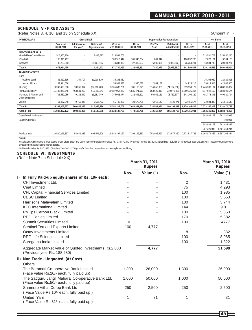#### **SCHEDULE V - FIXED ASSETS**

(Refer Notes 3, 4, 10, and 13 on Schedule XX) (Amount in `)

| <b>PARTICULARS</b>                           |                          | <b>Gross Block</b>         |                             |                          |                     | Depreciation / Amortisation |                           |                     | Net Block           |                     |
|----------------------------------------------|--------------------------|----------------------------|-----------------------------|--------------------------|---------------------|-----------------------------|---------------------------|---------------------|---------------------|---------------------|
|                                              | Cost as at<br>01.04.2010 | Additions for<br>the year* | Deletions/<br>Adjustments @ | Cost as<br>at 31.03.2011 | Up to<br>01.04.2010 | For The<br>Year             | Deletions/<br>Adjustments | Up to<br>31.03.2011 | As at<br>31.03.2011 | As at<br>31.03.2010 |
| <b>INTANGIBLE ASSETS</b>                     |                          |                            |                             |                          |                     |                             |                           |                     |                     |                     |
| Goodwill on Consolidation                    | 515.950.220              |                            | 2.418.517                   | 513.531.703              |                     |                             |                           |                     | 513.531.703         | 515.950.220         |
| Goodwill                                     | 108.910.417              |                            |                             | 108.910.417              | 105,346,254         | 891.042                     |                           | 106,237,296         | 2.673.121           | 3,564,163           |
| Software                                     | 48.233.858               |                            | (1, 104, 115)               | 49.337.973               | 27.339.637          | 6.939.931                   | (1,073,663)               | 35.353.231          | 13.984.742          | 20,894,221          |
| <b>Total A</b>                               | 673.094.495              |                            | 1,314,402                   | 671,780,093              | 132,685,891         | 7.830.973                   | (1,073,663)               | 141.590.527         | 530.189.566         | 540.408.604         |
| <b>TANGIBLE ASSETS</b>                       |                          |                            |                             |                          |                     |                             |                           |                     |                     |                     |
| Land                                         |                          |                            |                             |                          |                     |                             |                           |                     |                     |                     |
| - Freehold Land                              | 32,829,515               | 354,707                    | (1,918,810)                 | 35,103,032               |                     |                             |                           |                     | 35,103,032          | 32,829,515          |
| Leasehold Land                               | 53.944.536               |                            |                             | 53.944.536               | 11.936.036          | 2.989.182                   |                           | 14.925.218          | 39.019.318          | 42.008.500          |
| Building                                     | 3.249.498.698            | 18,266,314                 | (97, 918, 269)              | 3,365,683,281            | 781,106,871         | 114,056,056                 | (24, 187, 250)            | 919.350.177         | 2,446,333,104       | 2,468,391,827       |
| Plant & Machinery                            | 11.138.975.545           | 463.531.259                | 615.439.341                 | 10.987.067.463           | 6,535,471,971       | 553.629.418                 | 219.976.086               | 6.869.125.304       | 4.117.942.159       | 4,603,503,574       |
| Furniture & Fixtures and<br>Office equipment | 732,567,085              | 9,233,640                  | (3,282,749)                 | 745,083,474              | 282,646,291         | 56,942,161                  | (3,719,677)               | 343,308,129         | 401,775,345         | 449,920,794         |
| Vehicle                                      | 61.487.248               | 9.460.445                  | 5,506,773                   | 65.440.920               | 29.670.705          | 6.915.142                   | 4,129,271                 | 32.456.577          | 32,984,343          | 31,816,543          |
| <b>Total B</b>                               | 15,269,302,627           | 500,846,365                | 517,826,286                 | 15,252,322,706           | 7,640,831,874       | 734,531,961                 | 196,198,429               | 8,179,165,405       | 7,073,157,302       | 7,628,470,753       |
| <b>Grand Total</b>                           | 15.942.397.122           | 500.846.365                | 519.140.688                 | 15.924.102.799           | 7.773.517.765       | 742.362.934                 | 195.124.766               | 8.320.755.931       | 7.603.346.867       | 8.168.879.357       |
| Capital Work -in-Progress                    |                          |                            |                             |                          |                     |                             |                           |                     | 303,982,178         | 292,380,986         |
| Capital Advances                             |                          |                            |                             |                          |                     |                             |                           |                     |                     | 103.901             |
|                                              |                          |                            |                             |                          |                     |                             |                           |                     | 303,982,178         | 292,484,887         |
|                                              |                          |                            |                             |                          |                     |                             |                           |                     | 7.907.329.045       | 8.461.364.244       |
| Previous Year                                | 16.580.296.897           | 58.641.833                 | 696.541.608                 | 15.942.397.122           | 7.193.192.533       | 752.902.592                 | 172.577.360               | 7.773.517.765       | 8.168.879.357       | 9.387.104.364       |

**Notes :**

@ Deletions/Adjustments to fixed assets under Gross Block and Depreciation /Amortisation include Rs. -333,870,940 (Previous Year Rs. 663,628,281) and Rs. -208,455,943 (Previous Year 143,280,488) respectively, on account of restatement at the closing exchange rate.

\*Addition includes Rs. 58,723533 (Previous Year 20,331,794) transfer from fixed assets held for sale to plant & machinery.

#### **SCHEDULE VI : INVESTMENTS**

(Refer Note 7 on Schedule XX)

|    |                                                                                               | March 31, 2011<br><b>Rupees</b> |             |                | March 31, 2010<br><b>Rupees</b> |  |
|----|-----------------------------------------------------------------------------------------------|---------------------------------|-------------|----------------|---------------------------------|--|
|    |                                                                                               | Nos.                            | Value $( )$ | Nos.           | Value $( )$                     |  |
| I) | In Fully Paid-up equity shares of Rs. 10/- each:                                              |                                 |             |                |                                 |  |
|    | CHI Investment Ltd.                                                                           |                                 |             | $\overline{2}$ | 1,431                           |  |
|    | <b>Ceat Limited</b>                                                                           |                                 |             | 75             | 4,293                           |  |
|    | CFL Capital Financial Services Limited                                                        |                                 |             | 100            | 1,985                           |  |
|    | <b>CESC Limited</b>                                                                           |                                 |             | 100            | 5,553                           |  |
|    | Harrisons Malayalam Limited                                                                   |                                 |             | 100            | 3,744                           |  |
|    | <b>KEC International Limited</b>                                                              |                                 |             | 144            | 9,011                           |  |
|    | Phillips Carbon Black Limited                                                                 |                                 |             | 100            | 5,653                           |  |
|    | <b>RPG Cables Limited</b>                                                                     |                                 |             | 170            | 5,382                           |  |
|    | <b>Summit Securities Limited</b>                                                              | 10                              |             | 100            | 4777                            |  |
|    | Sentinel Tea and Exports Limited                                                              | 100                             | 4,777       |                |                                 |  |
|    | Octav Investments Limited                                                                     |                                 |             | 8              | 382                             |  |
|    | <b>RPG Life Sciences Limited</b>                                                              |                                 |             | 100            | 8,065                           |  |
|    | Saregama India Limited                                                                        |                                 |             | 100            | 1,322                           |  |
|    | Aggregate Market Value of Quoted Investments Rs.2,880<br>(Previous year Rs. 188,280)          |                                 | 4,777       |                | 51,598                          |  |
|    | II) Non Trade - Unquoted (At Cost)                                                            |                                 |             |                |                                 |  |
|    | Others                                                                                        |                                 |             |                |                                 |  |
|    | The Baramati Co-operative Bank Limited<br>(Face value Rs.20/- each, fully paid up)            | 1,300                           | 26,000      | 1,300          | 26,000                          |  |
|    | The Sadguru Jangli Maharaj Co-operative Bank Ltd.<br>(Face value Rs.50/- each, fully paid up) | 1,000                           | 50,000      | 1,000          | 50,000                          |  |
|    | Shamrao Vithal Co-op Bank Ltd                                                                 | 250                             | 2,500       | 250            | 2,500                           |  |
|    | (Face Value Rs.10/- each, fully paid up)                                                      |                                 |             |                |                                 |  |
|    | United Yarn<br>Face Value Rs.31/- each, fully paid up)                                        | 1                               | 31          | 1              | 31                              |  |

**45**

Ξ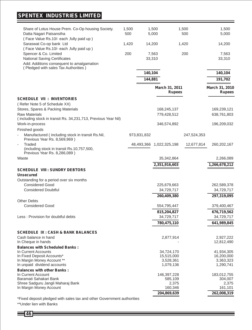## **SPENTEX INDUSTRIES LIMITED**

|                                                                                            |              |             |                                 |              | 1,500                           |
|--------------------------------------------------------------------------------------------|--------------|-------------|---------------------------------|--------------|---------------------------------|
| Share of Lotus House Prem. Co-Op housing Society.<br>Datta Nagari Patsanstha               | 1,500<br>500 |             | 1,500<br>5,000                  | 1,500<br>500 | 5,000                           |
| (Face Value Rs.10/- each , fully paid up)                                                  |              |             |                                 |              |                                 |
| Saraswat Co-op bank Ltd<br>(Face Value Rs.10/- each ,fully paid up)                        | 1,420        |             | 14,200                          | 1,420        | 14,200                          |
| Spencer & Co. Limited                                                                      | 200          |             | 7,563                           | 200          | 7,563                           |
| National Saving Certificates                                                               |              |             | 33,310                          |              | 33,310                          |
| Add: Additions consequent to amalgamation<br>(Pledged with sales Tax Authorities)          |              |             |                                 |              |                                 |
|                                                                                            |              | 140,104     |                                 |              | 140,104                         |
|                                                                                            |              | 144,881     |                                 |              | 191,702                         |
|                                                                                            |              |             | March 31, 2011<br><b>Rupees</b> |              | March 31, 2010<br><b>Rupees</b> |
| <b>SCHEDULE VII : INVENTORIES</b>                                                          |              |             |                                 |              |                                 |
| (Refer Note 5 of Schedule XX)                                                              |              |             |                                 |              |                                 |
| Stores, Spares & Packing Materials                                                         |              |             | 168,245,137                     |              | 169,239,121                     |
| <b>Raw Materials</b>                                                                       |              |             | 779,428,512                     |              | 638,761,803                     |
| (including stock in transit Rs. 34,231,713, Previous Year Nil)                             |              |             |                                 |              |                                 |
| Work-in-process                                                                            |              |             | 346,574,892                     |              | 196,209,032                     |
| Finished goods                                                                             |              |             |                                 |              |                                 |
| Manufactured (including stock in transit Rs.Nil,<br>Previous Year Rs. 8,569,969)           |              | 973,831,832 |                                 | 247,524,353  |                                 |
| Traded<br>÷,<br>(including stock in transit Rs.10,757,500,<br>Previous Year Rs. 8,286,089) |              | 48,493,366  | 1,022,325,198                   | 12,677,814   | 260, 202, 167                   |
| Waste                                                                                      |              |             | 35,342,864                      |              | 2,266,089                       |
|                                                                                            |              |             | 2,351,916,603                   |              | 1,266,678,212                   |
| <b>SCHEDULE VIII : SUNDRY DEBTORS</b>                                                      |              |             |                                 |              |                                 |
| <b>Unsecured</b>                                                                           |              |             |                                 |              |                                 |
| Outstanding for a period over six months                                                   |              |             |                                 |              |                                 |
| <b>Considered Good</b>                                                                     |              |             | 225,679,663                     |              | 262,589,378                     |
| <b>Considered Doubtful</b>                                                                 |              |             | 34,729,717                      |              | 34,729,717                      |
|                                                                                            |              |             | 260,409,380                     |              | 297,319,095                     |
| <b>Other Debts</b>                                                                         |              |             |                                 |              |                                 |
| <b>Considered Good</b>                                                                     |              |             | 554,795,447                     |              | 379,400,467                     |
|                                                                                            |              |             | 815,204,827                     |              | 676,719,562                     |
| Less: Provision for doubtful debts                                                         |              |             | 34,729,717                      |              | 34,729,717                      |
|                                                                                            |              |             | 780,475,110                     |              | 641,989,845                     |
| <b>SCHEDULE IX : CASH &amp; BANK BALANCES</b>                                              |              |             |                                 |              |                                 |
| Cash balance in hand                                                                       |              |             | 2,877,914                       |              | 2,927,222                       |
| In Cheque in hands                                                                         |              |             | $\overline{\phantom{a}}$        |              | 12,812,490                      |
| <b>Balances with Scheduled Banks:</b>                                                      |              |             |                                 |              |                                 |
| In Current Accounts                                                                        |              |             | 34,724,170                      |              | 41,934,305                      |
| In Fixed Deposit Accounts*<br>In Margin Money Account **                                   |              |             | 15,515,000<br>3,528,361         |              | 16,200,000<br>3,363,323         |
| In unpaid dividend accounts                                                                |              |             | 1,079,136                       |              | 1,290,741                       |
| <b>Balances with other Banks:</b>                                                          |              |             |                                 |              |                                 |
| In Current Account                                                                         |              |             | 146,397,228                     |              | 183,012,755                     |
| Baramati Sahakari Bank                                                                     |              |             | 585,109                         |              | 304,007                         |
| Shree Sadguru Jangli Maharaj Bank                                                          |              |             | 2,375                           |              | 2,375                           |
| In Margin Money Account                                                                    |              |             | 160,346                         |              | 161,101                         |
|                                                                                            |              |             | 204,869,639                     |              | 262,008,319                     |
| *Fixed deposit pledged with sales tax and other Government authorities                     |              |             |                                 |              |                                 |

\*\*Under lien with Banks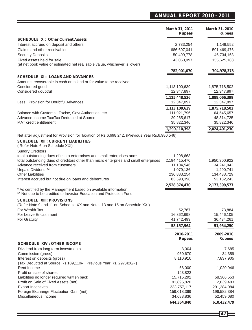### **ANNUAL REPORT 2010 - 2011**

|                                                                                                         | March 31, 2011<br><b>Rupees</b> | March 31, 2010<br><b>Rupees</b> |
|---------------------------------------------------------------------------------------------------------|---------------------------------|---------------------------------|
| <b>SCHEDULE X: Other Current Assets</b>                                                                 |                                 |                                 |
| Interest accrued on deposit and others                                                                  | 2,733,254                       | 1,149,552                       |
| Claims and other receivables                                                                            | 686,607,041                     | 501,469,476                     |
| <b>Security Deposits</b>                                                                                | 50,499,778                      | 46,734,163                      |
| Fixed assets held for sale<br>(at net book value or estimated net realisable value, whichever is lower) | 43,060,997                      | 155,625,188                     |
|                                                                                                         | 782,901,070                     | 704,978,378                     |
| <b>SCHEDULE XI: LOANS AND ADVANCES</b>                                                                  |                                 |                                 |
| Amounts recoverable in cash or in kind or for value to be received                                      |                                 |                                 |
| Considered good                                                                                         | 1,113,100,639                   | 1,875,718,502                   |
| Considered doubtful                                                                                     | 12,347,897                      | 12,347,897                      |
|                                                                                                         | 1,125,448,536                   | 1,888,066,399                   |
| Less: Provision for Doubtful Advances                                                                   | 12,347,897                      | 12,347,897                      |
|                                                                                                         | 1,113,100,639                   | 1,875,718,502                   |
| Balance with Customs, Excise, Govt Authorities, etc.                                                    | 111,921,796                     | 64,545,657                      |
| Advance Income Tax/Tax Deducted at Source                                                               | 29,265,617                      | 48,314,725                      |
| MAT credit entitlement                                                                                  | 35,822,346                      | 35,822,346                      |
|                                                                                                         | 1,290,110,398                   | 2,024,401,230                   |
| Net after adjustment for Provision for Taxation of Rs.6,698,242, (Previous Year Rs.6,980,546)           |                                 |                                 |
| <b>SCHEDULE XII : CURRENT LIABILITIES</b>                                                               |                                 |                                 |
| (Refer Note 6 on Schedule XXI)                                                                          |                                 |                                 |
| <b>Sundry Creditors</b>                                                                                 |                                 |                                 |
| total outstanding dues of micro enterprises and small enterprises and*                                  | 1,298,668                       |                                 |
| total outstanding dues of creditors other than micro enterpries and small enterprises                   | 2,194,415,470                   | 1,950,300,922                   |
| Advance received from customers                                                                         | 11,104,546                      | 34,241,942                      |
| Unpaid Dividend **                                                                                      | 1,079,136                       | 1,290,741                       |
| <b>Other Liabilities</b><br>Interest accrued but not due on loans and debentures                        | 236,883,254<br>83,593,396       | 134,433,729<br>53, 132, 243     |
|                                                                                                         |                                 |                                 |
| * As certified by the Management based on available information                                         | 2,528,374,470                   | 2,173,399,577                   |
| ** Not due to be credited to Investor Education and Protection Fund                                     |                                 |                                 |
| <b>SCHEDULE XIII: PROVISIONS</b>                                                                        |                                 |                                 |
| (Refer Note 9 and 11 on Schedule XX and Notes 13 and 15 on Schedule XXI)                                |                                 |                                 |
| For Wealth Tax                                                                                          | 52,767                          | 73,884                          |
| For Leave Encashment                                                                                    | 16,362,698                      | 15,446,105                      |
| For Gratuity                                                                                            | 41,742,499                      | 36,434,261                      |
|                                                                                                         | 58,157,964                      | 51,954,250                      |
|                                                                                                         | 2010-2011                       | 2009-2010                       |
|                                                                                                         | <b>Rupees</b>                   | <b>Rupees</b>                   |
| SCHEDULE XIV : OTHER INCOME                                                                             |                                 |                                 |
| Dividend from long term investments                                                                     | 8,004                           | 7,685                           |
| Commission (gross)                                                                                      | 960,670                         | 34,359                          |
| Interest on deposits (gross)                                                                            | 8,110,910                       | 7,837,905                       |
| (Tax Deducted at Source Rs.189,110/-, Previous Year Rs. 297,426/-)                                      |                                 |                                 |
| Rent Income                                                                                             | 66,000                          | 1,020,946                       |
| Profit on sale of shares                                                                                | 143,822                         |                                 |
| Liabilities no longer required written back                                                             | 15,715,292                      | 58,366,553                      |
| Profit on Sale of Fixed Assets (net)                                                                    | 91,895,820                      | 2,839,483                       |
| <b>Export Incentives</b><br>Foreign Exchange Fluctuation Gain (net)                                     | 333,757,117                     | 291,284,084                     |
| Miscellaneous Income                                                                                    | 159,018,369<br>34,688,836       | 196,582,384<br>52,459,080       |
|                                                                                                         |                                 |                                 |
|                                                                                                         | 644,364,840                     | 610,432,479                     |
|                                                                                                         |                                 |                                 |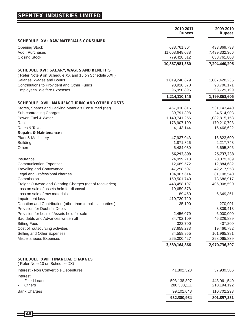## **SPENTEX INDUSTRIES LIMITED**

|                                                                            | 2010-2011<br><b>Rupees</b> | 2009-2010<br><b>Rupees</b> |
|----------------------------------------------------------------------------|----------------------------|----------------------------|
| <b>SCHEDULE XV : RAW MATERIALS CONSUMED</b>                                |                            |                            |
| <b>Opening Stock</b>                                                       | 638,761,804                | 433,869,733                |
| Add: Purchases                                                             | 11,008,648,088             | 7,499,332,366              |
| <b>Closing Stock</b>                                                       | 779,428,512                | 638,761,803                |
|                                                                            | 10,867,981,380             | 7,294,440,296              |
| <b>SCHEDULE XVI: SALARY, WAGES AND BENEFITS</b>                            |                            |                            |
| (Refer Note 9 on Schedule XX and 15 on Schedule XXI)                       |                            |                            |
| Salaries, Wages and Bonus                                                  | 1,019,240,679              | 1,007,428,235              |
| Contributions to Provident and Other Funds                                 | 98,918,570                 | 98,706,171                 |
| <b>Employees Welfare Expenses</b>                                          | 95,950,896                 | 93,729,199                 |
|                                                                            | 1,214,110,145              | 1,199,863,605              |
| SCHEDULE XVII : MANUFACTURING AND OTHER COSTS                              |                            |                            |
| Stores, Spares and Packing Materials Consumed (net)                        | 467,010,816                | 531,143,440                |
| Sub-contracting Charges                                                    | 39,791,398                 | 24,514,903                 |
| Power, Fuel & Water                                                        | 1,140,741,256              | 1,082,815,153              |
| Rent                                                                       | 178,907,109                | 170,210,798                |
| Rates & Taxes                                                              | 4,143,144                  | 16,466,622                 |
| <b>Repairs &amp; Maintenance:</b>                                          |                            |                            |
| Plant & Machinery                                                          | 47,937,043                 | 16,823,600                 |
| <b>Building</b>                                                            | 1,871,826                  | 2,217,743                  |
| Others                                                                     | 6,484,030                  | 6,695,896                  |
|                                                                            | 56,292,899                 | 25,737,238                 |
| Insurance                                                                  | 24,099,213                 | 20,079,789                 |
| <b>Communication Expenses</b>                                              | 12,689,572                 | 12,884,682                 |
| <b>Traveling and Conveyance</b>                                            | 47,258,507                 | 42,217,958                 |
| Legal and Professional charges                                             | 104,967,614                | 81,108,540                 |
| Commission                                                                 | 159,501,740                | 73,686,917                 |
| Freight Outward and Clearing Charges (net of recoveries)                   | 448,458,197                | 406,908,590                |
| Loss on sale of assets held for disposal<br>Loss on sale of raw materials  | 19,659,578<br>189,460      | 6,649,361                  |
| Impairment loss                                                            | 410,720,720                |                            |
| Donation and Contribution (other than to political parties)                | 35,100                     | 270,901                    |
| Provision for Doubtful Debts                                               |                            | 3,809,413                  |
| Provision for Loss of Assets held for sale                                 | 2,456,079                  | 6,000,000                  |
| Bad debts and Advances written off                                         | 84,702,109                 | 46,326,889                 |
| <b>Sitting Fees</b>                                                        | 322,700                    | 407,200                    |
| Cost of outsourcing activities                                             | 37,658,273                 | 19,466,782                 |
| Selling and Other Expenses                                                 | 84,558,955                 | 101,965,381                |
| Miscellaneous Expenses                                                     | 265,000,427                | 298,065,839                |
|                                                                            | 3,589,164,866              | 2,970,736,397              |
|                                                                            |                            |                            |
| <b>SCHEDULE XVIII: FINANCIAL CHARGES</b><br>(Refer Note 10 on Schedule XX) |                            |                            |
| Interest - Non Convertible Debentures                                      | 41,802,328                 | 37,939,306                 |
| Interest                                                                   |                            |                            |
| <b>Fixed Loans</b><br>L,                                                   | 503,138,897                | 443,061,540                |
| <b>Others</b>                                                              | 288,338,111                | 210,194,192                |
| <b>Bank Charges</b>                                                        | 99,101,648                 | 110,702,293                |
|                                                                            | 932,380,984                | 801,897,331                |
|                                                                            |                            |                            |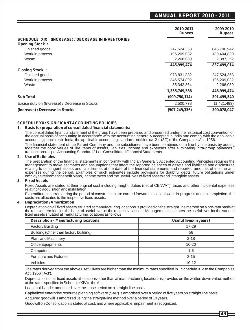### **ANNUAL REPORT 2010 - 2011**

| 2010-2011<br><b>Rupees</b> | 2009-2010<br><b>Rupees</b> |
|----------------------------|----------------------------|
|                            |                            |
| 247,524,353                | 645,706,942                |
| 196,209,032                | 189,404,820                |
| 2,266,089                  | 2,387,252                  |
| 445,999,474                | 837,499,014                |
|                            |                            |
| 973,831,832                | 247,524,353                |
| 346,574,892                | 196,209,032                |
| 35,342,864                 | 2,266,089                  |
| 1,355,749,588              | 445,999,474                |
| (909, 750, 114)            | 391,499,540                |
| 2,500,778                  | (1,421,493)                |
| (907, 249, 336)            | 390,078,047                |
|                            |                            |

#### **SCHEDULE XX : SIGNIFICANT ACCOUNTING POLICIES**

#### **1. Basis for preparation of consolidated financial statements:**

The consolidated financial statement of the group have been prepared and presented under the historical cost convention on<br>the accrual basis of accounting in accordance with the accounting generally accepted in India and c

The financial statement of the Parent Company and the subsidiaries have been combined on a line-by-line basis by adding together the book values of like items of assets, liabilities, income and expenses after eliminating intra-group balances / transactions as per Accounting Standard 21 on Consolidated Financial Statements.

#### **2. Use of Estimates**

The preparation of the financial statements in conformity with Indian Generally Accepted Accounting Principles requires the management to make estimates and assumptions that affect the reported balances of assets and liabilities and disclosures relating to contingent assets and liabilities as at the date of the financial statements and reported amounts of income and expenses during the period. Examples of such estimates include provisions for doubtful debts, future obligations under employee retirement benefit plans, income taxes and the useful lives of fixed assets and intangible assets.

#### **3. Fixed Assets**

Fixed Assets are stated at their original cost including freight, duties (net of CENVAT), taxes and other incidental expenses relating to acquisition and installation.

Expenditure incurred during the period of construction are carried forward as capital work-in-progress and on completion, the costs are allocated to the respective fixed assets.

#### **4. Depreciation / Amortization**

Depreciation on all fixed assets situated at manufacturing locations is provided on the straight line method on a pro-rata basis at the rates determined on the basis of useful lives of the respective assets. Management estimates the useful lives for the various fixed assets situated at manufacturing locations as follows

| <b>Description - Manufacturing locations</b> | Useful lives (in years) |
|----------------------------------------------|-------------------------|
| <b>Factory Building</b>                      | $17 - 29$               |
| Building (Other than factory building)       | 58                      |
| <b>Plant and Machinery</b>                   | $2 - 18$                |
| <b>Office Equipments</b>                     | $10 - 20$               |
| Computers                                    | $1 - 6$                 |
| <b>Furniture and Fixtures</b>                | $2 - 15$                |
| Vehicles                                     | $10 - 12$               |

The rates derived from the above useful lives are higher than the minimum rates specified in Schedule XIV to the Companies Act, 1956 ('Act').

Depreciation for all fixed assets at locations other than at manufacturing locations is provided on the written down value method at the rates specified in Schedule XIV to the Act.

Leasehold land is amortized over the lease period on a straight line basis.

Capitalized enterprise resource planning software (SAP) is amortised over a period of five years on straight line basis.

Acquired goodwill is amortized using the straight-line method over a period of 10 years.

Goodwill on Consolidation is stated at cost, and where applicable, impairment is recognized.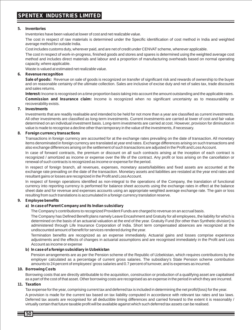#### **5. Inventories**

Inventories have been valued at lower of cost and net realizable value.

The cost in respect of raw materials is determined under the Specific identification of cost method in India and weighted average method for outside India.

Cost includes customs duty, wherever paid, and are net of credit under CENVAT scheme, wherever applicable.

The cost in respect of work-in-progress, finished goods and stores and spares is determined using the weighted average cost method and includes direct materials and labour and a proportion of manufacturing overheads based on normal operating capacity, where applicable.

Waste is valued at estimated net realizable value.

#### **6. Revenue recognition**

Sale of goods: Revenue on sale of goods is recognized on transfer of significant risk and rewards of ownership to the buyer and on reasonable certainty of the ultimate collection. Sales are inclusive of excise duty and net of sales tax, trade discounts and sales returns.

**Interest:** Income is recognised on a time proportion basis taking into account the amount outstanding and the applicable rates.

**Commission and Insurance claim:** Income is recognized when no significant uncertainty as to measurability or recoverability exists.

#### **7. Investments**

Investments that are readily realisable and intended to be held for not more than a year are classified as current investments. All other investments are classified as long-term investments. Current investments are carried at lower of cost and fair value determined on an individual investment basis. Long-term investments are carried at cost. However, provision for diminution in value is made to recognise a decline other than temporary in the value of the investments, if necessary.

#### **8. Foreign currency transactions**

Transactions in foreign currency are accounted for at the exchange rates prevailing on the date of transaction. All monetary items denominated in foreign currency are translated at year end rates. Exchange differences arising on such transactions and also exchange differences arising on the settlement of such transactions are adjusted in the Profit and Loss Account.

In case of forward contracts, the premium or discount on all such contracts arising at the inception of each contract is recognized / amortized as income or expense over the life of the contract. Any profit or loss arising on the cancellation or renewal of such contracts is recognized as income or expense for the period.

In respect of foreign branch, all revenues, expenses, monetary assets/liabilities and fixed assets are accounted at the exchange rate prevailing on the date of the transaction. Monetary assets and liabilities are restated at the year end rates and resultant gains or losses are recognized in the Profit and Loss Account.

In respect of foreign operations identified as non-integral to the operations of the Company, the translation of functional currency into reporting currency is performed for balance sheet accounts using the exchange rates in effect at the balance sheet date and for revenue and expenses accounts using an appropriate weighted average exchange rate. The gain or loss resulting from such translations is accumulated in a foreign currency translation reserve.

#### **9. Employee benefits**

#### **a) In case of Parent Company and its Indian subsidiary**

The Company's contributions to recognized Provident Funds are charged to revenue on an accrual basis.

The Company has Defined Benefit plans namely Leave Encashment and Gratuity for all employees, the liability for which is determined on the basis of an actuarial valuation at the end of the year. Gratuity Fund (for other than Synthetic division) is administered through Life Insurance Corporation of India. Short term compensated absences are recognized at the undiscounted amount of benefit for services rendered during the year.

Termination benefits are recognized as an expense immediately. Actuarial gains and losses comprise experience adjustments and the effects of changes in actuarial assumptions and are recognised immediately in the Profit and Loss Account as income or expense

#### **b) In case of a foreign subsidiary in Uzbekistan**

Pension arrangements are as per the Pension scheme of the Republic of Uzbekistan, which requires contributions by the employer calculated as a percentage of current gross salaries. The subsidiary's State Pension scheme contribution amounts to 24 percent of employees' gross salaries and 0.7 percent of turnover, and is expenses as incurred.

#### **10. Borrowing Costs**

Borrowing costs that are directly attributable to the acquisition, construction or production of a qualifying asset are capitalised as a part of the cost of that asset. Other borrowing costs are recognised as an expense in the period in which they are incurred.

#### **11. Taxation**

Tax expense for the year, comprising current tax and deferred tax is included in determining the net profit/(loss) for the year.

A provision is made for the current tax based on tax liability computed in accordance with relevant tax rates and tax laws. Deferred tax assets are recognised for all deductible timing differences and carried forward to the extent it is reasonably / virtually certain that future taxable profit will be available against which such deferred tax assets can be realised.

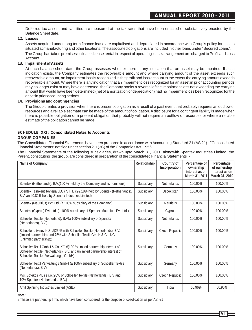Deferred tax assets and liabilities are measured at the tax rates that have been enacted or substantively enacted by the Balance Sheet date.

#### **12. Leases**

Assets acquired under long term finance lease are capitalised and depreciated in accordance with Group's policy for assets situated at manufacturing and other locations. The associated obligations are included in other loans under "Secured Loans". The Group has taken premises on lease. Lease rental in respect of operating lease arrangement are charged to Profit and Loss Account.

#### **13. Impairment of Assets**

At each balance sheet date, the Group assesses whether there is any indication that an asset may be impaired. If such indication exists, the Company estimates the recoverable amount and where carrying amount of the asset exceeds such recoverable amount, an impairment loss is recognized in the profit and loss account to the extent the carrying amount exceeds recoverable amount. Where there is any indication that an impairment loss recognized for an asset in prior accounting periods may no longer exist or may have decreased, the Company books a reversal of the impairment loss not exceeding the carrying amount that would have been determined (net of amortization or depreciation) had no impairment loss been recognized for the asset in prior accounting periods.

#### **14. Provisions and contingencies**

The Group creates a provision when there is present obligation as a result of a past event that probably requires an outflow of resources and a reliable estimate can be made of the amount of obligation. Adisclosure for a contingent liability is made when there is possible obligation or a present obligation that probably will not require an outflow of resources or where a reliable estimate of the obligation cannot be made.

#### **SCHEDULE XXI : Consolidated Notes to Accounts GROUP COMPANIES**

The Consolidated Financial Statements have been prepared in accordance with Accounting Standard 21 (AS 21) - "Consolidated Financial Statements" notified under section 211(3C) of the Companies Act, 1956.

The Financial Statements of the following subsidiaries, drawn upto March 31, 2011, alongwith Spentex Industries Limited, the Parent, constituting the group, are considered in preparation of the consolidated Financial Statements :-

| Name of Company                                                                                                                                                                                | Relationship | Country of<br>Incorporation | Percentage of<br>ownership<br>interest as on<br>March 31, 2011 | Percentage<br>of ownership<br>interest as on<br>March 31, 2010 |
|------------------------------------------------------------------------------------------------------------------------------------------------------------------------------------------------|--------------|-----------------------------|----------------------------------------------------------------|----------------------------------------------------------------|
| Spentex (Netherlands), B.V. (100 % held by the Company and its nominees)                                                                                                                       | Subsidiary   | <b>Netherlands</b>          | 100.00%                                                        | 100.00%                                                        |
| Spentex Tashkent Toytepa LLC (STTL)(99.18% held by Spentex (Netherlands),<br>B.V. and 0.82% held by Spentex Industries Limited)                                                                | Subsidiary   | Uzbekistan                  | 100.00%                                                        | 100.00%                                                        |
| Spentex (Mauritius) Pvt. Ltd. (a 100% subsidiary of the Company.)                                                                                                                              | Subsidiary   | <b>Mauritius</b>            | 100.00%                                                        | 100.00%                                                        |
| Spentex (Cyprus) Pvt. Ltd. (a 100% subsidiary of Spentex Mauritius Pvt. Ltd.)                                                                                                                  | Subsidiary   | Cyprus                      | 100.00%                                                        | 100.00%                                                        |
| Schoeller Textile (Netherland), B.V(a 100% subsidiary of Spentex<br>(Netherlands), B.V.)                                                                                                       | Subsidiary   | <b>Netherlands</b>          | 100.00%                                                        | 100.00%                                                        |
| Schoeller Litvinov K.S. #(25 % with Schoeller Textile (Netherlands), B.V.<br>(limited partnership) and 75% with Schoeller Textil, GmbH & Co. KG<br>(unlimited partnership))                    | Subsidiary   | Czech Republic              | 100.00%                                                        | 100.00%                                                        |
| Schoeller Textil GmbH & Co. KG #(100 % limited partnership Interest of<br>Schoeller Textile (Netherlands), B.V. and unlimited partnership interest of<br>Schoeller Textiles Verwaltungs, GmbH) | Subsidiary   | Germany                     | 100.00%                                                        | 100.00%                                                        |
| Schoeller Textil Verwaltungs GmbH (a 100% subsidiary of Schoeller Textile<br>(Netherlands), B.V)                                                                                               | Subsidiary   | Germany                     | 100.00%                                                        | 100.00%                                                        |
| M/s. Botekos Plus s.r.o. (90% of Schoeller Textile (Netherlands), B.V and<br>10% Spentex (Netherlands), B.V.)                                                                                  | Subsidiary   | Czech Republic              | 100.00%                                                        | 100.00%                                                        |
| Amit Spinning Industries Limited (ASIL)                                                                                                                                                        | Subsidiary   | India                       | 50.96%                                                         | 50.96%                                                         |

**Note :**

# These are partnership firms which have been considered for the purpose of cosolidation as per AS -21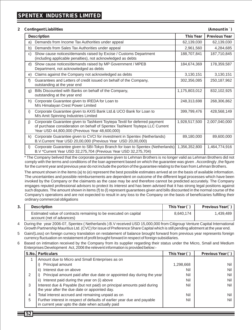#### **2 Contingent Liabilities (Amount in** `**)**

|              | <b>Description</b>                                                                                                                                                                                         | <b>This Year</b> | <b>Previous Year</b> |  |  |  |
|--------------|------------------------------------------------------------------------------------------------------------------------------------------------------------------------------------------------------------|------------------|----------------------|--|--|--|
| a)           | Demands from Income Tax Authorities under appeal                                                                                                                                                           | 62,139,030       | 62,139,030           |  |  |  |
| b)           | Demands from Sales Tax Authorities under appeal                                                                                                                                                            | 2,961,560        | 4,284,685            |  |  |  |
| C)           | Show cause notices/demands raised by Excise / Customs Department<br>(including applicable penalties), not acknowledged as debts                                                                            | 188,707,841      | 187,710,845          |  |  |  |
| d)           | Show cause notices/demands raised by MP Government / MPEB<br>Department, not acknowledged as debts                                                                                                         | 184,674,369      | 178,359,587          |  |  |  |
| e)           | Claims against the Company not acknowledged as debts                                                                                                                                                       | 3,130,151        | 3,130,151            |  |  |  |
| f)           | Guarantees and Letters of credit issued on behalf of the Company,<br>outstanding at the year end                                                                                                           | 302,356,085      | 250, 187, 962        |  |  |  |
| $\mathsf{q}$ | Bills Discounted with Banks on behalf of the Company,<br>outstanding at the year end                                                                                                                       | 1,175,803,012    | 832,102,925          |  |  |  |
| h)           | Corporate Guarantee given to IREDA for Loan to<br>M/s Himalayan Crest Power Limited                                                                                                                        | 248,313,698      | 268,306,862          |  |  |  |
| i)           | Corporate Guarantee given to AXIS Bank Ltd.& UCO Bank for Loan to<br>M/s Amit Spinning Industries Limited                                                                                                  | 399,799,476      | 428,568,149          |  |  |  |
| j)           | Corporate Guarantee given to Tashkent Toytepa Textil for deferred payment<br>of purchase consideration on behalf of Spentex Tashkent Toytepa LLC Current<br>Year USD 44,800,000 (Previous Year 48,600,000) | 1,928,517,500    | 2,007,040,000        |  |  |  |
| k)           | Corporate Guarantee given to CVCI for investment in Spentex (Netherlands)<br>B.V.Current Year USD 20,00,000 (Previous Year USD 20,00,000)                                                                  | 89,180,000       | 89,600,000           |  |  |  |
| I)           | Corporate Guarantee given to SBI-Tokyo Branch for loan to Spentex (Netherlands)<br>B.V *Current Year USD 32,275,704 (Previous Year USD 32,275,704)                                                         | 1,356,352,800    | 1,464,774,916        |  |  |  |

\* The Company belived that the corporate guarantee given to Lehman Brothers is no longer valid as Lehman Brothers did not comply with the terms and conditions of the loan agreement based on which the guarantee was given . Accordingly ,the figure for the current year and previous year do not include the portion of the guarantee relating to the loan from Lehman Brothers.

The amount shown in the items (a) to (e) represent the best possible estimates arrived at on the basis of available information. The uncertainties and possible reimbursements are dependent on outcome of the different legal processes which have been invoked by the Company or the claimants as the case may be and therefore cannot be predicted accurately. The Company engages reputed professional advisors to protect its interest and has been advised that it has strong legal positions against such disputes. The amount shown in items (f) to (l) represent guarantees given and bills discounted in the normal course of the Company's operations and are not expected to result in any loss to the Company on the basis of beneficiaries fulfilling their ordinary commercial obligations

| <b>Description</b>                                                                            | This Year $( )$ | Previous Year(`) |
|-----------------------------------------------------------------------------------------------|-----------------|------------------|
| Estimated value of contracts remaining to be executed on capital<br>account (net of advances) | 8.640.174       | 1.439.489,       |

4 During the year 2006-07, Spentex ( Netherlands ) B.V received USD 15,000,000 from Citigroup Venture Capital International Growth Partnership Mauritius Ltd. (CVC) for issue of Preference Share Capital which is still pending allotment at the year end.

5 Gain/(Loss) on foreign currecy translation on restatement of balance brought forward from previous year represents foreign currency fluctuation on restatement of profit brought forward in respect of foreign subsidiaries.

6 Based on intimation received by the Company from its supplier regarding their status under the Micro, Small and Medium Enterprises Development Act, 2006 the relevent information is provided below:-

|   | <b>S.No. Particulars</b>                                                                                                    | This Year $( )$ | Previous Year (1) |
|---|-----------------------------------------------------------------------------------------------------------------------------|-----------------|-------------------|
|   | Amount due to Micro and Small Enterprises as on                                                                             |                 |                   |
|   | Principal amount                                                                                                            | 1,298,668       | Nil               |
|   | Interest due on above<br>ii)                                                                                                | Nil             | Nil               |
| 2 | Principal amount paid after due date or appointed day during the year                                                       | Nil             | Nil               |
|   | Interest paid during the year on (i) above<br>ii)                                                                           | Nil             | Nil               |
| 3 | Interest due & Payable (but not paid) on principal amounts paid during<br>the year after the due date or appointed day.     | Nil             | Nil               |
| 4 | Total interest accrued and remaining unpaid as on                                                                           | Nil             | Nil               |
| 5 | Further interest in respect of defaults of earlier year due and payable<br>in current year upto the date when actually paid | Nil             | Nil               |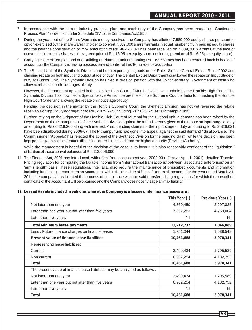- 7 In accordance with the current industry practice, plant and machinery of the Company has been treated as "Continuous Process Plant" as defined under Schedule XIV to the Companies Act,1956.
- 8 During the year, out of the Share Warrants money received, the Company has allotted 7,589,000 equity shares pursuant to option exercised by the share warrant holder to convert 7,589,000 share warrants in equal number of fully paid up equity shares and the balance consideration of 75% amounting to Rs. 96,475,163 has been received on 7,589,000 warrants at the time of conversion into equity shares at the agreed price of Rs. 16.95 per equity share (including premium of Rs. 6.95 per equity share).
- 9 Carrying value of Temple Land and Building at Pitampur unit amounting Rs. 183.66 Lacs has been restored back in books of account, as the Company is having possession and control of this Temple since acquisition.
- 10 The Butibori Unit of the Synthetic Division had been exporting its goods under Rule 18 of the Central Excise Rules 2002 and claiming rebate on both input and output stage of duty. The Central Excise Department disallowed the rebate on Input Stage of duty at Butibori unit. The Synthetic Division has filed a revision petition with the Joint Secretary, Government of India who allowed rebate for both the stages of duty

However, the Department appealed in the Hon'ble High Court of Mumbai which was upheld by the Hon'ble High Court. The Synthetic Division has now filed a Special Leave Petition before the Hon'ble Supreme Court of India for quashing the Hon'ble High Court Order and allowing the rebate on input stage of duty.

Pending the decision in the matter by the Hon'ble Supreme Court, the Synthetic Division has not yet reversed the rebate receivable on input duty aggregating to Rs 52,879,724 (including Rs 2,826,621 at its Pithampur Unit).

Further, relying on the judgment of the Hon'ble High Court of Mumbai for the Butibori unit, a demand has been raised by the Department on the Pithampur unit of the Synthetic Division against the refund already given of the rebate on input stage of duty amounting to Rs 60,216,366 along with interest. Also, pending claims for the input stage of duty amounting to Rs 2,826,621 have been disallowed during 2006-07. The Pithampur unit has gone into appeal against the said demand / disallowance. The Commissioner (Appeals) has rejected the appeal of the Synthetic Division for the pending claim, while the decision has been kept pending against the demand till the final order is received from the higher authority (Revision Authority)

While the management is hopeful of the decision of the case in its favour, it is also reasonably confident of the liquidation / utilization of these cenvat balances of Rs. 113,096,090.

11 The Finance Act, 2001 has introduced, with effect from assessment year 2002-03 (effective April 1, 2001), detailed Transfer Pricing regulation for computing the taxable income from 'international transactions' between 'associated enterprises' on an 'arm's length' basis These regulations, inter alia, also require the maintenance of prescribed documents and information including furnishing a report from an Accountant within the due date of filing of Return of Income. For the year ended March 31, 2011, the company has initiated the process of compliance with the said transfer pricing regulations for which the prescribed certificate of the accountant will be obtained and the Company does not envisage any tax liability.

|                                                                             | This Year (`) | Previous Year (`) |
|-----------------------------------------------------------------------------|---------------|-------------------|
| Not later than one year                                                     | 4,360,450     | 2,297,885         |
| Later than one year but not later than five years                           | 7,852,282     | 4,769,004         |
| Later than five years                                                       | Nil           | Nil               |
| <b>Total Minimum lease payments</b>                                         | 12,212,732    | 7,066,889         |
| Less: Future finance charges on finance leases                              | 1,751,044     | 1,088,548         |
| Present value of finance lease liabilities                                  | 10,461,688    | 5,978,341         |
| Representing lease liabilities:                                             |               |                   |
| Current                                                                     | 3,499,434     | 1,795,589         |
| Non current                                                                 | 6,962,254     | 4,182,752         |
| Total                                                                       | 10,461,688    | 5,978,341         |
| The present value of finance lease liabilities may be analysed as follows : |               |                   |
| Not later than one year                                                     | 3,499,434     | 1,795,589         |
| Later than one year but not later than five years                           | 6,962,254     | 4,182,752         |
| Later than five years                                                       | Nil           | Nil               |
| Total                                                                       | 10,461,688    | 5,978,341         |

#### **12 Leased Assets included in vehicles where the Company is a lessee under finance leases are :**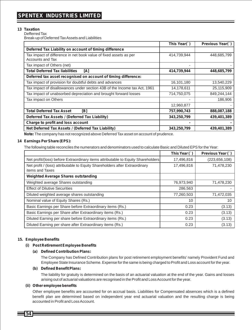#### **13 Taxation**

Defferred Tax Break-up of Deferred Tax Assets and Liabilities

|                                                                                       | This Year(`) | Previous Year(`) |
|---------------------------------------------------------------------------------------|--------------|------------------|
| Deferred Tax Liability on account of timing difference                                |              |                  |
| Tax impact of difference in net book value of fixed assets as per<br>Accounts and Tax | 414,739,944  | 448,685,799      |
| Tax impact of Others (net)                                                            |              |                  |
| <b>Total Deferred Tax liabilities</b><br>[A]                                          | 414,739,944  | 448,685,799      |
| Deferred tax asset recognised on account of timing difference:                        |              |                  |
| Tax impact of provision for doubtful debts and advances                               | 16,101,180   | 13,540,229       |
| Tax impact of disallowances under section 43B of the Income tax Act, 1961             | 14,178,611   | 25,115,909       |
| Tax impact of unabsorbed depreciation and brought forward losses                      | 714,750,075  | 849,244,144      |
| Tax impact on Others                                                                  |              | 186,906          |
|                                                                                       | 12,960,877   |                  |
| <b>Total Deferred Tax Asset</b><br>[B]                                                | 757,990,743  | 888,087,188      |
| Deferred Tax Assets / (Deferred Tax Liability)                                        | 343,250,799  | 439,401,389      |
| Charge to profit and loss account                                                     |              |                  |
| Net Deferred Tax Assets / (Deferred Tax Liability)                                    | 343,250,799  | 439,401,389      |

**Note:** The company has not recognized above Deferred Tax asset on account of prudence.

#### **14 Earnings Per Share (EPS):**

The following table reconciles the numerators and denominators used to calculate Basic and Diluted EPS for the Year:

|                                                                                                | This Year (`) | Previous Year (`) |
|------------------------------------------------------------------------------------------------|---------------|-------------------|
| Net profit/(loss) before Extraordinary items attributable to Equity Shareholders               | 17,496,816    | (223, 656, 108)   |
| Net profit / (loss) attributable to Equity Shareholders after Extraordinary<br>items and Taxes | 17,496,816    | 71,478,230        |
| <b>Weighted Average Shares outstanding</b>                                                     |               |                   |
| Weighted average Shares outstanding                                                            | 76,973,940    | 71,478,230        |
| <b>Effect of Dilutive Securities</b>                                                           | 286,563       |                   |
| Diluted weighted average shares outstanding                                                    | 77,260,503    | 71,472,035        |
| Nominal value of Equity Shares (Rs.)                                                           | 10            | 10                |
| Basic Earnings per Share before Extraordinary items (Rs.)                                      | 0.23          | (3.13)            |
| Basic Earnings per Share after Extraordinary items (Rs.)                                       | 0.23          | (3.13)            |
| Diluted Earning per share before Extraordinary items (Rs.)                                     | 0.23          | (3.13)            |
| Diluted Earning per share after Extraordinary items (Rs.)                                      | 0.23          | (3.13)            |

#### **15. Employee Benefits**

#### **(i) Post Retirement Employee Benefits**

#### **(a) Defined Contribution Plans:**

The Company has Defined Contribution plans for post retirement employment benefits' namely Provident Fund and Employee State Insurance Scheme. Expense for the same is being charged to Profit and Loss account for the year.

#### **(b) Defined Benefit Plans:**

The liability for gratuity is determined on the basis of an actuarial valuation at the end of the year. Gains and losses arising out of actuarial valuations are recognised in the Profit and Loss Account for the year.

#### **(ii) Other employee benefits**

Other employee benefits are accounted for on accrual basis. Liabilities for Compensated absences which is a defined benefit plan are determined based on independent year end actuarial valuation and the resulting charge is being accounted in Profit and Loss Account.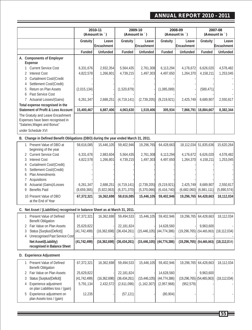### **ANNUAL REPORT 2010 - 2011**

| Leave<br>Gratuity<br>Leave<br>Gratuity<br>Leave<br>Gratuity<br>Gratuity<br>Encashment<br>Encashment<br>Encashment<br>Funded<br>Unfunded<br>Funded<br>Unfunded<br>Funded<br>Unfunded<br>Funded<br>A. Components of Employer<br>Expense<br><b>Current Service Cost</b><br>6,331,676<br>2,932,354<br>5,564,435<br>2,761,308<br>6,113,294<br>4,176,672<br>6,626,020<br>4,578,482<br>$\mathbf{1}$<br>4,158,211<br>2 Interest Cost<br>4,822,578<br>1,266,801<br>4,739,215<br>1,497,303<br>4,497,650<br>1,264,370<br>Curtailment Cost/(Credit<br>3<br>Settlement Cost/(Credit)<br>4<br>Return on Plan Assets<br>(2,015,134)<br>(1,520,879)<br>(1,085,089)<br>(589, 471)<br>5<br>Past Service Cost<br>6<br>7 Actuarial Losses/(Gains)<br>6,261,347<br>2,688,251<br>(4, 719, 141)<br>(2,739,205)<br>(9,219,921)<br>2,425,749<br>8,689,907<br>2,550,817<br>Total expense recognised in the<br>Statement of Profit & Loss Account<br>15,400,467<br>4,063,630<br>305,934<br>18,884,667<br>8,382,344<br>6,887,406<br>1,519,406<br>7,866,791<br>The Gratuity and Leave Encashment<br>Expenses have been recognised in<br>"Salaries, Wages and Bonus"<br>under Schedule XVI<br>B. Change in Defined Benefit Obligations (DBO) during the year ended March 31, 2011.<br>1 Present Value of DBO at<br>58,616,085<br>15,446,105<br>59,402,946<br>19,296,765<br>64,428,663<br>51,835,636<br>18,112,034<br>beginning of the year<br>2 Current Service Cost<br>6,113,294<br>6,626,020<br>6,331,676<br>2,883,604<br>5,564,435<br>2,761,308<br>4,176,672<br><b>Interest Cost</b><br>4,822,578<br>1,266,801<br>4,739,215<br>1,497,303<br>4,497,650<br>1,264,370<br>4,158,211<br>3<br>Curtailment Cost/(Credit)<br>4<br>Settlement Cost/(Credit)<br>5<br>Plan Amendments<br>6<br>7 Acquisitions<br>Actuarial (Gains)/Losses<br>2,550,817<br>6,261,347<br>2,688,251<br>(4,719,141)<br>(2,739,205)<br>(9,219,921)<br>2,425,749<br>8,689,907<br>8<br><b>Benefits Paid</b><br>9<br>(8,659,365)<br>(5,922,063)<br>(6, 371, 370)<br>(5,370,066)<br>(6, 416, 740)<br>(6,682,060)<br>(6,881,111)<br>10 Present Value of DBO<br>67,372,321<br>16,362,698<br>58,616,085<br>15,446,105<br>59,402,946<br>19,296,765<br>64,428,663<br>at the End of Year<br>C. Net Asset / (Liabilities) recognised in balance Sheet as at March 31, 2011.<br>1 Present Value of Defined<br>67,372,321<br>59,402,946<br>19,296,765 64,428,663<br>16,362,698<br>59,494,533<br>15,446,105<br><b>Benefit Obligation</b><br>2 Fair Value on Plan Assets<br>9,963,600<br>25,629,822<br>22,181,824<br>14.628.560<br>Status [Surplus/(Deficit)]<br>$(19, 296, 765)$ (54,465,063)<br>(41, 742, 499)<br>(16, 362, 698)<br>(36, 434, 261)<br>(15, 446, 105)<br>(44, 774, 386)<br>3<br><b>Unrecognised Past Service Cost</b><br>4<br>Net Asset/(Liability)<br>(41, 742, 499)<br>(16, 362, 698)<br>$(15,446,105)$ $(44,774,386)$<br>$(19,296,765)$ (54,465,063) (18,112,034)<br>(36, 434, 261)<br>recognised in Balance Sheet<br>D. Experience Adjustment<br>1 Present Value of Defined<br>59,402,946<br>67,372,321<br>16,362,698<br>59,494,533<br>15,446,105<br>19,296,765<br>64,428,663<br><b>Benefit Obligation</b><br>2 Fair Value on Plan Assets<br>25,629,822<br>22,181,824<br>14,628,560<br>9,963,600<br>Status [Surplus/(Deficit)]<br>$(19, 296, 765)$ (54,465,063)<br>(41, 742, 499)<br>(16, 362, 698)<br>(36, 434, 261)<br>(15, 446, 105)<br>(44, 774, 386)<br>(18, 112, 034)<br>3<br>Experience adjustment<br>5,791,134<br>(2,957,968)<br>(952, 579)<br>2,432,572<br>(2,611,096)<br>(1, 162, 307)<br>4<br>on plan Liabilities loss / (gain)<br>Experience adjustment on<br>12,235<br>(57, 121)<br>(80, 904)<br>5<br>plan Assets loss / (gain) |  | 2010-11<br>(Amount in `) | 2009-10<br>(Amount in `) | 2008-09<br>(Amount in `) |  | 2007-08<br>(Amount in `) |                        |
|----------------------------------------------------------------------------------------------------------------------------------------------------------------------------------------------------------------------------------------------------------------------------------------------------------------------------------------------------------------------------------------------------------------------------------------------------------------------------------------------------------------------------------------------------------------------------------------------------------------------------------------------------------------------------------------------------------------------------------------------------------------------------------------------------------------------------------------------------------------------------------------------------------------------------------------------------------------------------------------------------------------------------------------------------------------------------------------------------------------------------------------------------------------------------------------------------------------------------------------------------------------------------------------------------------------------------------------------------------------------------------------------------------------------------------------------------------------------------------------------------------------------------------------------------------------------------------------------------------------------------------------------------------------------------------------------------------------------------------------------------------------------------------------------------------------------------------------------------------------------------------------------------------------------------------------------------------------------------------------------------------------------------------------------------------------------------------------------------------------------------------------------------------------------------------------------------------------------------------------------------------------------------------------------------------------------------------------------------------------------------------------------------------------------------------------------------------------------------------------------------------------------------------------------------------------------------------------------------------------------------------------------------------------------------------------------------------------------------------------------------------------------------------------------------------------------------------------------------------------------------------------------------------------------------------------------------------------------------------------------------------------------------------------------------------------------------------------------------------------------------------------------------------------------------------------------------------------------------------------------------------------------------------------------------------------------------------------------------------------------------------------------------------------------------------------------------------------------------------------------------------------------------------------------------------------------------------------------------------------------------------------------------------------------------------------|--|--------------------------|--------------------------|--------------------------|--|--------------------------|------------------------|
|                                                                                                                                                                                                                                                                                                                                                                                                                                                                                                                                                                                                                                                                                                                                                                                                                                                                                                                                                                                                                                                                                                                                                                                                                                                                                                                                                                                                                                                                                                                                                                                                                                                                                                                                                                                                                                                                                                                                                                                                                                                                                                                                                                                                                                                                                                                                                                                                                                                                                                                                                                                                                                                                                                                                                                                                                                                                                                                                                                                                                                                                                                                                                                                                                                                                                                                                                                                                                                                                                                                                                                                                                                                                                        |  |                          |                          |                          |  |                          | Leave<br>Encashment    |
|                                                                                                                                                                                                                                                                                                                                                                                                                                                                                                                                                                                                                                                                                                                                                                                                                                                                                                                                                                                                                                                                                                                                                                                                                                                                                                                                                                                                                                                                                                                                                                                                                                                                                                                                                                                                                                                                                                                                                                                                                                                                                                                                                                                                                                                                                                                                                                                                                                                                                                                                                                                                                                                                                                                                                                                                                                                                                                                                                                                                                                                                                                                                                                                                                                                                                                                                                                                                                                                                                                                                                                                                                                                                                        |  |                          |                          |                          |  |                          | Unfunded               |
|                                                                                                                                                                                                                                                                                                                                                                                                                                                                                                                                                                                                                                                                                                                                                                                                                                                                                                                                                                                                                                                                                                                                                                                                                                                                                                                                                                                                                                                                                                                                                                                                                                                                                                                                                                                                                                                                                                                                                                                                                                                                                                                                                                                                                                                                                                                                                                                                                                                                                                                                                                                                                                                                                                                                                                                                                                                                                                                                                                                                                                                                                                                                                                                                                                                                                                                                                                                                                                                                                                                                                                                                                                                                                        |  |                          |                          |                          |  |                          |                        |
|                                                                                                                                                                                                                                                                                                                                                                                                                                                                                                                                                                                                                                                                                                                                                                                                                                                                                                                                                                                                                                                                                                                                                                                                                                                                                                                                                                                                                                                                                                                                                                                                                                                                                                                                                                                                                                                                                                                                                                                                                                                                                                                                                                                                                                                                                                                                                                                                                                                                                                                                                                                                                                                                                                                                                                                                                                                                                                                                                                                                                                                                                                                                                                                                                                                                                                                                                                                                                                                                                                                                                                                                                                                                                        |  |                          |                          |                          |  |                          | 1,253,045              |
|                                                                                                                                                                                                                                                                                                                                                                                                                                                                                                                                                                                                                                                                                                                                                                                                                                                                                                                                                                                                                                                                                                                                                                                                                                                                                                                                                                                                                                                                                                                                                                                                                                                                                                                                                                                                                                                                                                                                                                                                                                                                                                                                                                                                                                                                                                                                                                                                                                                                                                                                                                                                                                                                                                                                                                                                                                                                                                                                                                                                                                                                                                                                                                                                                                                                                                                                                                                                                                                                                                                                                                                                                                                                                        |  |                          |                          |                          |  |                          |                        |
|                                                                                                                                                                                                                                                                                                                                                                                                                                                                                                                                                                                                                                                                                                                                                                                                                                                                                                                                                                                                                                                                                                                                                                                                                                                                                                                                                                                                                                                                                                                                                                                                                                                                                                                                                                                                                                                                                                                                                                                                                                                                                                                                                                                                                                                                                                                                                                                                                                                                                                                                                                                                                                                                                                                                                                                                                                                                                                                                                                                                                                                                                                                                                                                                                                                                                                                                                                                                                                                                                                                                                                                                                                                                                        |  |                          |                          |                          |  |                          |                        |
|                                                                                                                                                                                                                                                                                                                                                                                                                                                                                                                                                                                                                                                                                                                                                                                                                                                                                                                                                                                                                                                                                                                                                                                                                                                                                                                                                                                                                                                                                                                                                                                                                                                                                                                                                                                                                                                                                                                                                                                                                                                                                                                                                                                                                                                                                                                                                                                                                                                                                                                                                                                                                                                                                                                                                                                                                                                                                                                                                                                                                                                                                                                                                                                                                                                                                                                                                                                                                                                                                                                                                                                                                                                                                        |  |                          |                          |                          |  |                          |                        |
|                                                                                                                                                                                                                                                                                                                                                                                                                                                                                                                                                                                                                                                                                                                                                                                                                                                                                                                                                                                                                                                                                                                                                                                                                                                                                                                                                                                                                                                                                                                                                                                                                                                                                                                                                                                                                                                                                                                                                                                                                                                                                                                                                                                                                                                                                                                                                                                                                                                                                                                                                                                                                                                                                                                                                                                                                                                                                                                                                                                                                                                                                                                                                                                                                                                                                                                                                                                                                                                                                                                                                                                                                                                                                        |  |                          |                          |                          |  |                          |                        |
|                                                                                                                                                                                                                                                                                                                                                                                                                                                                                                                                                                                                                                                                                                                                                                                                                                                                                                                                                                                                                                                                                                                                                                                                                                                                                                                                                                                                                                                                                                                                                                                                                                                                                                                                                                                                                                                                                                                                                                                                                                                                                                                                                                                                                                                                                                                                                                                                                                                                                                                                                                                                                                                                                                                                                                                                                                                                                                                                                                                                                                                                                                                                                                                                                                                                                                                                                                                                                                                                                                                                                                                                                                                                                        |  |                          |                          |                          |  |                          | 15,620,264             |
|                                                                                                                                                                                                                                                                                                                                                                                                                                                                                                                                                                                                                                                                                                                                                                                                                                                                                                                                                                                                                                                                                                                                                                                                                                                                                                                                                                                                                                                                                                                                                                                                                                                                                                                                                                                                                                                                                                                                                                                                                                                                                                                                                                                                                                                                                                                                                                                                                                                                                                                                                                                                                                                                                                                                                                                                                                                                                                                                                                                                                                                                                                                                                                                                                                                                                                                                                                                                                                                                                                                                                                                                                                                                                        |  |                          |                          |                          |  |                          | 4,578,482<br>1,253,045 |
|                                                                                                                                                                                                                                                                                                                                                                                                                                                                                                                                                                                                                                                                                                                                                                                                                                                                                                                                                                                                                                                                                                                                                                                                                                                                                                                                                                                                                                                                                                                                                                                                                                                                                                                                                                                                                                                                                                                                                                                                                                                                                                                                                                                                                                                                                                                                                                                                                                                                                                                                                                                                                                                                                                                                                                                                                                                                                                                                                                                                                                                                                                                                                                                                                                                                                                                                                                                                                                                                                                                                                                                                                                                                                        |  |                          |                          |                          |  |                          |                        |
|                                                                                                                                                                                                                                                                                                                                                                                                                                                                                                                                                                                                                                                                                                                                                                                                                                                                                                                                                                                                                                                                                                                                                                                                                                                                                                                                                                                                                                                                                                                                                                                                                                                                                                                                                                                                                                                                                                                                                                                                                                                                                                                                                                                                                                                                                                                                                                                                                                                                                                                                                                                                                                                                                                                                                                                                                                                                                                                                                                                                                                                                                                                                                                                                                                                                                                                                                                                                                                                                                                                                                                                                                                                                                        |  |                          |                          |                          |  |                          | (5,890,574)            |
|                                                                                                                                                                                                                                                                                                                                                                                                                                                                                                                                                                                                                                                                                                                                                                                                                                                                                                                                                                                                                                                                                                                                                                                                                                                                                                                                                                                                                                                                                                                                                                                                                                                                                                                                                                                                                                                                                                                                                                                                                                                                                                                                                                                                                                                                                                                                                                                                                                                                                                                                                                                                                                                                                                                                                                                                                                                                                                                                                                                                                                                                                                                                                                                                                                                                                                                                                                                                                                                                                                                                                                                                                                                                                        |  |                          |                          |                          |  |                          | 18,112,034             |
|                                                                                                                                                                                                                                                                                                                                                                                                                                                                                                                                                                                                                                                                                                                                                                                                                                                                                                                                                                                                                                                                                                                                                                                                                                                                                                                                                                                                                                                                                                                                                                                                                                                                                                                                                                                                                                                                                                                                                                                                                                                                                                                                                                                                                                                                                                                                                                                                                                                                                                                                                                                                                                                                                                                                                                                                                                                                                                                                                                                                                                                                                                                                                                                                                                                                                                                                                                                                                                                                                                                                                                                                                                                                                        |  |                          |                          |                          |  |                          |                        |
|                                                                                                                                                                                                                                                                                                                                                                                                                                                                                                                                                                                                                                                                                                                                                                                                                                                                                                                                                                                                                                                                                                                                                                                                                                                                                                                                                                                                                                                                                                                                                                                                                                                                                                                                                                                                                                                                                                                                                                                                                                                                                                                                                                                                                                                                                                                                                                                                                                                                                                                                                                                                                                                                                                                                                                                                                                                                                                                                                                                                                                                                                                                                                                                                                                                                                                                                                                                                                                                                                                                                                                                                                                                                                        |  |                          |                          |                          |  |                          | 18,112,034             |
|                                                                                                                                                                                                                                                                                                                                                                                                                                                                                                                                                                                                                                                                                                                                                                                                                                                                                                                                                                                                                                                                                                                                                                                                                                                                                                                                                                                                                                                                                                                                                                                                                                                                                                                                                                                                                                                                                                                                                                                                                                                                                                                                                                                                                                                                                                                                                                                                                                                                                                                                                                                                                                                                                                                                                                                                                                                                                                                                                                                                                                                                                                                                                                                                                                                                                                                                                                                                                                                                                                                                                                                                                                                                                        |  |                          |                          |                          |  |                          | (18, 112, 034)         |
|                                                                                                                                                                                                                                                                                                                                                                                                                                                                                                                                                                                                                                                                                                                                                                                                                                                                                                                                                                                                                                                                                                                                                                                                                                                                                                                                                                                                                                                                                                                                                                                                                                                                                                                                                                                                                                                                                                                                                                                                                                                                                                                                                                                                                                                                                                                                                                                                                                                                                                                                                                                                                                                                                                                                                                                                                                                                                                                                                                                                                                                                                                                                                                                                                                                                                                                                                                                                                                                                                                                                                                                                                                                                                        |  |                          |                          |                          |  |                          |                        |
|                                                                                                                                                                                                                                                                                                                                                                                                                                                                                                                                                                                                                                                                                                                                                                                                                                                                                                                                                                                                                                                                                                                                                                                                                                                                                                                                                                                                                                                                                                                                                                                                                                                                                                                                                                                                                                                                                                                                                                                                                                                                                                                                                                                                                                                                                                                                                                                                                                                                                                                                                                                                                                                                                                                                                                                                                                                                                                                                                                                                                                                                                                                                                                                                                                                                                                                                                                                                                                                                                                                                                                                                                                                                                        |  |                          |                          |                          |  |                          |                        |
|                                                                                                                                                                                                                                                                                                                                                                                                                                                                                                                                                                                                                                                                                                                                                                                                                                                                                                                                                                                                                                                                                                                                                                                                                                                                                                                                                                                                                                                                                                                                                                                                                                                                                                                                                                                                                                                                                                                                                                                                                                                                                                                                                                                                                                                                                                                                                                                                                                                                                                                                                                                                                                                                                                                                                                                                                                                                                                                                                                                                                                                                                                                                                                                                                                                                                                                                                                                                                                                                                                                                                                                                                                                                                        |  |                          |                          |                          |  |                          | 18,112,034             |
|                                                                                                                                                                                                                                                                                                                                                                                                                                                                                                                                                                                                                                                                                                                                                                                                                                                                                                                                                                                                                                                                                                                                                                                                                                                                                                                                                                                                                                                                                                                                                                                                                                                                                                                                                                                                                                                                                                                                                                                                                                                                                                                                                                                                                                                                                                                                                                                                                                                                                                                                                                                                                                                                                                                                                                                                                                                                                                                                                                                                                                                                                                                                                                                                                                                                                                                                                                                                                                                                                                                                                                                                                                                                                        |  |                          |                          |                          |  |                          |                        |
|                                                                                                                                                                                                                                                                                                                                                                                                                                                                                                                                                                                                                                                                                                                                                                                                                                                                                                                                                                                                                                                                                                                                                                                                                                                                                                                                                                                                                                                                                                                                                                                                                                                                                                                                                                                                                                                                                                                                                                                                                                                                                                                                                                                                                                                                                                                                                                                                                                                                                                                                                                                                                                                                                                                                                                                                                                                                                                                                                                                                                                                                                                                                                                                                                                                                                                                                                                                                                                                                                                                                                                                                                                                                                        |  |                          |                          |                          |  |                          |                        |
|                                                                                                                                                                                                                                                                                                                                                                                                                                                                                                                                                                                                                                                                                                                                                                                                                                                                                                                                                                                                                                                                                                                                                                                                                                                                                                                                                                                                                                                                                                                                                                                                                                                                                                                                                                                                                                                                                                                                                                                                                                                                                                                                                                                                                                                                                                                                                                                                                                                                                                                                                                                                                                                                                                                                                                                                                                                                                                                                                                                                                                                                                                                                                                                                                                                                                                                                                                                                                                                                                                                                                                                                                                                                                        |  |                          |                          |                          |  |                          |                        |

<u> 1989 - Johann Barnett, mars et al.</u>

**55**

Ξ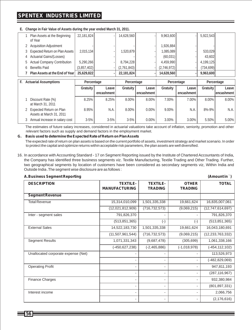### **SPENTEX INDUSTRIES LIMITED**

**E. Change in Fair Value of Assets during the year ended March 31, 2011.**

| Plan Assets at the Beginning<br>of Year | 22,181,824  | 14,628,560  | 9,963,600   | 5,922,543  |  |
|-----------------------------------------|-------------|-------------|-------------|------------|--|
| <b>Acquisition Adjustment</b>           |             |             | 1,926,884   |            |  |
| 3 Expected Return on Plan Assets        | 2,015,134   | 1,520,879   | 1,085,089   | 533,029    |  |
| <b>Actuarial Gains/(Losses)</b>         |             |             | (60, 031)   | 43.602     |  |
| 5 Actual Company Contribution           | 5,290,266   | 8,794,228   | 4,459,990   | 4,199,125  |  |
| 6 Benefits Paid                         | (3,857,402) | (2,761,843) | (2,746,972) | (734, 699) |  |
| Plan Assets at the End of Year          | 25,629,822  | 22,181,824  | 14.628.560  | 9,963,600  |  |

| H., | <b>Actuarial Assumptions</b><br>Percentage            |          | Percentage              |                 | Percentage          |          | Percentage          |             |                       |
|-----|-------------------------------------------------------|----------|-------------------------|-----------------|---------------------|----------|---------------------|-------------|-----------------------|
|     |                                                       | Gratuity | Leave I<br>encashment I | <b>Gratuity</b> | Leave<br>encashment | Gratuity | Leave<br>encashment | Gratuity I  | Leavel<br>lencashment |
|     | Discount Rate (%)<br>at March 31, 2011                | 8.25%    | 8.25%                   | 8.00%           | 8.00%               | 7.00%    | 7.00%               | 8.00%       | 8.00%                 |
|     | 2 Expected Return on Plan<br>Assets at March 31, 2011 | 8.95%    | N.A.                    | 8.00%           | $0.00\%$            | 9.00%    | N.A.                | $8\% - 9\%$ | N.A.                  |
|     | 3 Annual increase in salary cost                      | $3 - 5%$ | $3 - 5%$                | $3 - 5%$        | $0.00\%$            | 3.00%    | 3.00%               | 5.50%       | $5.00\%$              |

The estimates of future salary increases, considered in actuarial valuations take account of inflation, seniority, promotion and other relevant factors such as supply and demand factors in the employment market.

#### **G. Basis used to determine the Expected Rate of Return on Plan Assets**

The expected rate of return on plan assets is based on the current portfolio of assets, investment strategy and market scenario. In order to protect the capital and optimize returns within acceptable risk parameters, the plan assets are well diversified.

16. In accordance with Accounting Standard - 17 on Segment Reporting issued by the Institute of Chartered Accountants of India, the Company has identified three business segments viz. Textile Manufacturing, Textile Trading and Other Trading. Further, two geographical segments by location of customers have been considered as secondary segments viz, Within India and Outside India .The segment wise disclosure are as follows :

| A. Business Segment Reporting<br>(Amount in `) |                                         |                                   |                                |                     |  |  |
|------------------------------------------------|-----------------------------------------|-----------------------------------|--------------------------------|---------------------|--|--|
| <b>DESCRIPTION</b>                             | <b>TEXTILE-</b><br><b>MANUFACTURING</b> | <b>TEXTILE-</b><br><b>TRADING</b> | <b>OTHER</b><br><b>TRADING</b> | <b>TOTAL</b>        |  |  |
| <b>Segment Revenue</b>                         |                                         |                                   |                                |                     |  |  |
| <b>Total Revenue</b>                           | 15,314,010,099                          | 1,501,335,338                     | 19,661,624                     | 16,835,007,061      |  |  |
|                                                | (12,021,812,909)                        | (716, 732, 573)                   | (9,069,215)                    | (12,747,614,697)    |  |  |
| Inter - segment sales                          | 791,826,370                             |                                   |                                | 791,826,370         |  |  |
|                                                | (513, 851, 365)                         | $(-)$                             | $(-)$                          | (513, 851, 365)     |  |  |
| <b>External Sales</b>                          | 14,522,183,730                          | 1,501,335,338                     | 19,661,624                     | 16,043,180,691      |  |  |
|                                                | (11, 507, 961, 544)                     | (716, 732, 573)                   | (9,069,215)                    | (12, 233, 763, 332) |  |  |
| <b>Segment Results</b>                         | 1,071,331,343                           | (9,687,478)                       | (305, 699)                     | 1,061,338,166       |  |  |
|                                                | $(-450, 627, 238)$                      | $(-2, 465, 886)$                  | $(-1,018,978)$                 | $(-454, 112, 102)$  |  |  |
| Unallocated corporate expense (Net)            |                                         |                                   |                                | 113,526,973         |  |  |
|                                                |                                         | $\overline{\phantom{a}}$          | $\overline{\phantom{a}}$       | $(-482, 829, 069)$  |  |  |
| <b>Operating Profit</b>                        |                                         |                                   |                                | 947,811,193         |  |  |
|                                                |                                         |                                   |                                | (287, 116, 967)     |  |  |
| <b>Finance Charges</b>                         |                                         |                                   |                                | 932,380,984         |  |  |
|                                                |                                         | ٠                                 |                                | (801, 897, 331)     |  |  |
| Interest income                                |                                         | ۰                                 | $\overline{\phantom{a}}$       | 2,066,756           |  |  |
|                                                |                                         | ۰                                 |                                | (2, 176, 616)       |  |  |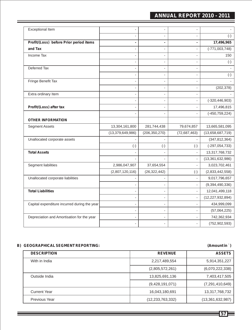### **ANNUAL REPORT 2010 - 2011**

| <b>Exceptional Item</b>                      |                     | $\overline{a}$           |                |                     |
|----------------------------------------------|---------------------|--------------------------|----------------|---------------------|
|                                              |                     | $\overline{a}$           |                | $(-)$               |
| Profit/(Loss) before Prior period items      | ä                   | ×,                       | ä,             | 17,496,965          |
| and Tax                                      |                     | $\overline{a}$           |                | $(-771,003,748)$    |
| Income Tax                                   |                     | ٠                        |                | 150                 |
|                                              |                     | $\overline{\phantom{a}}$ |                | $(\text{-})$        |
| Deferred Tax                                 |                     | $\overline{\phantom{a}}$ |                |                     |
|                                              |                     | $\frac{1}{2}$            | ÷,             | $(-)$               |
| Fringe Benefit Tax                           |                     | ÷,                       |                |                     |
|                                              |                     | ÷                        | $\overline{a}$ | (202, 378)          |
| Extra ordinary Item                          |                     | $\overline{\phantom{a}}$ |                |                     |
|                                              |                     | $\blacksquare$           | $\overline{a}$ | $(-320, 446, 903)$  |
| Profit/(Loss) after tax                      |                     | $\blacksquare$           |                | 17,496,815          |
|                                              |                     |                          |                | $(-450, 759, 224)$  |
| <b>OTHER INFORMATION</b>                     |                     |                          |                |                     |
| <b>Segment Assets</b>                        | 13,304,161,800      | 281,744,438              | 79,674,857     | 13,665,581,095      |
|                                              | (13, 379, 649, 986) | (206, 350, 270)          | (72,687,463)   | (13,658,687,719)    |
| Unallocated corporate assets                 |                     |                          |                | (347, 812, 364)     |
|                                              | $(-)$               | $(-)$                    | $(-)$          | $(-297,054,733)$    |
| <b>Total Assets</b>                          |                     |                          |                | 13,317,768,732      |
|                                              |                     |                          |                | (13, 361, 632, 986) |
| Segment liabilities                          | 2,986,047,907       | 37,654,554               | $\overline{a}$ | 3,023,702,461       |
|                                              | (2,807,120,116)     | (26, 322, 442)           | $(-)$          | (2,833,442,558)     |
| Unallocated corporate liabilities            |                     |                          |                | 9,017,796,657       |
|                                              |                     |                          |                | (9,394,490,336)     |
| <b>Total Liabilities</b>                     |                     | $\blacksquare$           |                | 12,041,499,118      |
|                                              |                     | $\overline{\phantom{a}}$ | $\overline{a}$ | (12, 227, 932, 894) |
| Capital expenditure incurred during the year |                     | $\overline{a}$           |                | 434,999,099         |
|                                              |                     | $\overline{a}$           |                | (57,064,225)        |
| Depreciation and Amortisation for the year   |                     |                          |                | 742,362,934         |
|                                              |                     |                          |                | (752, 902, 593)     |

#### **B) GEOGRAPHICALSEGMENT REPORTING: (Amount in** `**)**

### **DESCRIPTION REVENUE ASSETS** With in India 2,217,489,554 5,914,351,227 (2,805,572,261) (6,070,222,338) Outside India 2012 13,825,691,136 7,403,417,505 (9,428,191,071) (7,291,410,649) Current Year 13,317,768,732 Previous Year (13,361,632,987) (12,233,763,332) (13,361,632,987)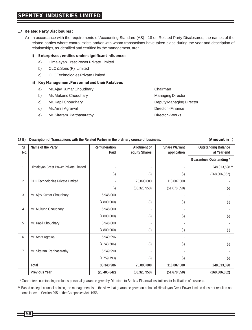#### **17 Related Party Disclosures :**

A) In accordance with the requirements of Accounting Standard (AS) - 18 on Related Party Disclosures, the names of the related parties where control exists and/or with whom transactions have taken place during the year and description of relationships, as identified and certified by the management, are :

#### **i) Enterprises / entities under significant influence:**

- a) Himalayan Crest Power Private Limited.
- b) CLC & Sons (P) Limited
- c) CLC Technologies Private Limited

#### **ii) Key Management Personnel and their Relatives**

- a) Mr. Ajay Kumar Choudhary Chairman
- b) Mr. Mukund Choudhary Managing Director
- 
- d) Mr. Amrit Agrawal Director Finance
- e) Mr. Sitaram Parthasarathy Director Works
- c) Mr. Kapil Choudhary **Deputy Managing Director** Deputy Managing Director
	-

#### **17 B) Description of Transactions with the Related Parties in the ordinary course of business. (Amount in** `**)**

| <b>SI</b><br>No. | Name of the Party                       | Remuneration<br>Paid | Allotment of<br>equity Shares | Share Warrant<br>application | <b>Outstanding Balance</b><br>at Year end |
|------------------|-----------------------------------------|----------------------|-------------------------------|------------------------------|-------------------------------------------|
|                  |                                         |                      |                               |                              | Guarantees Outstanding *                  |
| 1                | Himalayan Crest Power Private Limited   |                      | ٠                             |                              | 248,313,698 **                            |
|                  |                                         | $(\cdot)$            | $(\cdot)$                     | $(\cdot)$                    | (268, 306, 862)                           |
| $\overline{2}$   | <b>CLC Technologies Private Limited</b> |                      | 75,890,000                    | 110,007,500                  |                                           |
|                  |                                         | $(\cdot)$            | (38, 323, 950)                | (51,678,550)                 | $(\cdot)$                                 |
| 3                | Mr. Ajay Kumar Choudhary                | 6,948,000            |                               |                              |                                           |
|                  |                                         | (4,800,000)          | $(\cdot)$                     | $(\cdot)$                    | $(\cdot)$                                 |
| 4                | Mr. Mukund Choudhary                    | 6,948,000            |                               |                              |                                           |
|                  |                                         | (4,800,000)          | $(\cdot)$                     | $(\cdot)$                    | $(\cdot)$                                 |
| 5                | Mr. Kapil Choudhary                     | 6,948,000            |                               |                              |                                           |
|                  |                                         | (4,800,000)          | $(\cdot)$                     | $(\cdot)$                    | $(\cdot)$                                 |
| 6                | Mr. Amrit Agrawal                       | 5,949,996            |                               |                              |                                           |
|                  |                                         | (4, 243, 506)        | $(\cdot)$                     | $(\cdot)$                    | $(\cdot)$                                 |
| 7                | Mr. Sitaram Parthasarathy               | 6,549,990            |                               |                              |                                           |
|                  |                                         | (4, 759, 793)        | $(\cdot)$                     | $(\cdot)$                    | $(\cdot)$                                 |
|                  | Total                                   | 33,343,986           | 75,890,000                    | 110,007,500                  | 248,313,698                               |
|                  | Previous Year                           | (23, 405, 642)       | (38, 323, 950)                | (51,678,550)                 | (268, 306, 862)                           |

\* Guarantees outstanding excludes personal guarantee given by Directors to Banks / Financial institutions for facilitation of business.

\*\* Based on legal counsel opinion, the management is of the view that guarantee given on behalf of Himalayan Crest Power Limited does not result in noncompliance of Section 295 of the Companies Act. 1956.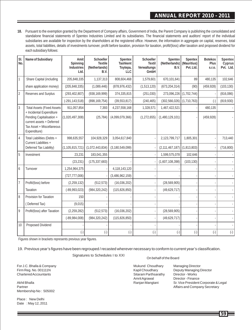**18.** Pursuant to the exemption granted by the Department of Company affairs, Government of India, the Parent Company is publishing the consolidated and standalone financial statements of Spentex Industries Limited and its subsidiaries. The financial statements and auditors' report of the individual subsidiaries are available for inspection by the shareholders at the registered office. However, the information in aggregate on capital, reserves, total assets, total liabilities, details of investments turnover, profit before taxation, provision for taxation, profit/(loss) after taxation and proposed dividend for each subsidiary follows:

| SI.<br>No.     | Name of Subsidiary                                                                                                                                                  | Amit<br>Spinning<br>Industries<br>Ltd. | Schoeller<br>Textile<br>(Netherlands)<br>B.V. | Spentex<br>Tashkent<br>Toytepa,<br>LLC | Schoeller<br>Textil<br>Verwaltungs<br>GmbH | Spentex<br>(Netherlands)<br>B.V.  | Spentex<br>(Mauritius)<br>Pvt. Ltd. | <b>Botekos</b><br>Plus<br>S.F.0. | Spentex<br>Cyprus<br>Pvt. Ltd. |
|----------------|---------------------------------------------------------------------------------------------------------------------------------------------------------------------|----------------------------------------|-----------------------------------------------|----------------------------------------|--------------------------------------------|-----------------------------------|-------------------------------------|----------------------------------|--------------------------------|
| 1              | Share Capital (including                                                                                                                                            | 205,848,335                            | 1,137,313                                     | 808,604,468                            | 1,579,601                                  | 670,101,641                       | 89                                  | 480,135                          | 102,646                        |
|                | share application money)                                                                                                                                            | (205, 848, 335)                        | (1,089,446)                                   | (878, 976, 432)                        | (1,513,120)                                | (673, 204, 314)                   | (90)                                | (459, 928)                       | (103, 130)                     |
| $\overline{2}$ | Reserves and Surplus                                                                                                                                                | (293, 402, 807)                        | (938, 169, 999)                               | 374,335,815                            | (251, 030)                                 | 273,096,226 (1,702,744)           |                                     |                                  | (816,086)                      |
|                |                                                                                                                                                                     | $(-291, 143, 518)$                     | (898, 169, 754)                               | (39, 553, 817)                         | (240, 465)                                 | $(302, 566, 026)$ $(1, 710, 763)$ |                                     | $(\cdot)$                        | (819,930)                      |
| 3              | <b>Total Assets (Fixed Assets</b><br>+ Incidental Expenditure<br>Pending Capitalisation +<br>current assets + Deferred<br>Tax Asset + Miscellaneous<br>Expenditure) | 911,057,854                            | 7,393                                         | 4,237,558,168                          | 1,328,571                                  | 1,467,422,521                     |                                     | 480,135                          |                                |
|                |                                                                                                                                                                     | (1,020,497,308)                        | (25, 784)                                     | (4,099,079,366)                        | (1,272,655)                                | (1,480,129,101)                   |                                     | (459, 928)                       |                                |
| $\overline{4}$ | Total Liabilities (Debts +<br>Current Liabilities +<br>Deferred Tax Liability)                                                                                      | 998,635,557                            | 104,928,329                                   | 3,054,617,840                          |                                            | 2,123,799,717                     | 1,805,301                           |                                  | 713,440                        |
|                |                                                                                                                                                                     | (1, 105, 815, 721)                     | (1,072,443,834)                               | (3, 180, 549, 099)                     |                                            | (2, 111, 467, 187)                | (1,813,803)                         |                                  | (716, 800)                     |
| 5              | Investment                                                                                                                                                          | 23,231                                 | 183,041,355                                   |                                        |                                            | 1,599,575,078                     | 102,646                             |                                  |                                |
|                |                                                                                                                                                                     | (23, 231)                              | (175, 337, 683)                               |                                        |                                            | (1,607,108,398)                   | (103, 130)                          |                                  |                                |
| 6              | Turnover                                                                                                                                                            | 1,254,964,375                          |                                               | 4,118,143,120                          |                                            |                                   |                                     |                                  |                                |
|                |                                                                                                                                                                     | (727, 777, 006)                        |                                               | (3,486,962,159)                        |                                            |                                   |                                     |                                  |                                |
| $\overline{7}$ | Profit/(loss) before                                                                                                                                                | (2, 259, 132)                          | (512, 573)                                    | (16,036,202)                           |                                            | (28, 569, 905)                    |                                     |                                  |                                |
|                | Taxation                                                                                                                                                            | $(-89,993,023)$                        | (984, 320, 242)                               | (115, 826, 850)                        |                                            | (49,629,717)                      |                                     |                                  |                                |
| 8              | Provision for Taxation                                                                                                                                              | 150                                    |                                               |                                        |                                            |                                   |                                     |                                  |                                |
|                | (Deferred Tax)                                                                                                                                                      | (9,015)                                |                                               |                                        |                                            |                                   |                                     |                                  |                                |
| 9              | Profit/(loss) after Taxation                                                                                                                                        | (2, 259, 282)                          | (512, 573)                                    | (16,036,202)                           |                                            | (28, 569, 905)                    |                                     |                                  |                                |
|                |                                                                                                                                                                     | $(-89,984,008)$                        | (984, 320, 242)                               | (115, 826, 850)                        |                                            | (49,629,717)                      |                                     |                                  |                                |
| 10             | Proposed Dividend                                                                                                                                                   |                                        |                                               |                                        |                                            |                                   |                                     |                                  |                                |
|                |                                                                                                                                                                     | $(\hbox{-})$                           | $(\hbox{-})$                                  | $(\hbox{-})$                           | $(\hbox{-})$                               | $(\hbox{-})$                      | $(\hbox{-})$                        | $(\hbox{-})$                     | $(\hbox{-})$                   |

Figures shown in brackets represents previous year figures.

19. Previous year's figures have been regrouped / recasted wherever necessary to conform to current year's classification.

Signatures to Schedules I to XXI

For J.C. Bhalla & Company **Mukund Choudhary Managing Director**<br>Firm Reg. No. 001111N

Membership No : 505002

Place : New Delhi Date : May 12, 2011

#### On behalf of the Board

Chartered Accountants Sitaram Parths<br>Amrit Agrawal Amrit Agrawal Director - Finance<br>
Ranjan Mangtani Sr. Vice President

Kapil Choudhary Deputy Managing Director<br>Sitaram Parthsarathy Director - Works Akhil Bhalla Ranjan Mangtani Sr. Vice President Corporate & Legal Partner Affairs and Company Secretary and The Partner Affairs and Company Secretary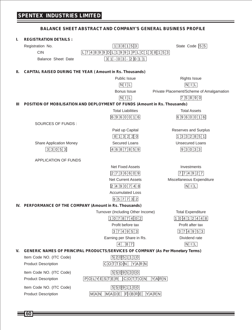|    | <b>BALANCE SHEET ABSTRACT AND COMPANY'S GENERAL BUSINESS PROFILE</b> |                                                                                        |                                          |  |  |  |  |
|----|----------------------------------------------------------------------|----------------------------------------------------------------------------------------|------------------------------------------|--|--|--|--|
| ı. | <b>REGISTRATION DETAILS:</b>                                         |                                                                                        |                                          |  |  |  |  |
|    | Registration No.                                                     | 1 3 8 1 5 3                                                                            | State Code 55                            |  |  |  |  |
|    | <b>CIN</b>                                                           | $L$ 74899DL1991PLC138153                                                               |                                          |  |  |  |  |
|    | <b>Balance Sheet Date</b>                                            | $3 1 - 0 3 - 2 0 1 1 $                                                                 |                                          |  |  |  |  |
|    |                                                                      |                                                                                        |                                          |  |  |  |  |
| н. | <b>CAPITAL RAISED DURING THE YEAR (Amount in Rs. Thousands)</b>      |                                                                                        |                                          |  |  |  |  |
|    |                                                                      | <b>Public Issue</b>                                                                    | <b>Rights Issue</b>                      |  |  |  |  |
|    |                                                                      | $N$ $ I $                                                                              | $N$ $ $ $ $ $ $                          |  |  |  |  |
|    |                                                                      | Bonus Issue                                                                            | Private Placement/Scheme of Amalgamation |  |  |  |  |
|    |                                                                      | $N$ $I$ $L$                                                                            | 7 5 8 9 0                                |  |  |  |  |
| ш  |                                                                      | POSITION OF MOBILISATION AND DEPLOYMENT OF FUNDS (Amount in Rs. Thousands)             |                                          |  |  |  |  |
|    |                                                                      | <b>Total Liabilities</b>                                                               | <b>Total Assets</b>                      |  |  |  |  |
|    |                                                                      | 6960016                                                                                | 6960016                                  |  |  |  |  |
|    | SOURCES OF FUNDS:                                                    |                                                                                        |                                          |  |  |  |  |
|    |                                                                      | Paid up Capital                                                                        | Reserves and Surplus                     |  |  |  |  |
|    |                                                                      | 813220                                                                                 | 1332851                                  |  |  |  |  |
|    | <b>Share Application Money</b>                                       | Secured Loans                                                                          | <b>Unsecured Loans</b>                   |  |  |  |  |
|    | 33053                                                                | 4687859                                                                                | 9 3 0 3 3                                |  |  |  |  |
|    | <b>APPLICATION OF FUNDS</b>                                          |                                                                                        |                                          |  |  |  |  |
|    |                                                                      | <b>Net Fixed Assets</b>                                                                | Investments                              |  |  |  |  |
|    |                                                                      | 2736609                                                                                | 7 7 4 9 2 7                              |  |  |  |  |
|    |                                                                      | <b>Net Current Assets</b>                                                              | Miscellaneous Expenditure                |  |  |  |  |
|    |                                                                      | 2 4 9 0 7 4 8                                                                          | N L                                      |  |  |  |  |
|    |                                                                      | <b>Accumulated Loss</b>                                                                |                                          |  |  |  |  |
|    |                                                                      | 9 5 7 7 3 2                                                                            |                                          |  |  |  |  |
|    | IV. PERFORMANCE OF THE COMPANY (Amount in Rs. Thousands)             |                                                                                        |                                          |  |  |  |  |
|    |                                                                      | Turnover (Including Other Income)                                                      | <b>Total Expenditure</b>                 |  |  |  |  |
|    |                                                                      | 1 0 7 8 7 4 0 2                                                                        | 10412448                                 |  |  |  |  |
|    |                                                                      | Profit before tax                                                                      | Profit after tax                         |  |  |  |  |
|    |                                                                      | 3 7 4 9 5 3                                                                            | 3 7 4 9 5 3                              |  |  |  |  |
|    |                                                                      | Earning per Share in Rs.                                                               | Dividend rate                            |  |  |  |  |
|    |                                                                      | $. 8 \vert 7$<br>$\overline{4}$                                                        | $N$ $  L$                                |  |  |  |  |
| V. |                                                                      | <b>GENERIC NAMES OF PRINCIPAL PRODUCTS/SERVICES OF COMPANY (As Per Monetary Terms)</b> |                                          |  |  |  |  |
|    | Item Code NO. (ITC Code)                                             | 52051110                                                                               |                                          |  |  |  |  |
|    | <b>Product Description</b>                                           | $C$ $O$ $T$ $T$ $O$ $N$ $N$ $Y$ $A$ $R$ $N$                                            |                                          |  |  |  |  |
|    | Item Code NO. (ITC Code)                                             | 55095300                                                                               |                                          |  |  |  |  |
|    | <b>Product Description</b>                                           | $[P]O L YE S T E R   C O T T O N $<br>$Y$ A $R$ $N$                                    |                                          |  |  |  |  |
|    | Item Code NO. (ITC Code)                                             | 55091100                                                                               |                                          |  |  |  |  |
|    | <b>Product Description</b>                                           | $M$ A $N$ $M$ A $D$ E $F$ IBRE YARN                                                    |                                          |  |  |  |  |
|    |                                                                      |                                                                                        |                                          |  |  |  |  |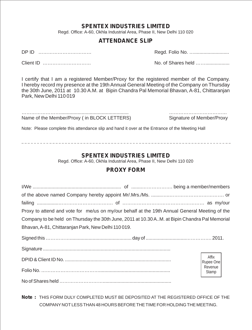### **SPENTEX INDUSTRIES LIMITED**

Regd. Office: A-60, Okhla Industrial Area, Phase II, New Delhi 110 020

### **ATTENDANCE SLIP**

DP ID …………………………… Regd. Folio No. …..........................

Client ID ………………………… No. of Shares held ……..................

I certify that I am a registered Member/Proxy for the registered member of the Company. I hereby record my presence at the 19th Annual General Meeting of the Company on Thursday the 30th June, 2011 at 10.30 A.M. at Bipin Chandra Pal Memorial Bhavan, A-81, Chittaranjan Park, New Delhi 110 019

|  |  | Name of the Member/Proxy (in BLOCK LETTERS) |
|--|--|---------------------------------------------|

……………………................................................... ……………………………… Name of Member/Proxy ( in BLOCK LETTERS) Signature of Member/Proxy

Note: Please complete this attendance slip and hand it over at the Entrance of the Meeting Hall

### **SPENTEX INDUSTRIES LIMITED**

Regd. Office: A-60, Okhla Industrial Area, Phase II, New Delhi 110 020

### **PROXY FORM**

| Proxy to attend and vote for me/us on my/our behalf at the 19th Annual General Meeting of the  |                    |  |  |  |  |
|------------------------------------------------------------------------------------------------|--------------------|--|--|--|--|
| Company to be held on Thursday the 30th June, 2011 at 10.30 A.M. at Bipin Chandra Pal Memorial |                    |  |  |  |  |
| Bhavan, A-81, Chittaranjan Park, New Delhi 110019.                                             |                    |  |  |  |  |
|                                                                                                |                    |  |  |  |  |
|                                                                                                |                    |  |  |  |  |
|                                                                                                | Affix<br>Rupee One |  |  |  |  |
|                                                                                                | Revenue<br>Stamp   |  |  |  |  |
|                                                                                                |                    |  |  |  |  |
|                                                                                                |                    |  |  |  |  |

**Note :** THIS FORM DULY COMPLETED MUST BE DEPOSITED AT THE REGISTERED OFFICE OF THE COMPANY NOTLESS THAN 48 HOURS BEFORE THE TIME FOR HOLDING THE MEETING.